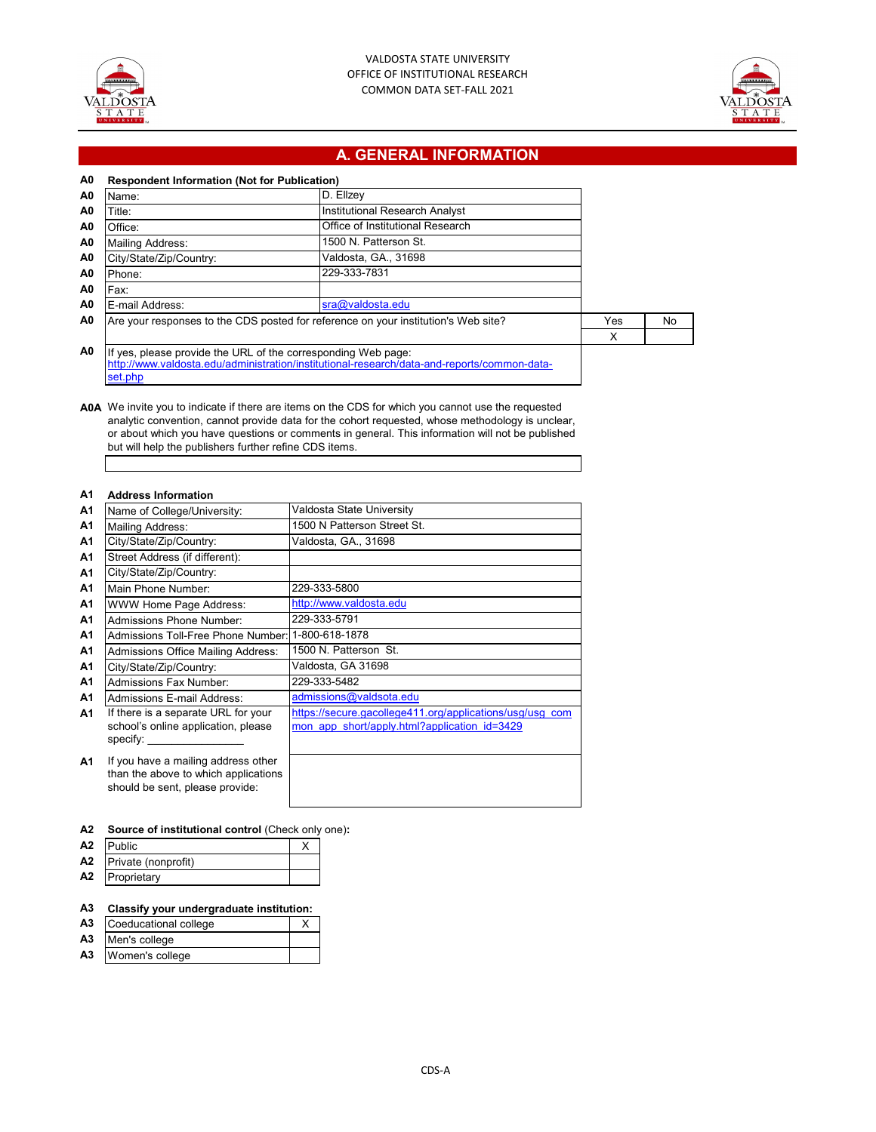



# **A. GENERAL INFORMATION**

| A0             | <b>Respondent Information (Not for Publication)</b>                                |                                                                                             |     |    |
|----------------|------------------------------------------------------------------------------------|---------------------------------------------------------------------------------------------|-----|----|
| A <sub>0</sub> | Name:                                                                              | D. Ellzey                                                                                   |     |    |
| A0             | Title:                                                                             | Institutional Research Analyst                                                              |     |    |
| A0             | Office:                                                                            | Office of Institutional Research                                                            |     |    |
| A0             | <b>Mailing Address:</b>                                                            | 1500 N. Patterson St.                                                                       |     |    |
| A <sub>0</sub> | City/State/Zip/Country:                                                            | Valdosta, GA., 31698                                                                        |     |    |
| A <sub>0</sub> | Phone:                                                                             | 229-333-7831                                                                                |     |    |
| A <sub>0</sub> | Fax:                                                                               |                                                                                             |     |    |
| A0             | E-mail Address:                                                                    | sra@valdosta.edu                                                                            |     |    |
| A <sub>0</sub> | Are your responses to the CDS posted for reference on your institution's Web site? |                                                                                             | Yes | No |
|                |                                                                                    |                                                                                             | X   |    |
| A <sub>0</sub> | If yes, please provide the URL of the corresponding Web page:<br>set.php           | http://www.valdosta.edu/administration/institutional-research/data-and-reports/common-data- |     |    |

**A0A** We invite you to indicate if there are items on the CDS for which you cannot use the requested analytic convention, cannot provide data for the cohort requested, whose methodology is unclear, or about which you have questions or comments in general. This information will not be published but will help the publishers further refine CDS items.

### **A1 Address Information**

| A1        | Name of College/University:                                                                                    | Valdosta State University                                                                                |
|-----------|----------------------------------------------------------------------------------------------------------------|----------------------------------------------------------------------------------------------------------|
| A1        | Mailing Address:                                                                                               | 1500 N Patterson Street St.                                                                              |
| A1        | City/State/Zip/Country:                                                                                        | Valdosta, GA., 31698                                                                                     |
| A1        | Street Address (if different):                                                                                 |                                                                                                          |
| A1        | City/State/Zip/Country:                                                                                        |                                                                                                          |
| A1        | Main Phone Number:                                                                                             | 229-333-5800                                                                                             |
| A1        | WWW Home Page Address:                                                                                         | http://www.valdosta.edu                                                                                  |
| A1        | <b>Admissions Phone Number:</b>                                                                                | 229-333-5791                                                                                             |
| A1        | Admissions Toll-Free Phone Number:                                                                             | 1-800-618-1878                                                                                           |
| A1        | Admissions Office Mailing Address:                                                                             | 1500 N. Patterson St.                                                                                    |
| A1        | City/State/Zip/Country:                                                                                        | Valdosta, GA 31698                                                                                       |
| <b>A1</b> | <b>Admissions Fax Number:</b>                                                                                  | 229-333-5482                                                                                             |
| <b>A1</b> | <b>Admissions E-mail Address:</b>                                                                              | admissions@valdsota.edu                                                                                  |
| A1        | If there is a separate URL for your<br>school's online application, please<br>specify: specify:                | https://secure.gacollege411.org/applications/usg/usg com<br>mon app short/apply.html?application id=3429 |
| <b>A1</b> | If you have a mailing address other<br>than the above to which applications<br>should be sent, please provide: |                                                                                                          |

### **A2 Source of institutional control** (Check only one)**:**

| A <sub>2</sub> | Public              |  |
|----------------|---------------------|--|
| A <sub>2</sub> | Private (nonprofit) |  |
| A <sub>2</sub> | Proprietary         |  |

### **A3 Classify your undergraduate institution:**

| A <sub>3</sub> | Coeducational college |  |
|----------------|-----------------------|--|
|                |                       |  |

- **A3** Men's college
- **A3** Women's college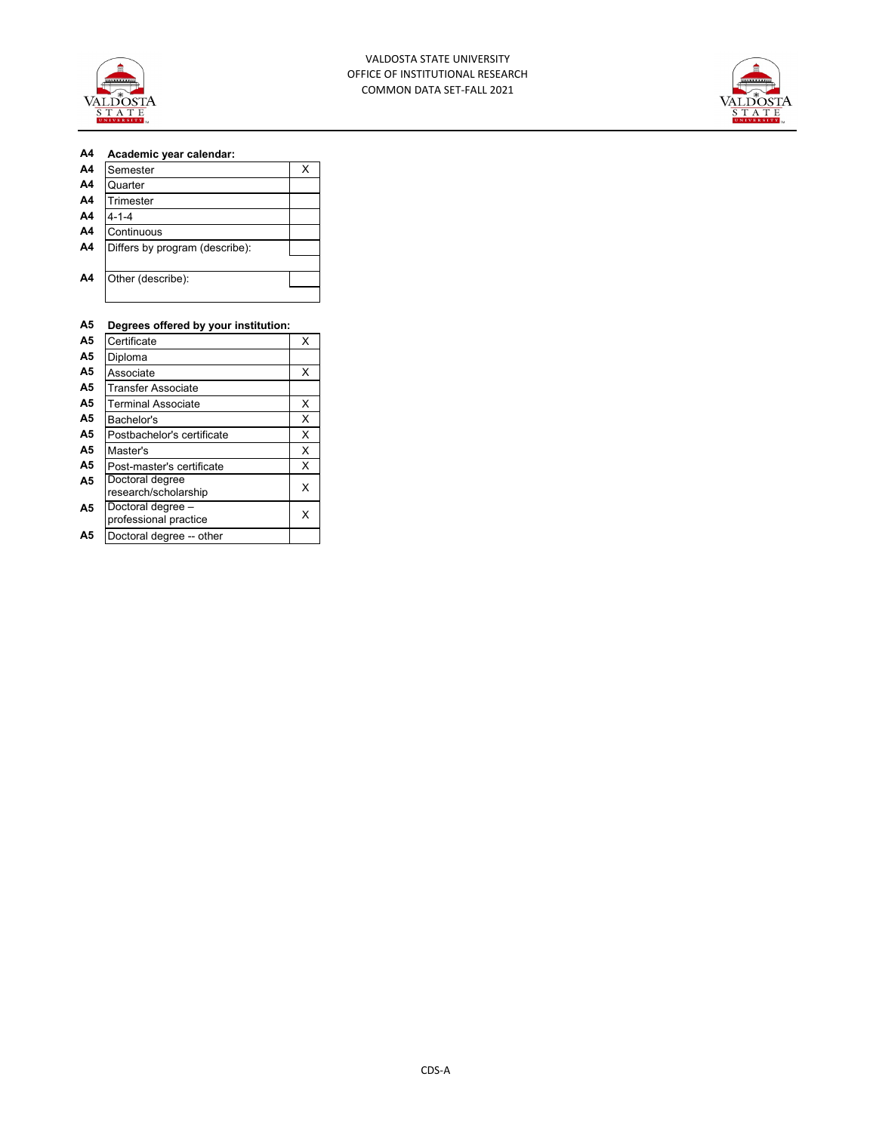



### **A4 Academic year calendar:**

| A <sub>4</sub> | Semester                       | x |
|----------------|--------------------------------|---|
| A <sub>4</sub> | Quarter                        |   |
| A <sub>4</sub> | Trimester                      |   |
| A <sub>4</sub> | 4-1-4                          |   |
| A <sub>4</sub> | Continuous                     |   |
| A <sub>4</sub> | Differs by program (describe): |   |
|                |                                |   |
| A <sub>4</sub> | Other (describe):              |   |
|                |                                |   |
|                |                                |   |

## **A5 Degrees offered by your institution:**

| A <sub>5</sub> | Certificate                                | x |
|----------------|--------------------------------------------|---|
| A5             | Diploma                                    |   |
| A5             | Associate                                  | X |
| A <sub>5</sub> | Transfer Associate                         |   |
| A <sub>5</sub> | <b>Terminal Associate</b>                  | х |
| A <sub>5</sub> | Bachelor's                                 | X |
| A5             | Postbachelor's certificate                 | X |
| A5             | Master's                                   | X |
| A <sub>5</sub> | Post-master's certificate                  | X |
| A <sub>5</sub> | Doctoral degree<br>research/scholarship    | X |
| A <sub>5</sub> | Doctoral degree -<br>professional practice | х |
| A5             | Doctoral degree -- other                   |   |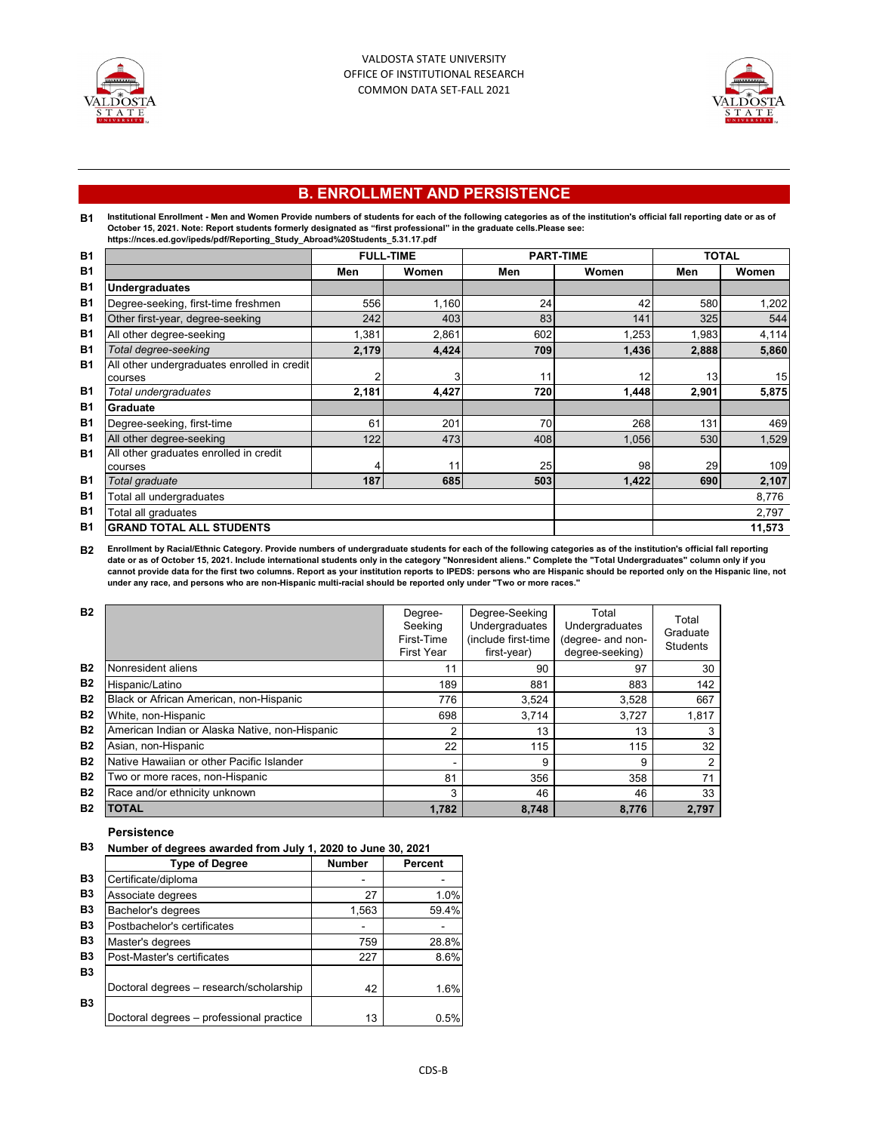



# **B. ENROLLMENT AND PERSISTENCE**

# **B1** Institutional Enrollment - Men and Women Provide numbers of students for each of the following categories as of the institution's official fall reporting date or as of<br>October 15, 2021. Note: Report students formerly desig

|                | m                                           |       |                  |     |                  |       |              |  |  |
|----------------|---------------------------------------------|-------|------------------|-----|------------------|-------|--------------|--|--|
| <b>B1</b>      |                                             |       | <b>FULL-TIME</b> |     | <b>PART-TIME</b> |       | <b>TOTAL</b> |  |  |
| <b>B1</b>      |                                             | Men   | Women            | Men | Women            | Men   | Women        |  |  |
| B <sub>1</sub> | Undergraduates                              |       |                  |     |                  |       |              |  |  |
| B <sub>1</sub> | Degree-seeking, first-time freshmen         | 556   | 1,160            | 24  | 42               | 580   | 1,202        |  |  |
| B <sub>1</sub> | Other first-year, degree-seeking            | 242   | 403              | 83  | 141              | 325   | 544          |  |  |
| B <sub>1</sub> | All other degree-seeking                    | 1,381 | 2,861            | 602 | 1,253            | 1,983 | 4,114        |  |  |
| <b>B1</b>      | Total degree-seeking                        | 2,179 | 4,424            | 709 | 1,436            | 2,888 | 5,860        |  |  |
| <b>B1</b>      | All other undergraduates enrolled in credit |       |                  |     |                  |       |              |  |  |
|                | courses                                     |       |                  |     | 12               | 13    | 15           |  |  |
| <b>B1</b>      | Total undergraduates                        | 2,181 | 4,427            | 720 | 1,448            | 2,901 | 5,875        |  |  |
| <b>B1</b>      | Graduate                                    |       |                  |     |                  |       |              |  |  |
| <b>B1</b>      | Degree-seeking, first-time                  | 61    | 201              | 70  | 268              | 131   | 469          |  |  |
| <b>B1</b>      | All other degree-seeking                    | 122   | 473              | 408 | 1,056            | 530   | 1,529        |  |  |
| <b>B1</b>      | All other graduates enrolled in credit      |       |                  |     |                  |       |              |  |  |
|                | courses                                     |       | 11               | 25  | 98               | 29    | 109          |  |  |
| <b>B1</b>      | Total graduate                              | 187   | 685              | 503 | 1,422            | 690   | 2,107        |  |  |
| <b>B1</b>      | Total all undergraduates                    |       |                  |     |                  |       | 8,776        |  |  |
| <b>B1</b>      | Total all graduates                         |       |                  |     |                  |       | 2,797        |  |  |
| <b>B1</b>      | <b>GRAND TOTAL ALL STUDENTS</b>             |       |                  |     |                  |       | 11,573       |  |  |

B2 Enrollment by Racial/Ethnic Category. Provide numbers of undergraduate students for each of the following categories as of the institution's official fall reporting<br>date or as of October 15, 2021. Include international

| <b>B2</b> |                                                | Degree-<br>Seeking<br>First-Time<br><b>First Year</b> | Degree-Seeking<br>Undergraduates<br>(include first-time<br>first-year) | Total<br>Undergraduates<br>(degree- and non-<br>degree-seeking) | Total<br>Graduate<br><b>Students</b> |
|-----------|------------------------------------------------|-------------------------------------------------------|------------------------------------------------------------------------|-----------------------------------------------------------------|--------------------------------------|
| <b>B2</b> | Nonresident aliens                             | 11                                                    | 90                                                                     | 97                                                              | 30                                   |
| <b>B2</b> | Hispanic/Latino                                | 189                                                   | 881                                                                    | 883                                                             | 142                                  |
| <b>B2</b> | Black or African American, non-Hispanic        | 776                                                   | 3,524                                                                  | 3,528                                                           | 667                                  |
| <b>B2</b> | White, non-Hispanic                            | 698                                                   | 3.714                                                                  | 3.727                                                           | 1,817                                |
| <b>B2</b> | American Indian or Alaska Native, non-Hispanic | 2                                                     | 13                                                                     | 13                                                              | 3                                    |
| <b>B2</b> | Asian, non-Hispanic                            | 22                                                    | 115                                                                    | 115                                                             | 32                                   |
| <b>B2</b> | Native Hawaiian or other Pacific Islander      | -                                                     | 9                                                                      | 9                                                               | $\overline{2}$                       |
| <b>B2</b> | Two or more races, non-Hispanic                | 81                                                    | 356                                                                    | 358                                                             | 71                                   |
| <b>B2</b> | Race and/or ethnicity unknown                  | 3                                                     | 46                                                                     | 46                                                              | 33                                   |
| <b>B2</b> | TOTAL                                          | 1,782                                                 | 8,748                                                                  | 8,776                                                           | 2.797                                |

### **Persistence**

### **B3 Number of degrees awarded from July 1, 2020 to June 30, 2021**

|                | <b>Type of Degree</b>                    | <b>Number</b> | Percent |
|----------------|------------------------------------------|---------------|---------|
| B <sub>3</sub> | Certificate/diploma                      |               |         |
| B <sub>3</sub> | Associate degrees                        | 27            | 1.0%    |
| <b>B3</b>      | Bachelor's degrees                       | 1,563         | 59.4%   |
| B <sub>3</sub> | Postbachelor's certificates              |               |         |
| B <sub>3</sub> | Master's degrees                         | 759           | 28.8%   |
| <b>B3</b>      | Post-Master's certificates               | 227           | 8.6%    |
| B <sub>3</sub> |                                          |               |         |
|                | Doctoral degrees - research/scholarship  | 42            | 1.6%    |
| B <sub>3</sub> |                                          |               |         |
|                | Doctoral degrees - professional practice | 13            | 0.5%    |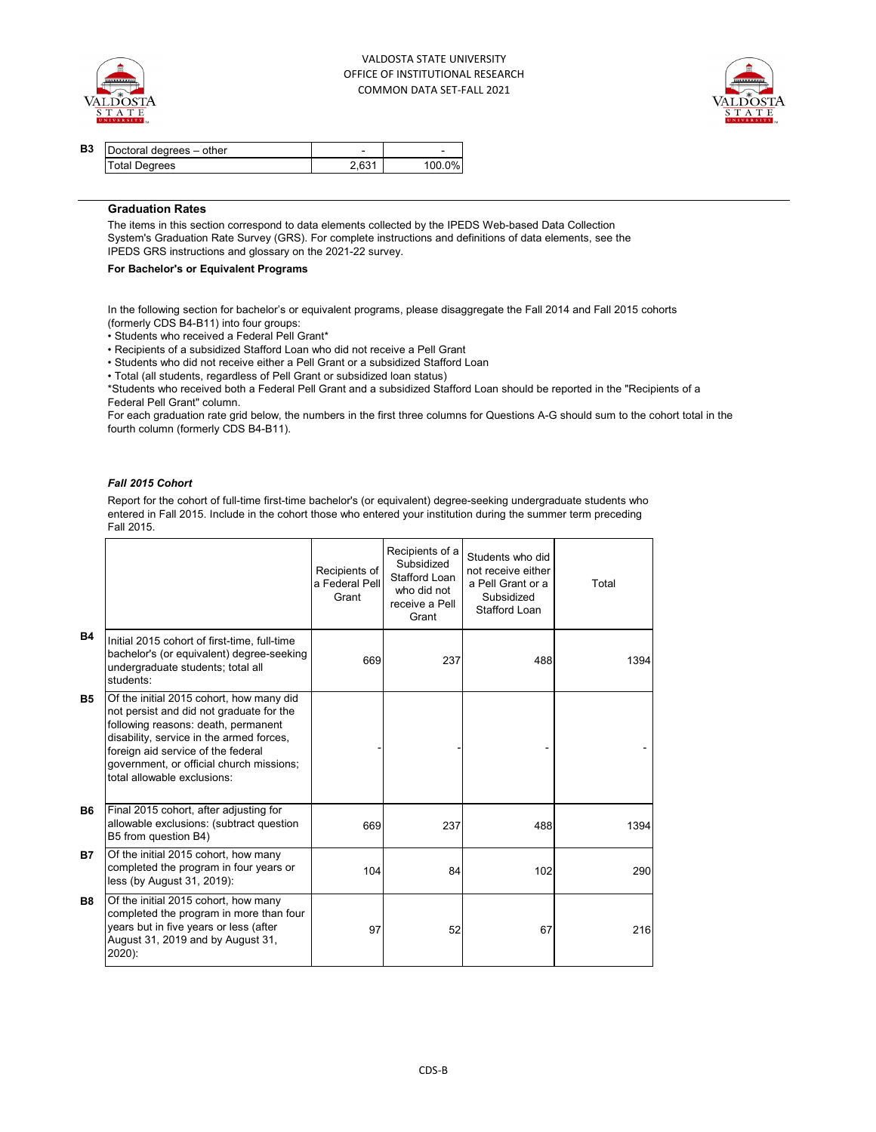



| B <sub>3</sub> | Doctoral degrees - other | -     |        |
|----------------|--------------------------|-------|--------|
|                | <b>Total Degrees</b>     | 2.631 | 100.0% |

### **Graduation Rates**

The items in this section correspond to data elements collected by the IPEDS Web-based Data Collection System's Graduation Rate Survey (GRS). For complete instructions and definitions of data elements, see the IPEDS GRS instructions and glossary on the 2021-22 survey.

### **For Bachelor's or Equivalent Programs**

In the following section for bachelor's or equivalent programs, please disaggregate the Fall 2014 and Fall 2015 cohorts (formerly CDS B4-B11) into four groups:

• Students who received a Federal Pell Grant\*

• Recipients of a subsidized Stafford Loan who did not receive a Pell Grant

• Students who did not receive either a Pell Grant or a subsidized Stafford Loan

• Total (all students, regardless of Pell Grant or subsidized loan status)

\*Students who received both a Federal Pell Grant and a subsidized Stafford Loan should be reported in the "Recipients of a Federal Pell Grant" column.

For each graduation rate grid below, the numbers in the first three columns for Questions A-G should sum to the cohort total in the fourth column (formerly CDS B4-B11).

### *Fall 2015 Cohort*

Report for the cohort of full-time first-time bachelor's (or equivalent) degree-seeking undergraduate students who entered in Fall 2015. Include in the cohort those who entered your institution during the summer term preceding Fall 2015.

|           |                                                                                                                                                                                                                                                                                          | Recipients of<br>a Federal Pell<br>Grant | Recipients of a<br>Subsidized<br>Stafford Loan<br>who did not<br>receive a Pell<br>Grant | Students who did<br>not receive either<br>a Pell Grant or a<br>Subsidized<br>Stafford Loan | Total |
|-----------|------------------------------------------------------------------------------------------------------------------------------------------------------------------------------------------------------------------------------------------------------------------------------------------|------------------------------------------|------------------------------------------------------------------------------------------|--------------------------------------------------------------------------------------------|-------|
| <b>B4</b> | Initial 2015 cohort of first-time, full-time<br>bachelor's (or equivalent) degree-seeking<br>undergraduate students; total all<br>students:                                                                                                                                              | 669                                      | 237                                                                                      | 488                                                                                        | 1394  |
| <b>B5</b> | Of the initial 2015 cohort, how many did<br>not persist and did not graduate for the<br>following reasons: death, permanent<br>disability, service in the armed forces,<br>foreign aid service of the federal<br>government, or official church missions;<br>total allowable exclusions: |                                          |                                                                                          |                                                                                            |       |
| <b>B6</b> | Final 2015 cohort, after adjusting for<br>allowable exclusions: (subtract question<br>B5 from question B4)                                                                                                                                                                               | 669                                      | 237                                                                                      | 488                                                                                        | 1394  |
| <b>B7</b> | Of the initial 2015 cohort, how many<br>completed the program in four years or<br>less (by August 31, 2019):                                                                                                                                                                             | 104                                      | 84                                                                                       | 102                                                                                        | 290   |
| <b>B8</b> | Of the initial 2015 cohort, how many<br>completed the program in more than four<br>years but in five years or less (after<br>August 31, 2019 and by August 31,<br>$2020$ :                                                                                                               | 97                                       | 52                                                                                       | 67                                                                                         | 216   |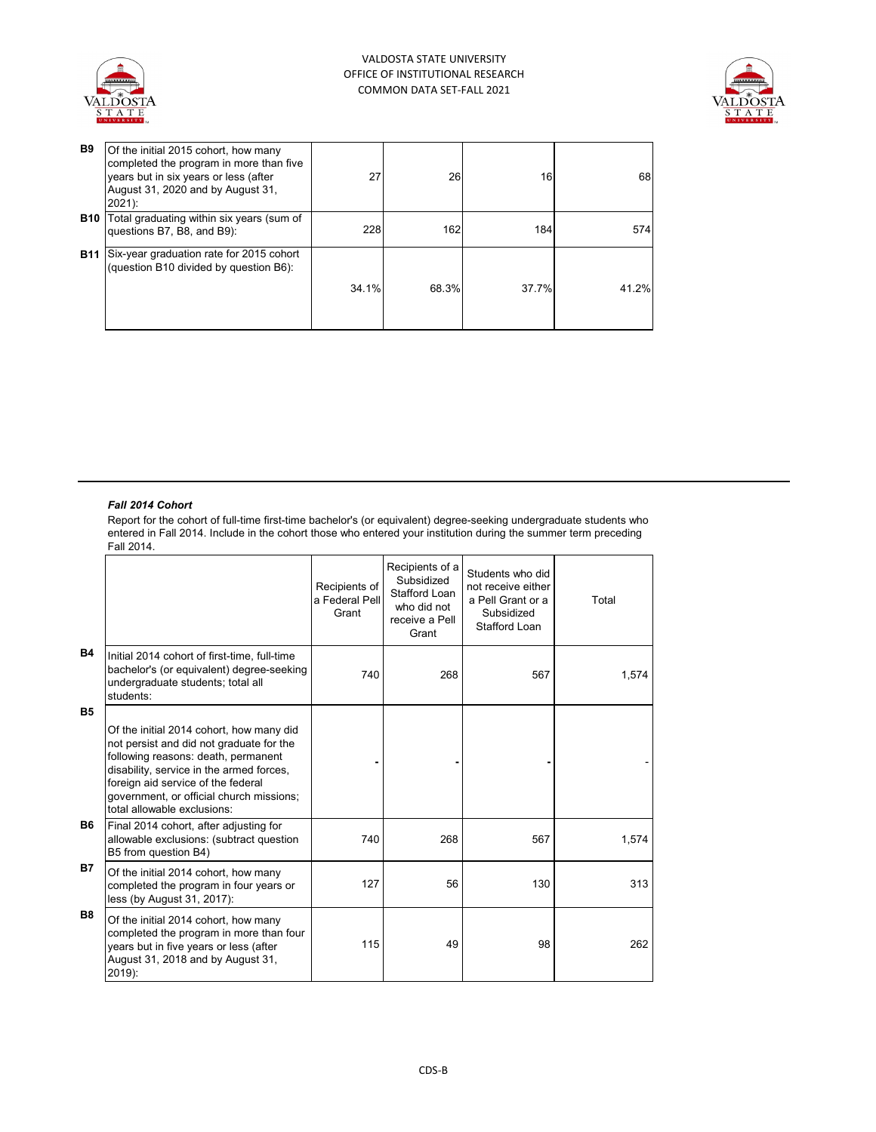



| <b>B9</b>  | Of the initial 2015 cohort, how many<br>completed the program in more than five<br>years but in six years or less (after<br>August 31, 2020 and by August 31,<br>$2021$ : | 27    | 26    | 16    | 68    |
|------------|---------------------------------------------------------------------------------------------------------------------------------------------------------------------------|-------|-------|-------|-------|
| <b>B10</b> | Total graduating within six years (sum of<br>questions B7, B8, and B9):                                                                                                   | 228   | 162   | 184   | 574   |
| <b>B11</b> | Six-year graduation rate for 2015 cohort<br>(question B10 divided by question B6):                                                                                        | 34.1% | 68.3% | 37.7% | 41.2% |

### *Fall 2014 Cohort*

Report for the cohort of full-time first-time bachelor's (or equivalent) degree-seeking undergraduate students who entered in Fall 2014. Include in the cohort those who entered your institution during the summer term preceding Fall 2014.

|           |                                                                                                                                                                                                                                                                                          | Recipients of<br>a Federal Pell<br>Grant | Recipients of a<br>Subsidized<br>Stafford Loan<br>who did not<br>receive a Pell<br>Grant | Students who did<br>not receive either<br>a Pell Grant or a<br>Subsidized<br>Stafford Loan | Total |
|-----------|------------------------------------------------------------------------------------------------------------------------------------------------------------------------------------------------------------------------------------------------------------------------------------------|------------------------------------------|------------------------------------------------------------------------------------------|--------------------------------------------------------------------------------------------|-------|
| <b>B4</b> | Initial 2014 cohort of first-time, full-time<br>bachelor's (or equivalent) degree-seeking<br>undergraduate students; total all<br>students:                                                                                                                                              | 740                                      | 268                                                                                      | 567                                                                                        | 1,574 |
| <b>B5</b> | Of the initial 2014 cohort, how many did<br>not persist and did not graduate for the<br>following reasons: death, permanent<br>disability, service in the armed forces,<br>foreign aid service of the federal<br>government, or official church missions;<br>total allowable exclusions: |                                          |                                                                                          |                                                                                            |       |
| <b>B6</b> | Final 2014 cohort, after adjusting for<br>allowable exclusions: (subtract question<br>B5 from question B4)                                                                                                                                                                               | 740                                      | 268                                                                                      | 567                                                                                        | 1,574 |
| <b>B7</b> | Of the initial 2014 cohort, how many<br>completed the program in four years or<br>less (by August 31, 2017):                                                                                                                                                                             | 127                                      | 56                                                                                       | 130                                                                                        | 313   |
| <b>B8</b> | Of the initial 2014 cohort, how many<br>completed the program in more than four<br>years but in five years or less (after<br>August 31, 2018 and by August 31,<br>$2019$ :                                                                                                               | 115                                      | 49                                                                                       | 98                                                                                         | 262   |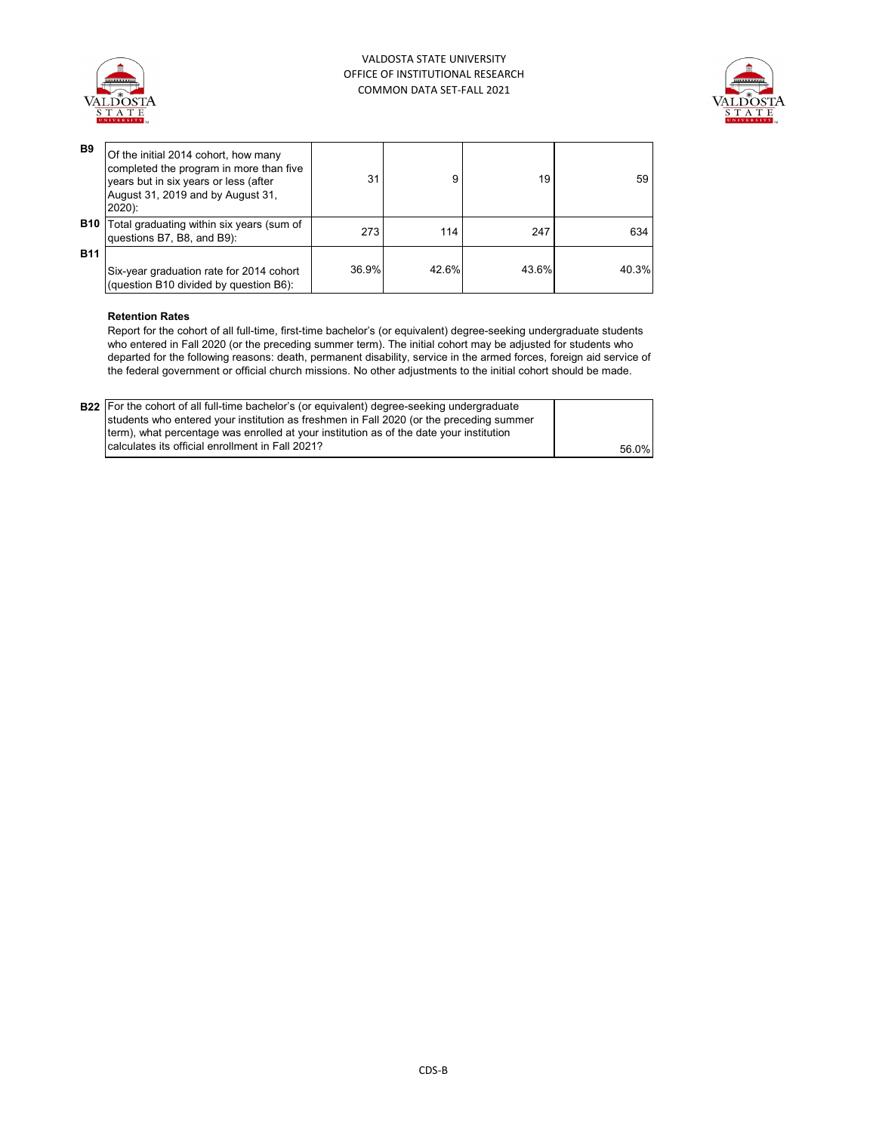



| B <sub>9</sub> | Of the initial 2014 cohort, how many<br>completed the program in more than five<br>years but in six years or less (after<br>August 31, 2019 and by August 31,<br>$2020$ : | 31    |       | 19    | 59    |
|----------------|---------------------------------------------------------------------------------------------------------------------------------------------------------------------------|-------|-------|-------|-------|
| <b>B10</b>     | Total graduating within six years (sum of<br>questions B7, B8, and B9):                                                                                                   | 273   | 114   | 247   | 634   |
| <b>B11</b>     | Six-year graduation rate for 2014 cohort<br>(question B10 divided by question B6):                                                                                        | 36.9% | 42.6% | 43.6% | 40.3% |

### **Retention Rates**

Report for the cohort of all full-time, first-time bachelor's (or equivalent) degree-seeking undergraduate students who entered in Fall 2020 (or the preceding summer term). The initial cohort may be adjusted for students who departed for the following reasons: death, permanent disability, service in the armed forces, foreign aid service of the federal government or official church missions. No other adjustments to the initial cohort should be made.

| <b>B22</b> For the cohort of all full-time bachelor's (or equivalent) degree-seeking undergraduate<br>students who entered your institution as freshmen in Fall 2020 (or the preceding summer |       |
|-----------------------------------------------------------------------------------------------------------------------------------------------------------------------------------------------|-------|
| term), what percentage was enrolled at your institution as of the date your institution                                                                                                       |       |
| I calculates its official enrollment in Fall 2021?                                                                                                                                            | 56.0% |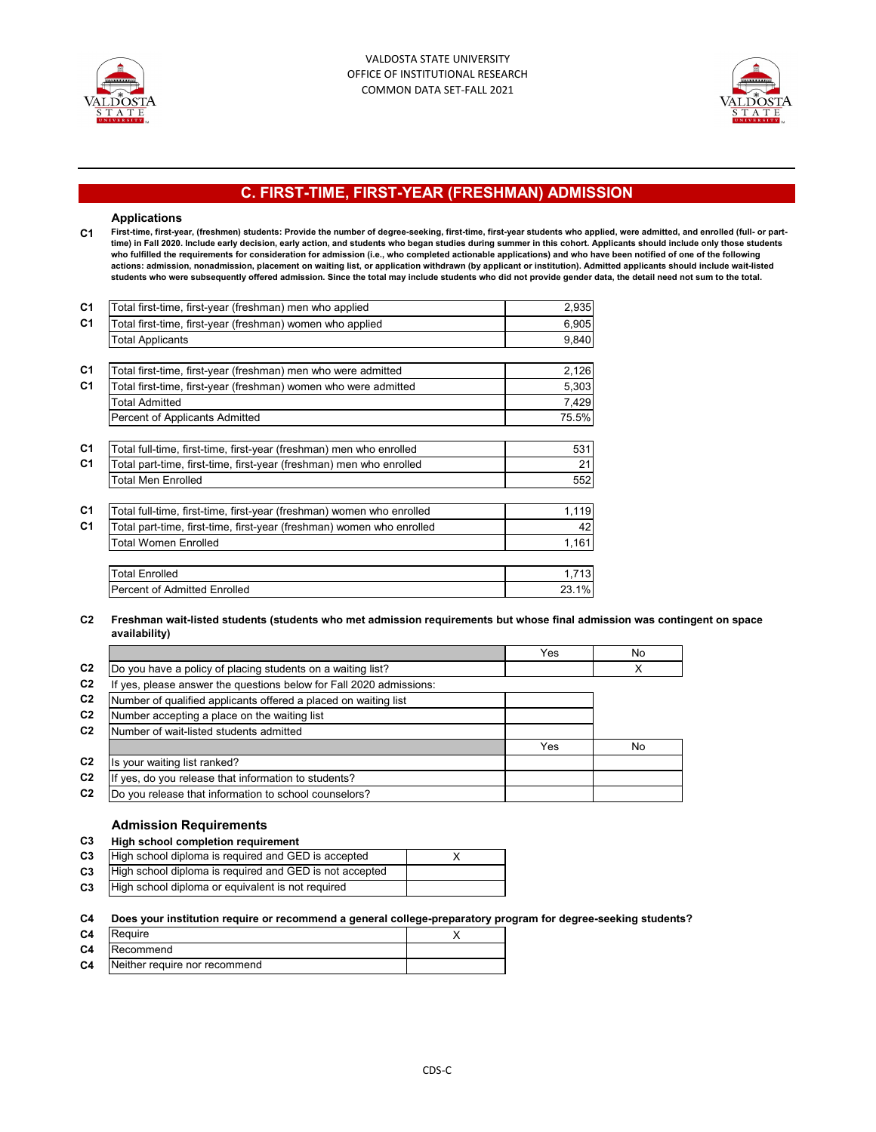



# **C. FIRST-TIME, FIRST-YEAR (FRESHMAN) ADMISSION**

#### **Applications**

**C1 First-time, first-year, (freshmen) students: Provide the number of degree-seeking, first-time, first-year students who applied, were admitted, and enrolled (full- or parttime) in Fall 2020. Include early decision, early action, and students who began studies during summer in this cohort. Applicants should include only those students**  who tultilled the requirements for consideration for admission (i.e., who completed actionable applications) and who have been notified of one of the following<br>actions: admission, nonadmission, placement on waiting list, o **students who were subsequently offered admission. Since the total may include students who did not provide gender data, the detail need not sum to the total.**

| C <sub>1</sub> | Total first-time, first-year (freshman) men who applied               | 2,935 |
|----------------|-----------------------------------------------------------------------|-------|
| C <sub>1</sub> | Total first-time, first-year (freshman) women who applied             | 6,905 |
|                | Total Applicants                                                      | 9,840 |
|                |                                                                       |       |
| C <sub>1</sub> | Total first-time, first-year (freshman) men who were admitted         | 2,126 |
| C <sub>1</sub> | Total first-time, first-year (freshman) women who were admitted       | 5,303 |
|                | <b>Total Admitted</b>                                                 | 7,429 |
|                | Percent of Applicants Admitted                                        | 75.5% |
|                |                                                                       |       |
| C <sub>1</sub> | Total full-time, first-time, first-year (freshman) men who enrolled   | 531   |
| C <sub>1</sub> | Total part-time, first-time, first-year (freshman) men who enrolled   | 21    |
|                | <b>Total Men Enrolled</b>                                             | 552   |
|                |                                                                       |       |
| C <sub>1</sub> | Total full-time, first-time, first-year (freshman) women who enrolled | 1,119 |
| C <sub>1</sub> | Total part-time, first-time, first-year (freshman) women who enrolled | 42    |
|                | <b>Total Women Enrolled</b>                                           | 1,161 |
|                |                                                                       |       |
|                | <b>Total Enrolled</b>                                                 | 1,713 |
|                | <b>Percent of Admitted Enrolled</b>                                   | 23.1% |

#### **C2 Freshman wait-listed students (students who met admission requirements but whose final admission was contingent on space availability)**

|                |                                                                     | Yes | No |
|----------------|---------------------------------------------------------------------|-----|----|
| C <sub>2</sub> | Do you have a policy of placing students on a waiting list?         |     | X  |
| C <sub>2</sub> | If yes, please answer the questions below for Fall 2020 admissions: |     |    |
| C <sub>2</sub> | Number of qualified applicants offered a placed on waiting list     |     |    |
| C <sub>2</sub> | Number accepting a place on the waiting list                        |     |    |
| C <sub>2</sub> | Number of wait-listed students admitted                             |     |    |
|                |                                                                     | Yes | No |
| C <sub>2</sub> | Is your waiting list ranked?                                        |     |    |
| C <sub>2</sub> | yes, do you release that information to students?                   |     |    |
| C <sub>2</sub> | Do you release that information to school counselors?               |     |    |

### **Admission Requirements**

#### **C3 High school completion requirement**

| C <sub>3</sub> | High school diploma is required and GED is accepted     |  |
|----------------|---------------------------------------------------------|--|
| C <sub>3</sub> | High school diploma is required and GED is not accepted |  |
| C <sub>3</sub> | High school diploma or equivalent is not required       |  |

#### **C4 Does your institution require or recommend a general college-preparatory program for degree-seeking students?**

| C <sub>4</sub> | Reguire                       |  |
|----------------|-------------------------------|--|
| C <sub>4</sub> | Recommend                     |  |
| C <sub>4</sub> | Neither require nor recommend |  |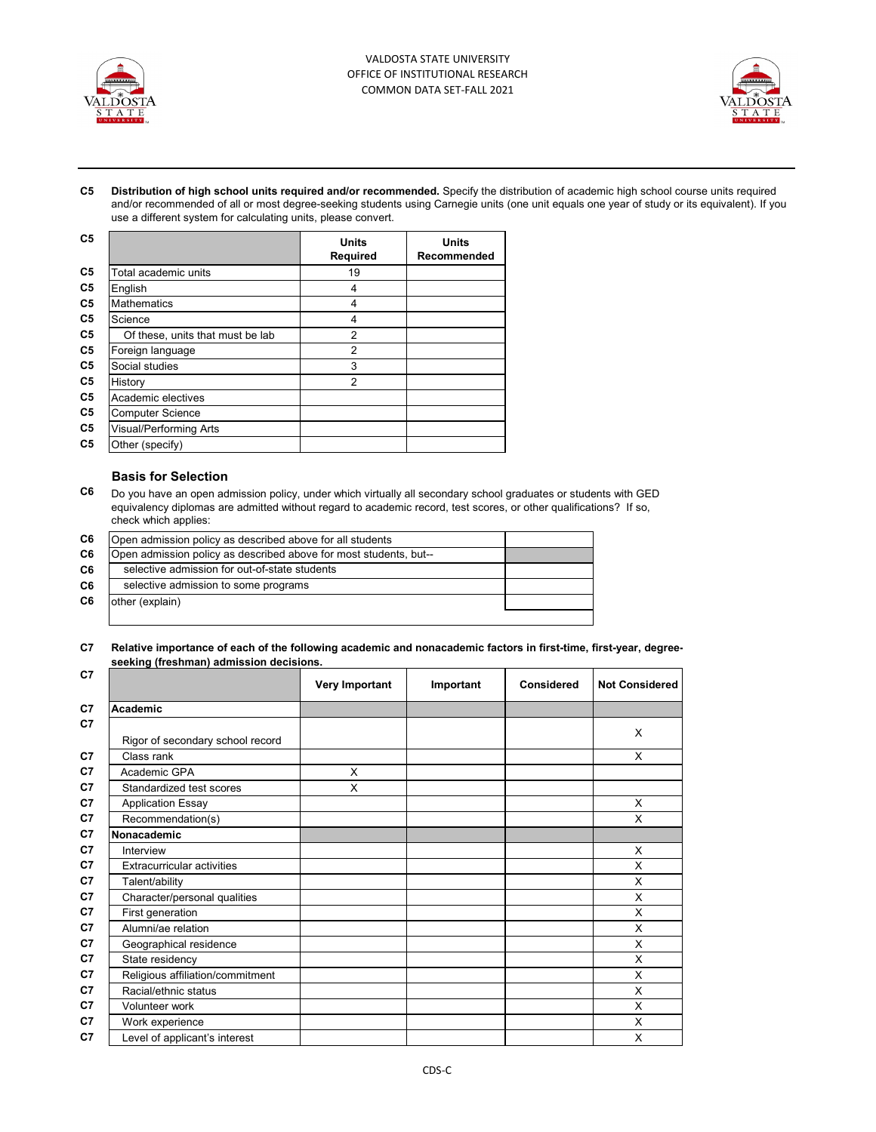



**C5 Distribution of high school units required and/or recommended.** Specify the distribution of academic high school course units required and/or recommended of all or most degree-seeking students using Carnegie units (one unit equals one year of study or its equivalent). If you use a different system for calculating units, please convert.

| C <sub>5</sub> |                                  | <b>Units</b><br>Required | <b>Units</b><br>Recommended |
|----------------|----------------------------------|--------------------------|-----------------------------|
| C5             | Total academic units             | 19                       |                             |
| C5             | English                          | 4                        |                             |
| C5             | <b>Mathematics</b>               | 4                        |                             |
| C5             | Science                          | 4                        |                             |
| C5             | Of these, units that must be lab | $\overline{2}$           |                             |
| C5             | Foreign language                 | $\overline{2}$           |                             |
| C5             | Social studies                   | 3                        |                             |
| C5             | History                          | $\overline{2}$           |                             |
| C5             | Academic electives               |                          |                             |
| C5             | <b>Computer Science</b>          |                          |                             |
| C5             | Visual/Performing Arts           |                          |                             |
| C5             | Other (specify)                  |                          |                             |

## **Basis for Selection**

**C6** Do you have an open admission policy, under which virtually all secondary school graduates or students with GED equivalency diplomas are admitted without regard to academic record, test scores, or other qualifications? If so, check which applies:

| C <sub>6</sub> | Open admission policy as described above for all students         |  |
|----------------|-------------------------------------------------------------------|--|
| C <sub>6</sub> | Open admission policy as described above for most students, but-- |  |
| C <sub>6</sub> | selective admission for out-of-state students                     |  |
| C6             | selective admission to some programs                              |  |
| C6             | other (explain)                                                   |  |
|                |                                                                   |  |

#### **C7 Relative importance of each of the following academic and nonacademic factors in first-time, first-year, degreeseeking (freshman) admission decisions.**

| C7             |                                   | <b>Very Important</b> | Important | <b>Considered</b> | <b>Not Considered</b> |
|----------------|-----------------------------------|-----------------------|-----------|-------------------|-----------------------|
| C <sub>7</sub> | Academic                          |                       |           |                   |                       |
| C7             |                                   |                       |           |                   | X                     |
|                | Rigor of secondary school record  |                       |           |                   |                       |
| C <sub>7</sub> | Class rank                        |                       |           |                   | X                     |
| C <sub>7</sub> | Academic GPA                      | X                     |           |                   |                       |
| C <sub>7</sub> | Standardized test scores          | X                     |           |                   |                       |
| C7             | <b>Application Essay</b>          |                       |           |                   | X                     |
| C7             | Recommendation(s)                 |                       |           |                   | X                     |
| C7             | Nonacademic                       |                       |           |                   |                       |
| C <sub>7</sub> | Interview                         |                       |           |                   | X                     |
| C7             | <b>Extracurricular activities</b> |                       |           |                   | X                     |
| C <sub>7</sub> | Talent/ability                    |                       |           |                   | X                     |
| C <sub>7</sub> | Character/personal qualities      |                       |           |                   | X                     |
| C7             | First generation                  |                       |           |                   | X                     |
| C7             | Alumni/ae relation                |                       |           |                   | X                     |
| C7             | Geographical residence            |                       |           |                   | X                     |
| C7             | State residency                   |                       |           |                   | X                     |
| C7             | Religious affiliation/commitment  |                       |           |                   | X                     |
| C7             | Racial/ethnic status              |                       |           |                   | X                     |
| C <sub>7</sub> | Volunteer work                    |                       |           |                   | X                     |
| C7             | Work experience                   |                       |           |                   | X                     |
| C <sub>7</sub> | Level of applicant's interest     |                       |           |                   | X                     |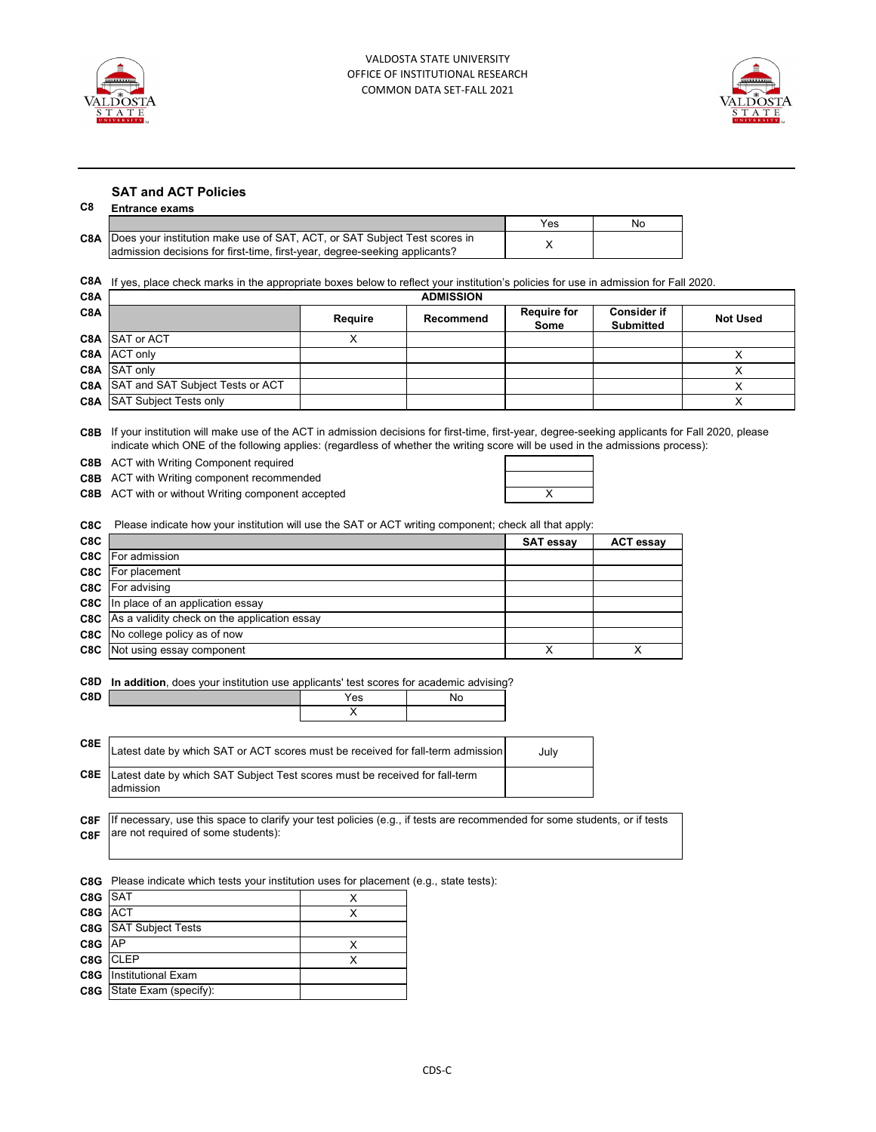



### **SAT and ACT Policies**

### **C8 Entrance exams**

|                                                                                                                                                                    | Yes | No |
|--------------------------------------------------------------------------------------------------------------------------------------------------------------------|-----|----|
| <b>C8A</b> Does your institution make use of SAT, ACT, or SAT Subject Test scores in<br>admission decisions for first-time, first-year, degree-seeking applicants? |     |    |

**C8A** If yes, place check marks in the appropriate boxes below to reflect your institution's policies for use in admission for Fall 2020.

| C8A | <b>ADMISSION</b>                            |         |           |                            |                                        |                 |
|-----|---------------------------------------------|---------|-----------|----------------------------|----------------------------------------|-----------------|
| C8A |                                             | Require | Recommend | <b>Require for</b><br>Some | <b>Consider if</b><br><b>Submitted</b> | <b>Not Used</b> |
|     | <b>C8A</b> SAT or ACT                       |         |           |                            |                                        |                 |
|     | <b>C8A</b> ACT only                         |         |           |                            |                                        |                 |
|     | <b>C8A</b> SAT only                         |         |           |                            |                                        |                 |
|     | <b>C8A</b> SAT and SAT Subject Tests or ACT |         |           |                            |                                        |                 |
|     | <b>C8A</b> SAT Subject Tests only           |         |           |                            |                                        |                 |

**C8B** If your institution will make use of the ACT in admission decisions for first-time, first-year, degree-seeking applicants for Fall 2020, please indicate which ONE of the following applies: (regardless of whether the writing score will be used in the admissions process):

**C8B** ACT with Writing Component required

**C8B** ACT with Writing component recommended

**C8B** ACT with or without Writing component accepted **ACT ACT ACT ACT** 

| <b>Contract Contract</b>          |   |        |  |
|-----------------------------------|---|--------|--|
|                                   |   | $\sim$ |  |
| <b>Contract Contract Contract</b> | X |        |  |

**C8C** Please indicate how your institution will use the SAT or ACT writing component; check all that apply:

| C8C |                                                         | <b>SAT essay</b> | <b>ACT essay</b> |
|-----|---------------------------------------------------------|------------------|------------------|
|     | <b>C8C</b> For admission                                |                  |                  |
|     | <b>C8C</b> For placement                                |                  |                  |
|     | <b>C8C</b> For advising                                 |                  |                  |
|     | <b>C8C</b> In place of an application essay             |                  |                  |
|     | <b>C8C</b> As a validity check on the application essay |                  |                  |
|     | <b>C8C</b> No college policy as of now                  |                  |                  |
|     | <b>C8C</b> Not using essay component                    |                  |                  |

**C8D In addition**, does your institution use applicants' test scores for academic advising?

| C8D |                                                                                                                           | Yes | No |      |  |
|-----|---------------------------------------------------------------------------------------------------------------------------|-----|----|------|--|
|     |                                                                                                                           | v   |    |      |  |
|     |                                                                                                                           |     |    |      |  |
| C8E | Latest date by which SAT or ACT scores must be received for fall-term admission                                           |     |    | July |  |
| C8E | Latest date by which SAT Subject Test scores must be received for fall-term                                               |     |    |      |  |
|     | admission                                                                                                                 |     |    |      |  |
|     |                                                                                                                           |     |    |      |  |
| C8F | If necessary, use this space to clarify your test policies (e.g., if tests are recommended for some students, or if tests |     |    |      |  |
| C8F | are not required of some students):                                                                                       |     |    |      |  |

**C8G** Please indicate which tests your institution uses for placement (e.g., state tests):

| C <sub>8</sub> G SAT |                                  |  |
|----------------------|----------------------------------|--|
| C8G ACT              |                                  |  |
|                      | C8G SAT Subject Tests            |  |
| C8G AP               |                                  |  |
|                      | C8G CLEP                         |  |
|                      | <b>C8G</b> Institutional Exam    |  |
|                      | <b>C8G</b> State Exam (specify): |  |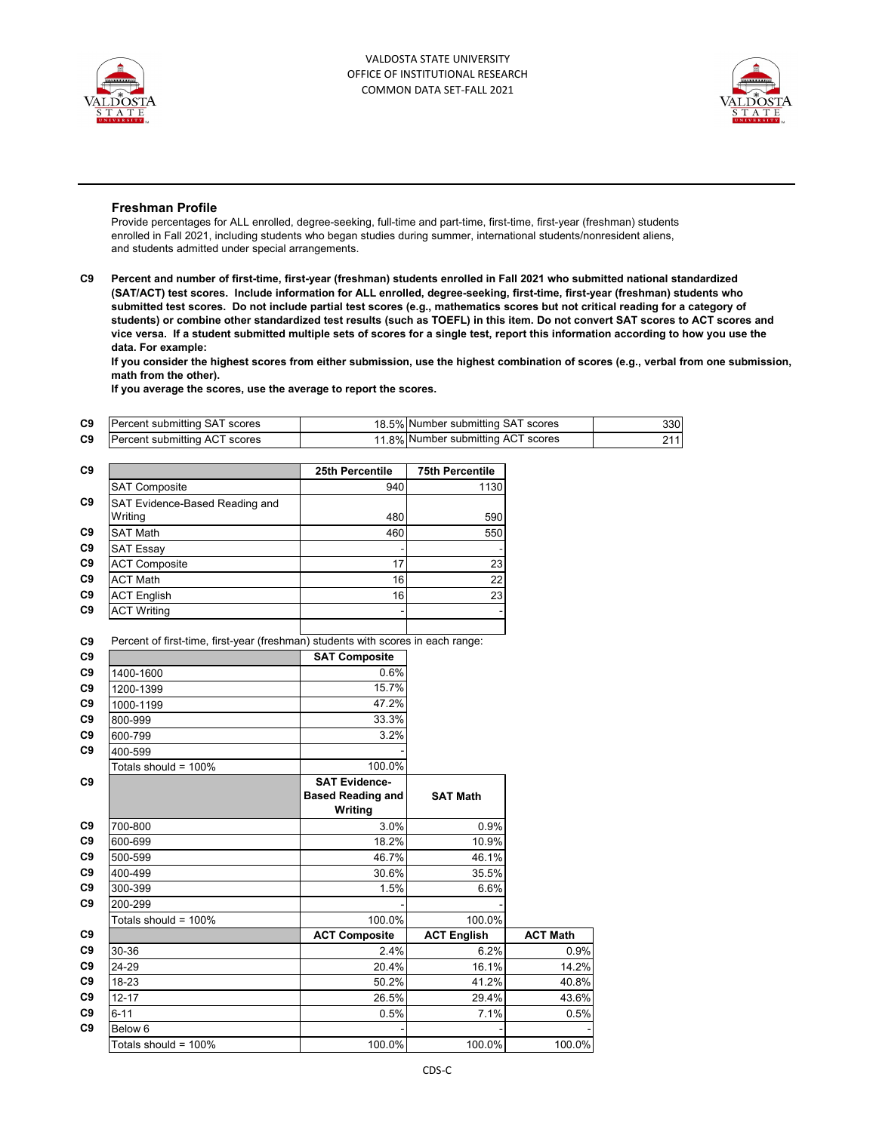



### **Freshman Profile**

Provide percentages for ALL enrolled, degree-seeking, full-time and part-time, first-time, first-year (freshman) students enrolled in Fall 2021, including students who began studies during summer, international students/nonresident aliens, and students admitted under special arrangements.

**C9 Percent and number of first-time, first-year (freshman) students enrolled in Fall 2021 who submitted national standardized (SAT/ACT) test scores. Include information for ALL enrolled, degree-seeking, first-time, first-year (freshman) students who submitted test scores. Do not include partial test scores (e.g., mathematics scores but not critical reading for a category of students) or combine other standardized test results (such as TOEFL) in this item. Do not convert SAT scores to ACT scores and vice versa. If a student submitted multiple sets of scores for a single test, report this information according to how you use the data. For example:** 

**If you consider the highest scores from either submission, use the highest combination of scores (e.g., verbal from one submission, math from the other).**

**If you average the scores, use the average to report the scores.**

| C9             | Percent submitting SAT scores | 18.5% Number submitting SAT scores | 330 |
|----------------|-------------------------------|------------------------------------|-----|
| C <sub>9</sub> | Percent submitting ACT scores | 11.8% Number submitting ACT scores | 711 |

| C <sub>9</sub> |                                                                                  | 25th Percentile          | <b>75th Percentile</b> |                 |
|----------------|----------------------------------------------------------------------------------|--------------------------|------------------------|-----------------|
|                | <b>SAT Composite</b>                                                             | 940                      | 1130                   |                 |
| C <sub>9</sub> | SAT Evidence-Based Reading and                                                   |                          |                        |                 |
|                | Writing                                                                          | 480                      | 590                    |                 |
| C <sub>9</sub> | <b>SAT Math</b>                                                                  | 460                      | 550                    |                 |
| C <sub>9</sub> | <b>SAT Essay</b>                                                                 |                          |                        |                 |
| C <sub>9</sub> | <b>ACT Composite</b>                                                             | 17                       | 23                     |                 |
| C <sub>9</sub> | <b>ACT Math</b>                                                                  | 16                       | 22                     |                 |
| C9             | <b>ACT English</b>                                                               | 16                       | 23                     |                 |
| C <sub>9</sub> | <b>ACT Writing</b>                                                               |                          |                        |                 |
|                |                                                                                  |                          |                        |                 |
| C <sub>9</sub> | Percent of first-time, first-year (freshman) students with scores in each range: |                          |                        |                 |
| C <sub>9</sub> |                                                                                  | <b>SAT Composite</b>     |                        |                 |
| C <sub>9</sub> | 1400-1600                                                                        | 0.6%                     |                        |                 |
| C <sub>9</sub> | 1200-1399                                                                        | 15.7%                    |                        |                 |
| C <sub>9</sub> | 1000-1199                                                                        | 47.2%                    |                        |                 |
| C <sub>9</sub> | 800-999                                                                          | 33.3%                    |                        |                 |
| C <sub>9</sub> | 600-799                                                                          | 3.2%                     |                        |                 |
| C9             | 400-599                                                                          |                          |                        |                 |
|                | Totals should = 100%                                                             | 100.0%                   |                        |                 |
| C <sub>9</sub> |                                                                                  | <b>SAT Evidence-</b>     |                        |                 |
|                |                                                                                  | <b>Based Reading and</b> | <b>SAT Math</b>        |                 |
|                |                                                                                  | Writing                  |                        |                 |
| C9             | 700-800                                                                          | 3.0%                     | 0.9%                   |                 |
| C <sub>9</sub> | 600-699                                                                          | 18.2%                    | 10.9%                  |                 |
| C <sub>9</sub> | 500-599                                                                          | 46.7%                    | 46.1%                  |                 |
| C <sub>9</sub> | 400-499                                                                          | 30.6%                    | 35.5%                  |                 |
| C <sub>9</sub> | 300-399                                                                          | 1.5%                     | 6.6%                   |                 |
| C <sub>9</sub> | 200-299                                                                          |                          |                        |                 |
|                | Totals should = 100%                                                             | 100.0%                   | 100.0%                 |                 |
| C9             |                                                                                  | <b>ACT Composite</b>     | <b>ACT English</b>     | <b>ACT Math</b> |
| C <sub>9</sub> | 30-36                                                                            | 2.4%                     | 6.2%                   | 0.9%            |
| C <sub>9</sub> | 24-29                                                                            | 20.4%                    | 16.1%                  | 14.2%           |
| C <sub>9</sub> | 18-23                                                                            | 50.2%                    | 41.2%                  | 40.8%           |
| C <sub>9</sub> | $12 - 17$                                                                        | 26.5%                    | 29.4%                  | 43.6%           |
| C <sub>9</sub> | $6 - 11$                                                                         | 0.5%                     | 7.1%                   | 0.5%            |
| C <sub>9</sub> | Below 6                                                                          |                          |                        |                 |
|                | Totals should = 100%                                                             | 100.0%                   | 100.0%                 | 100.0%          |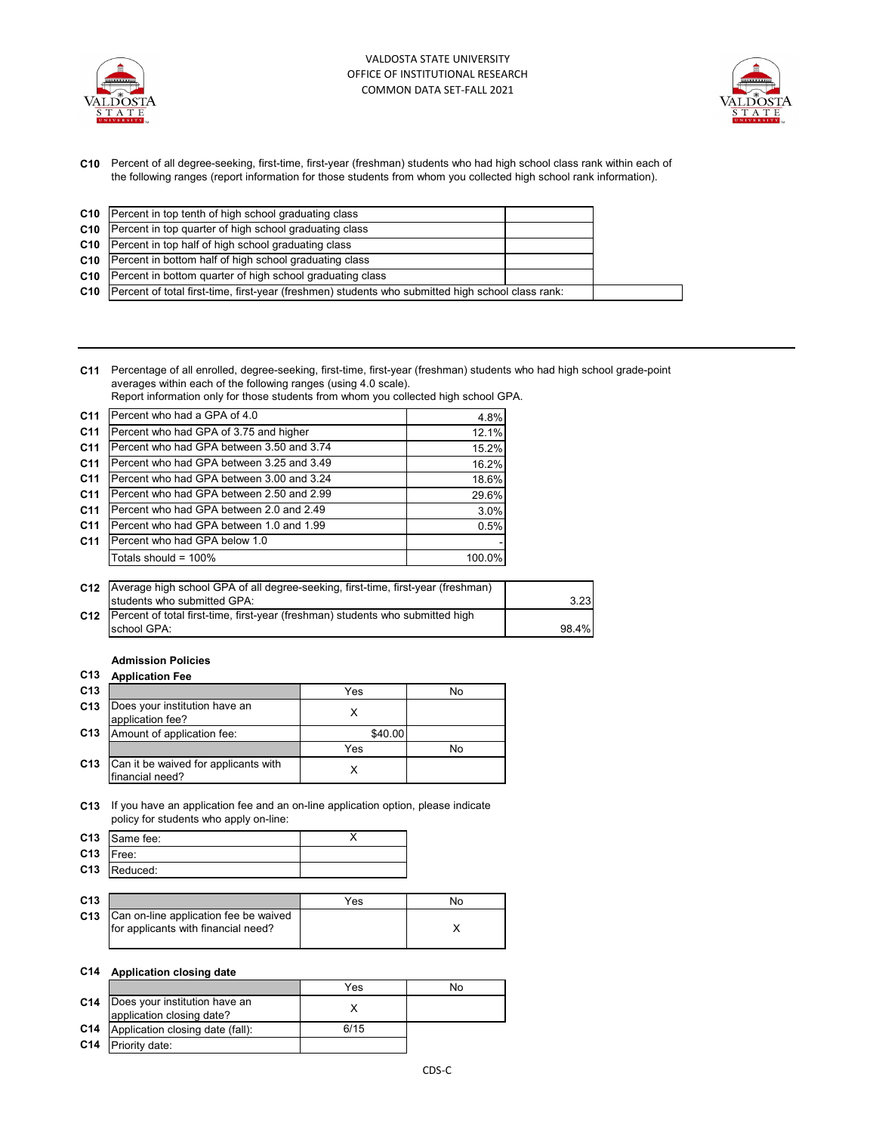



**C10** Percent of all degree-seeking, first-time, first-year (freshman) students who had high school class rank within each of the following ranges (report information for those students from whom you collected high school rank information).

| <b>C10</b> Percent in top tenth of high school graduating class                                         |  |
|---------------------------------------------------------------------------------------------------------|--|
| <b>C10</b> Percent in top quarter of high school graduating class                                       |  |
| <b>C10</b> Percent in top half of high school graduating class                                          |  |
| C10 Percent in bottom half of high school graduating class                                              |  |
| C10 Percent in bottom quarter of high school graduating class                                           |  |
| C10   Percent of total first-time, first-year (freshmen) students who submitted high school class rank: |  |

**C11** Percentage of all enrolled, degree-seeking, first-time, first-year (freshman) students who had high school grade-point averages within each of the following ranges (using 4.0 scale).

Report information only for those students from whom you collected high school GPA.

| C <sub>11</sub> | Percent who had a GPA of 4.0              | 4.8%   |
|-----------------|-------------------------------------------|--------|
| C <sub>11</sub> | Percent who had GPA of 3.75 and higher    | 12.1%  |
| C <sub>11</sub> | Percent who had GPA between 3.50 and 3.74 | 15.2%  |
| C <sub>11</sub> | Percent who had GPA between 3.25 and 3.49 | 16.2%  |
| C <sub>11</sub> | Percent who had GPA between 3.00 and 3.24 | 18.6%  |
| C <sub>11</sub> | Percent who had GPA between 2.50 and 2.99 | 29.6%  |
| C <sub>11</sub> | Percent who had GPA between 2.0 and 2.49  | 3.0%   |
| C <sub>11</sub> | Percent who had GPA between 1.0 and 1.99  | 0.5%   |
| C <sub>11</sub> | Percent who had GPA below 1.0             |        |
|                 | Totals should = $100\%$                   | 100.0% |

| C12 Average high school GPA of all degree-seeking, first-time, first-year (freshman) |       |
|--------------------------------------------------------------------------------------|-------|
| Istudents who submitted GPA:                                                         | 3.23  |
| C12   Percent of total first-time, first-year (freshman) students who submitted high |       |
| school GPA:                                                                          | 98.4% |

# **Admission Policies**

### **C13 Application Fee**

| C <sub>13</sub> |                                                         | Yes     | No |
|-----------------|---------------------------------------------------------|---------|----|
| C <sub>13</sub> | Does your institution have an<br>application fee?       |         |    |
| C13             | Amount of application fee:                              | \$40.00 |    |
|                 |                                                         | Yes     | No |
| C13             | Can it be waived for applicants with<br>financial need? |         |    |

**C13** If you have an application fee and an on-line application option, please indicate policy for students who apply on-line:

|             | C13 Same fee: |  |
|-------------|---------------|--|
| $C13$ Free: |               |  |
|             | C13 Reduced:  |  |

| C <sub>13</sub> |                                                                                    | Yes | No |
|-----------------|------------------------------------------------------------------------------------|-----|----|
|                 | C13   Can on-line application fee be waived<br>for applicants with financial need? |     |    |

### **C14 Application closing date**

|     |                                                                       | Yes  | No |
|-----|-----------------------------------------------------------------------|------|----|
|     | <b>C14</b> Does your institution have an<br>application closing date? |      |    |
|     | <b>C14</b> Application closing date (fall):                           | 6/15 |    |
| C14 | Priority date:                                                        |      |    |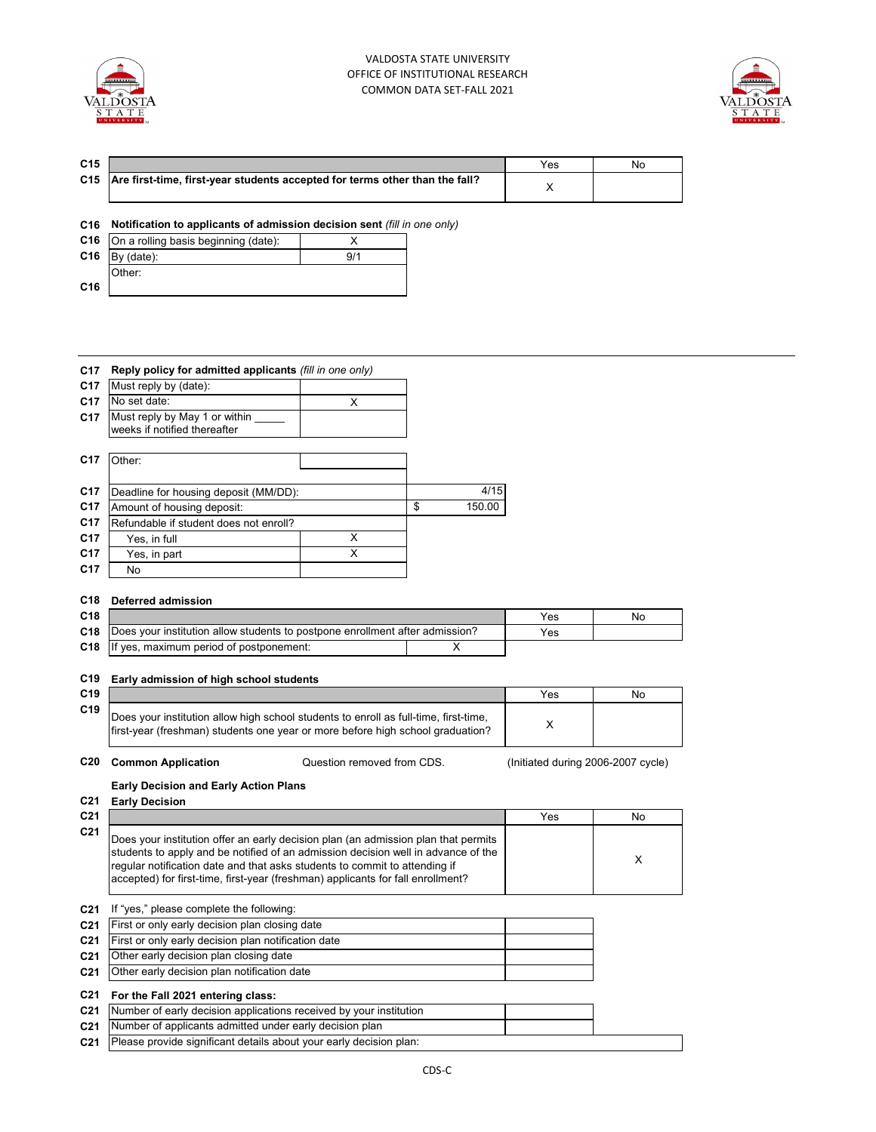



| C <sub>15</sub> |                                                                                   | Yes | No |
|-----------------|-----------------------------------------------------------------------------------|-----|----|
|                 | C15   Are first-time, first-year students accepted for terms other than the fall? |     |    |

## **C16 Notification to applicants of admission decision sent** *(fill in one only)*

|                 | <b>C16</b> On a rolling basis beginning (date): |     |
|-----------------|-------------------------------------------------|-----|
| C <sub>16</sub> | By (date):                                      | 9/1 |
|                 | Other:                                          |     |
| C <sub>16</sub> |                                                 |     |

| C <sub>17</sub> | Reply policy for admitted applicants (fill in one only)       |   |              |
|-----------------|---------------------------------------------------------------|---|--------------|
| C <sub>17</sub> | Must reply by (date):                                         |   |              |
| C <sub>17</sub> | No set date:                                                  | X |              |
| C <sub>17</sub> | Must reply by May 1 or within<br>weeks if notified thereafter |   |              |
| C <sub>17</sub> | Other:                                                        |   |              |
| C <sub>17</sub> | Deadline for housing deposit (MM/DD):                         |   | 4/15         |
| C <sub>17</sub> | Amount of housing deposit:                                    |   | \$<br>150.00 |
| C <sub>17</sub> | Refundable if student does not enroll?                        |   |              |
| C <sub>17</sub> | Yes, in full                                                  | X |              |
| C <sub>17</sub> | Yes, in part                                                  | x |              |
| C <sub>17</sub> | No                                                            |   |              |

## **C18 Deferred admission**

| C <sub>18</sub> |                                                                              | Yes. | No |
|-----------------|------------------------------------------------------------------------------|------|----|
| C18             | Does your institution allow students to postpone enrollment after admission? | Yes  |    |
|                 | <b>C18</b> If yes, maximum period of postponement:                           |      |    |

### **C19 Early admission of high school students**

| C19 |                                                                                                                                                                        | Yes | No |
|-----|------------------------------------------------------------------------------------------------------------------------------------------------------------------------|-----|----|
| C19 | Does your institution allow high school students to enroll as full-time, first-time,<br>first-year (freshman) students one year or more before high school graduation? |     |    |

**C20 Common Application Calcularies** Cuestion removed from CDS. (Initiated during 2006-2007 cycle) Question removed from CDS.

### **Early Decision and Early Action Plans**

| C <sub>21</sub>                                                                                                                                                                                                                                                                                                                                             | Yes | No |
|-------------------------------------------------------------------------------------------------------------------------------------------------------------------------------------------------------------------------------------------------------------------------------------------------------------------------------------------------------------|-----|----|
| C <sub>21</sub><br>Does your institution offer an early decision plan (an admission plan that permits<br>students to apply and be notified of an admission decision well in advance of the<br>reqular notification date and that asks students to commit to attending if<br>accepted) for first-time, first-year (freshman) applicants for fall enrollment? |     |    |

**C21** If "yes," please complete the following:

| <b>C21</b> First or only early decision plan closing date      |  |
|----------------------------------------------------------------|--|
| <b>C21</b> First or only early decision plan notification date |  |

- **C21** Other early decision plan closing date
- **C21** Other early decision plan notification date

**C21 For the Fall 2021 entering class:**

| <b>C21</b> Number of early decision applications received by your institution<br><b>C21</b> Number of applicants admitted under early decision plan |  |  |
|-----------------------------------------------------------------------------------------------------------------------------------------------------|--|--|
|                                                                                                                                                     |  |  |
|                                                                                                                                                     |  |  |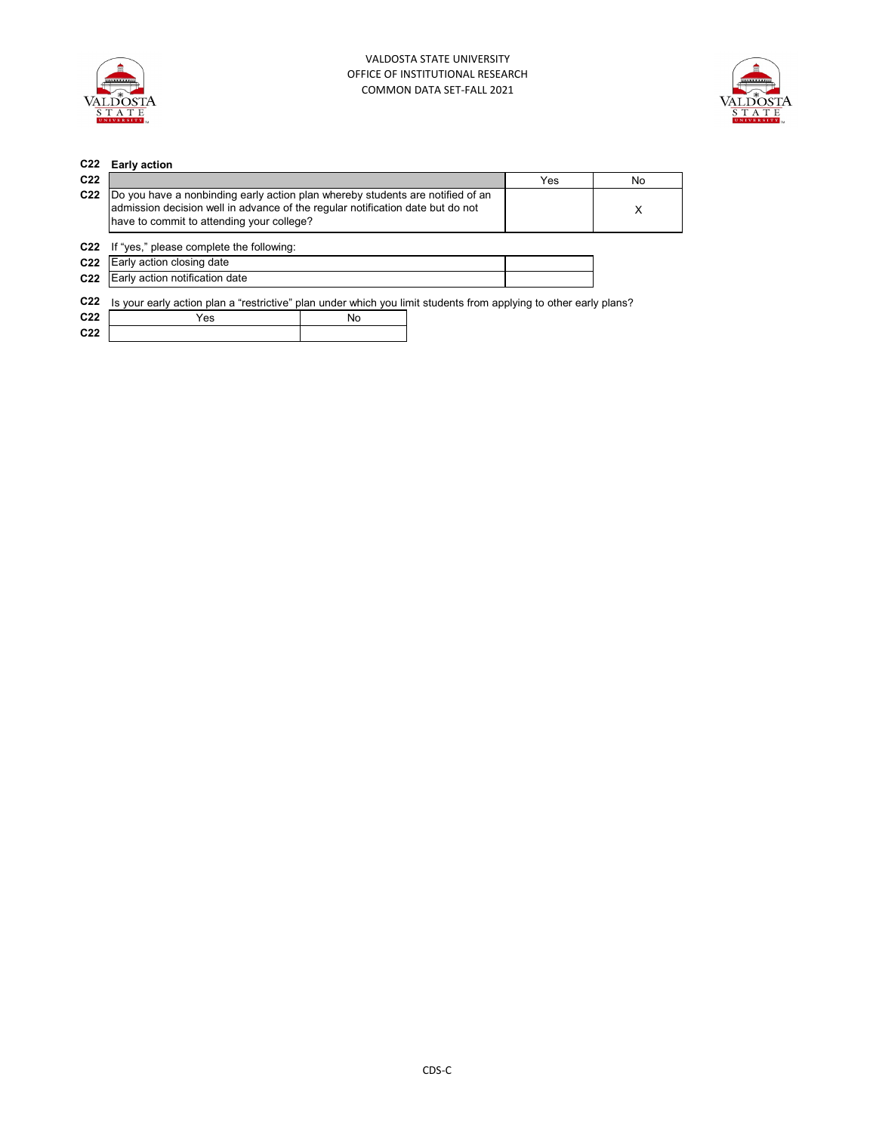



| C <sub>22</sub> | <b>Early action</b>                                                                                                                                                                                           |    |     |     |
|-----------------|---------------------------------------------------------------------------------------------------------------------------------------------------------------------------------------------------------------|----|-----|-----|
| C <sub>22</sub> |                                                                                                                                                                                                               |    | Yes | No. |
| C <sub>22</sub> | Do you have a nonbinding early action plan whereby students are notified of an<br>admission decision well in advance of the regular notification date but do not<br>have to commit to attending your college? |    |     | X   |
| C <sub>22</sub> | If "yes," please complete the following:                                                                                                                                                                      |    |     |     |
| C <sub>22</sub> | Early action closing date                                                                                                                                                                                     |    |     |     |
| C <sub>22</sub> | Early action notification date                                                                                                                                                                                |    |     |     |
| C <sub>22</sub> | Is your early action plan a "restrictive" plan under which you limit students from applying to other early plans?                                                                                             |    |     |     |
| C <sub>22</sub> | Yes                                                                                                                                                                                                           | No |     |     |
| C <sub>22</sub> |                                                                                                                                                                                                               |    |     |     |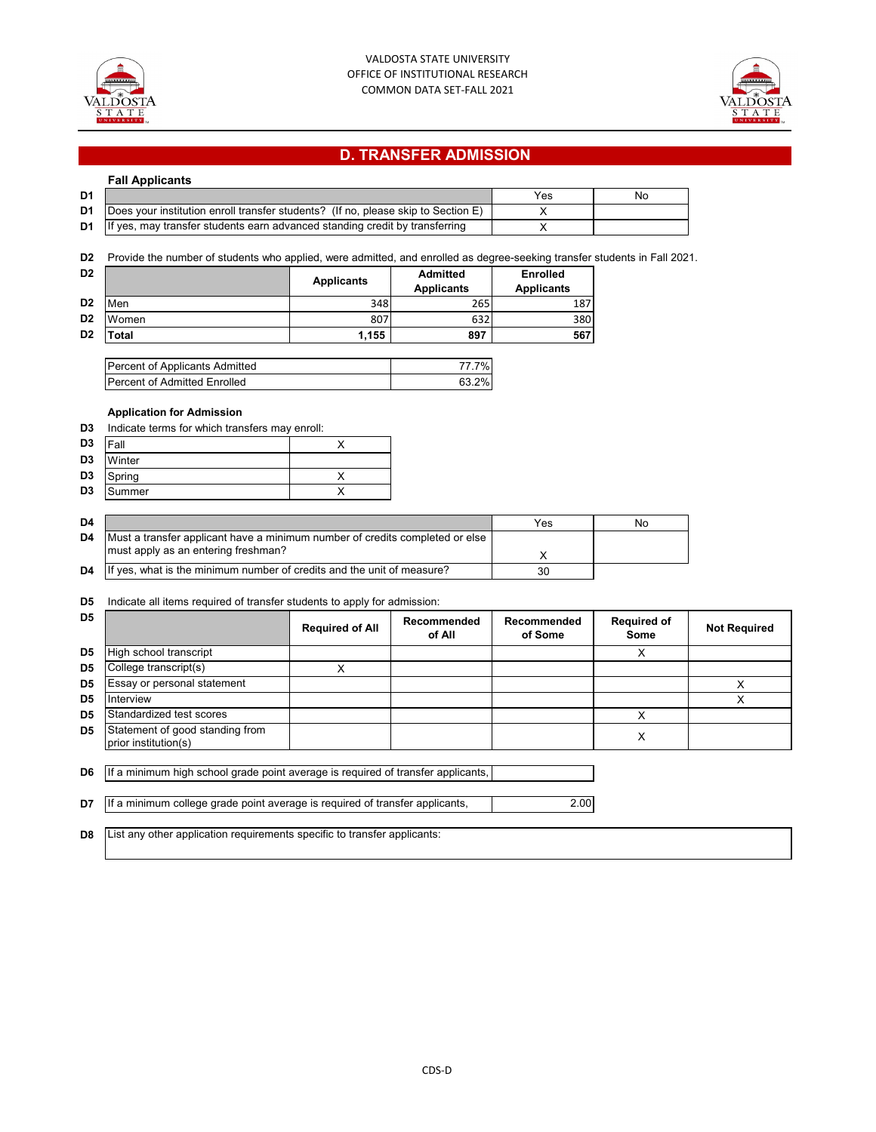



# **D. TRANSFER ADMISSION**

| <b>Fall Applicants</b> |  |
|------------------------|--|
|------------------------|--|

| D <sub>1</sub> |                                                                                           | Yes | No |
|----------------|-------------------------------------------------------------------------------------------|-----|----|
|                | D1   Does your institution enroll transfer students? (If no, please skip to Section $E$ ) |     |    |
|                | $\mathsf{D1}$ If yes, may transfer students earn advanced standing credit by transferring |     |    |

**D2** Provide the number of students who applied, were admitted, and enrolled as degree-seeking transfer students in Fall 2021.

| D <sub>2</sub> |       | <b>Applicants</b> | <b>Admitted</b><br><b>Applicants</b> | <b>Enrolled</b><br><b>Applicants</b> |
|----------------|-------|-------------------|--------------------------------------|--------------------------------------|
| D <sub>2</sub> | Men   | 348               | 265                                  | 187                                  |
| D <sub>2</sub> | Women | 807               | 632                                  | 380                                  |
| D <sub>2</sub> | ⊺otal | 1,155             | 897                                  | 567                                  |

| Percent of Applicants Admitted      | 77.7%l |
|-------------------------------------|--------|
| <b>Percent of Admitted Enrolled</b> | 63.2%  |

## **Application for Admission**

| D3             | Indicate terms for which transfers may enroll: |  |  |  |  |
|----------------|------------------------------------------------|--|--|--|--|
| D <sub>3</sub> | Fall                                           |  |  |  |  |
| D <sub>3</sub> | Winter                                         |  |  |  |  |
| D <sub>3</sub> | Spring                                         |  |  |  |  |
| D <sub>3</sub> | Summer                                         |  |  |  |  |

| D <sub>4</sub> |                                                                              | Yes | Nο |
|----------------|------------------------------------------------------------------------------|-----|----|
| D4             | Must a transfer applicant have a minimum number of credits completed or else |     |    |
|                | must apply as an entering freshman?                                          |     |    |
| D4             | If yes, what is the minimum number of credits and the unit of measure?       | 30  |    |

### **D5** Indicate all items required of transfer students to apply for admission:

| D <sub>5</sub> |                                                                                  | <b>Required of All</b> | Recommended<br>of All | Recommended<br>of Some | <b>Required of</b><br>Some | <b>Not Required</b> |
|----------------|----------------------------------------------------------------------------------|------------------------|-----------------------|------------------------|----------------------------|---------------------|
| D <sub>5</sub> | High school transcript                                                           |                        |                       |                        | X                          |                     |
| D <sub>5</sub> | College transcript(s)                                                            | X                      |                       |                        |                            |                     |
| D5             | Essay or personal statement                                                      |                        |                       |                        |                            | X                   |
| D <sub>5</sub> | Interview                                                                        |                        |                       |                        |                            | X                   |
| D <sub>5</sub> | Standardized test scores                                                         |                        |                       |                        | X                          |                     |
| D <sub>5</sub> | Statement of good standing from<br>prior institution(s)                          |                        |                       |                        | X                          |                     |
| D6             | If a minimum high school grade point average is required of transfer applicants, |                        |                       |                        |                            |                     |
| D7             | If a minimum college grade point average is required of transfer applicants,     |                        |                       | 2.00                   |                            |                     |
| D8             | List any other application requirements specific to transfer applicants:         |                        |                       |                        |                            |                     |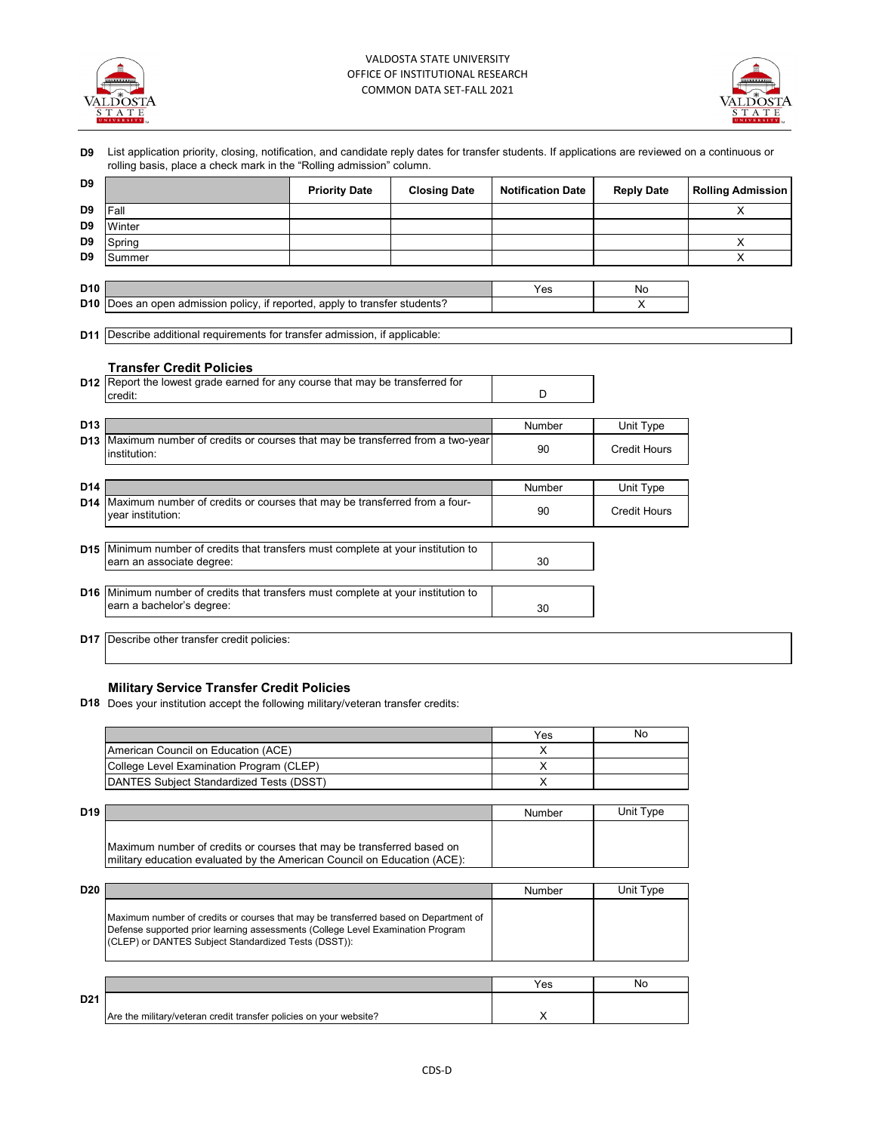



|                 |                                                                                                                       | <b>Priority Date</b> | <b>Closing Date</b> | <b>Notification Date</b> | <b>Reply Date</b>   | <b>Rolling Admission</b> |
|-----------------|-----------------------------------------------------------------------------------------------------------------------|----------------------|---------------------|--------------------------|---------------------|--------------------------|
| D <sub>9</sub>  | Fall                                                                                                                  |                      |                     |                          |                     | X                        |
| D <sub>9</sub>  | Winter                                                                                                                |                      |                     |                          |                     |                          |
| D <sub>9</sub>  | Spring                                                                                                                |                      |                     |                          |                     | X                        |
| D9              | Summer                                                                                                                |                      |                     |                          |                     | X                        |
| D <sub>10</sub> |                                                                                                                       |                      |                     | Yes                      | No                  |                          |
|                 | <b>D10</b> Does an open admission policy, if reported, apply to transfer students?                                    |                      |                     |                          | X                   |                          |
|                 | <b>D11</b> Describe additional requirements for transfer admission, if applicable:                                    |                      |                     |                          |                     |                          |
|                 | <b>Transfer Credit Policies</b>                                                                                       |                      |                     |                          |                     |                          |
|                 | <b>D12</b> Report the lowest grade earned for any course that may be transferred for<br>credit:                       |                      |                     | D                        |                     |                          |
| D <sub>13</sub> |                                                                                                                       |                      |                     | Number                   | Unit Type           |                          |
|                 | <b>D13</b> Maximum number of credits or courses that may be transferred from a two-year<br>institution:               |                      |                     | 90                       | <b>Credit Hours</b> |                          |
| D14             |                                                                                                                       |                      |                     | Number                   | Unit Type           |                          |
|                 | <b>D14</b> Maximum number of credits or courses that may be transferred from a four-<br>vear institution:             |                      |                     | 90                       | <b>Credit Hours</b> |                          |
|                 | D15 Minimum number of credits that transfers must complete at your institution to                                     |                      |                     |                          |                     |                          |
|                 | earn an associate degree:                                                                                             |                      |                     | 30                       |                     |                          |
|                 | <b>D16</b> Minimum number of credits that transfers must complete at your institution to<br>earn a bachelor's degree: |                      |                     | 30                       |                     |                          |

## **Military Service Transfer Credit Policies**

**D18** Does your institution accept the following military/veteran transfer credits:

|                                                  | Yes | No |
|--------------------------------------------------|-----|----|
| American Council on Education (ACE)              |     |    |
| College Level Examination Program (CLEP)         |     |    |
| <b>IDANTES Subject Standardized Tests (DSST)</b> |     |    |

| D19 |                                                                           | Number | Unit Type |
|-----|---------------------------------------------------------------------------|--------|-----------|
|     | Maximum number of credits or courses that may be transferred based on     |        |           |
|     | Imilitary education evaluated by the American Council on Education (ACE): |        |           |

| D <sub>20</sub> |                                                                                                                                                                                                                                | <b>Number</b> | Unit Type |
|-----------------|--------------------------------------------------------------------------------------------------------------------------------------------------------------------------------------------------------------------------------|---------------|-----------|
|                 | Maximum number of credits or courses that may be transferred based on Department of<br>Defense supported prior learning assessments (College Level Examination Program<br>(CLEP) or DANTES Subject Standardized Tests (DSST)): |               |           |
|                 |                                                                                                                                                                                                                                | Yes           | No.       |
| D <sub>21</sub> | Are the military/veteran credit transfer policies on your website?                                                                                                                                                             |               |           |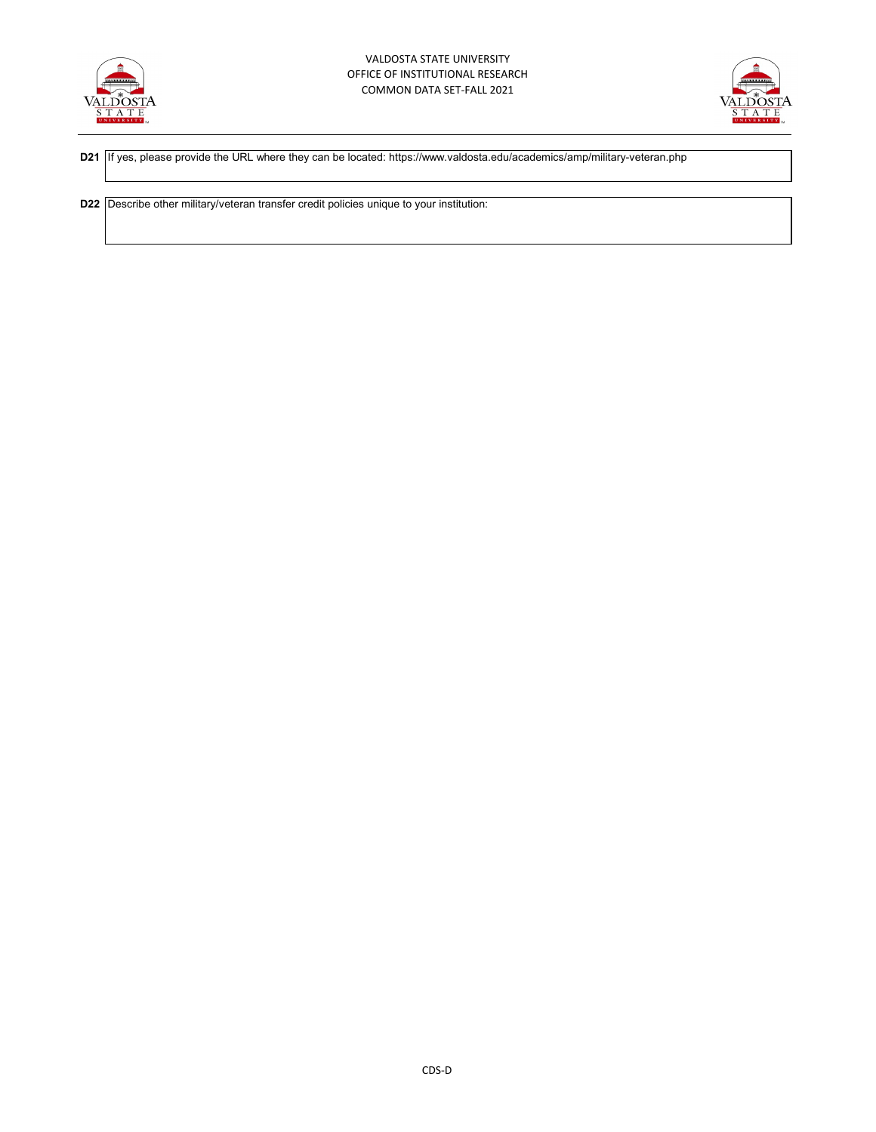



**D21** If yes, please provide the URL where they can be located: https://www.valdosta.edu/academics/amp/military-veteran.php

**D22** Describe other military/veteran transfer credit policies unique to your institution: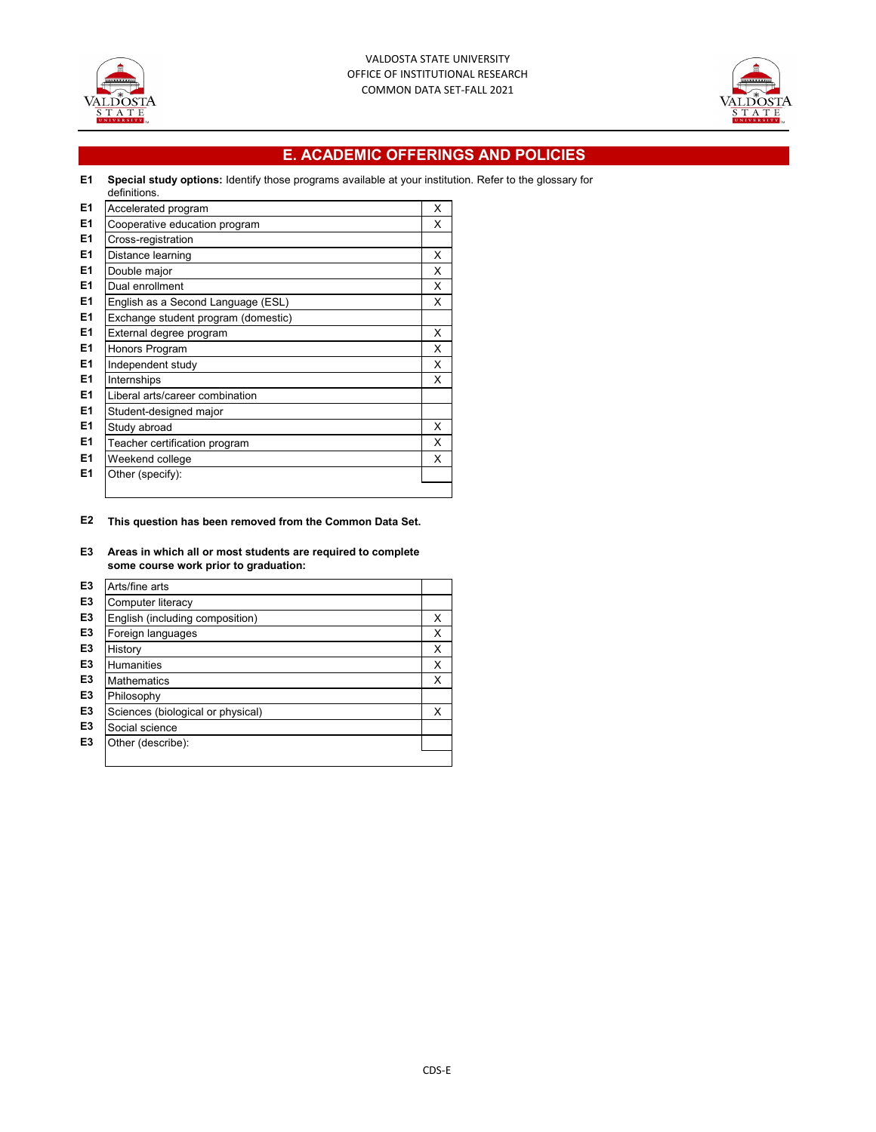



## **E. ACADEMIC OFFERINGS AND POLICIES**

#### **E1 Special study options:** Identify those programs available at your institution. Refer to the glossary for definitions.

| E <sub>1</sub> | Accelerated program                 | X |
|----------------|-------------------------------------|---|
| E <sub>1</sub> | Cooperative education program       | X |
| E <sub>1</sub> | Cross-registration                  |   |
| E <sub>1</sub> | Distance learning                   | X |
| E <sub>1</sub> | Double major                        | X |
| E <sub>1</sub> | Dual enrollment                     | X |
| E <sub>1</sub> | English as a Second Language (ESL)  | X |
| E <sub>1</sub> | Exchange student program (domestic) |   |
| E <sub>1</sub> | External degree program             | X |
| E <sub>1</sub> | Honors Program                      | X |
| E <sub>1</sub> | Independent study                   | X |
| E <sub>1</sub> | Internships                         | X |
| E <sub>1</sub> | Liberal arts/career combination     |   |
| E <sub>1</sub> | Student-designed major              |   |
| E <sub>1</sub> | Study abroad                        | X |
| E <sub>1</sub> | Teacher certification program       | X |
| E <sub>1</sub> | Weekend college                     | X |
| E1             | Other (specify):                    |   |
|                |                                     |   |

#### **E2 This question has been removed from the Common Data Set.**

#### **E3 Areas in which all or most students are required to complete some course work prior to graduation:**

| E <sub>3</sub> | Arts/fine arts                    |   |
|----------------|-----------------------------------|---|
| E <sub>3</sub> | Computer literacy                 |   |
| E <sub>3</sub> | English (including composition)   | Χ |
| E <sub>3</sub> | Foreign languages                 | X |
| E <sub>3</sub> | History                           | X |
| E <sub>3</sub> | <b>Humanities</b>                 | X |
| E <sub>3</sub> | <b>Mathematics</b>                | X |
| E <sub>3</sub> | Philosophy                        |   |
| E <sub>3</sub> | Sciences (biological or physical) | X |
| E <sub>3</sub> | Social science                    |   |
| E <sub>3</sub> | Other (describe):                 |   |
|                |                                   |   |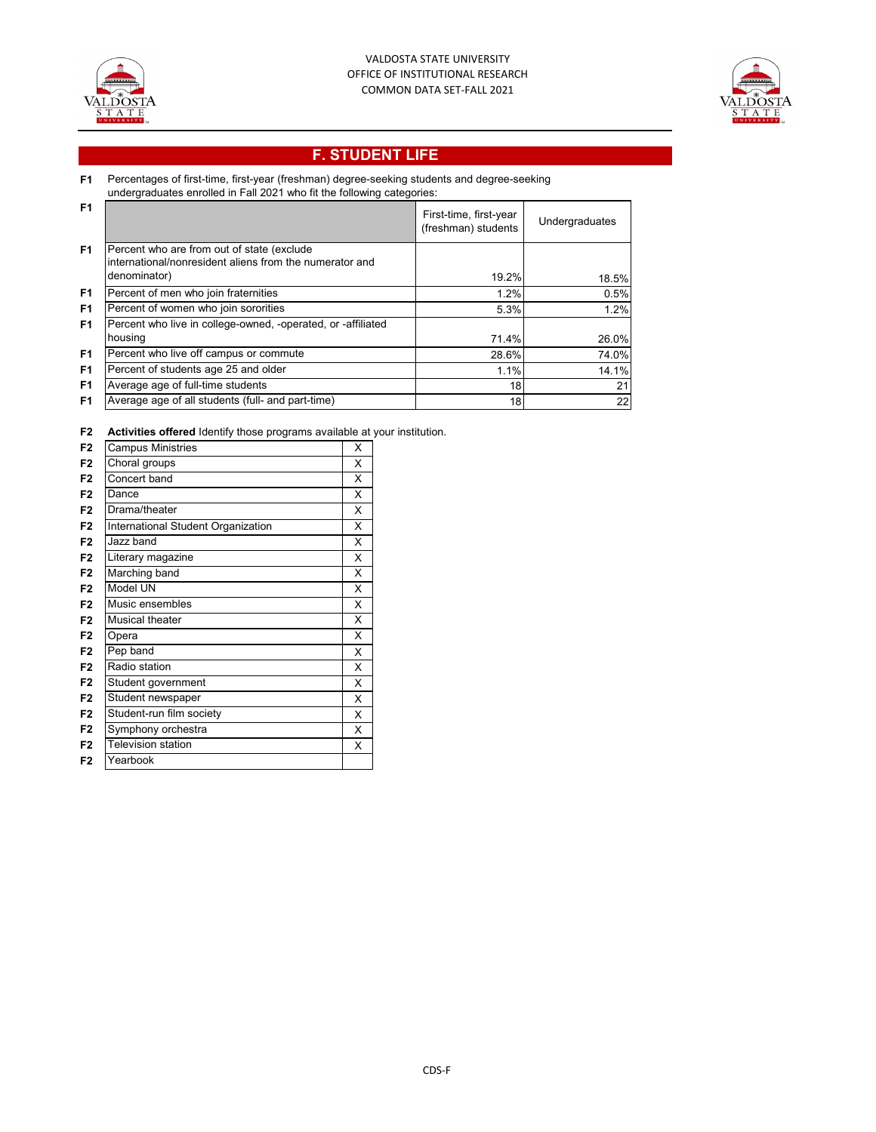



# **F. STUDENT LIFE**

#### **F1** Percentages of first-time, first-year (freshman) degree-seeking students and degree-seeking

undergraduates enrolled in Fall 2021 who fit the following categories:

| - F1           |                                                                                                       | First-time, first-year<br>(freshman) students | Undergraduates |
|----------------|-------------------------------------------------------------------------------------------------------|-----------------------------------------------|----------------|
| F <sub>1</sub> | Percent who are from out of state (exclude<br>international/nonresident aliens from the numerator and |                                               |                |
|                | denominator)                                                                                          | 19.2%                                         |                |
|                |                                                                                                       |                                               | 18.5%          |
| F <sub>1</sub> | Percent of men who join fraternities                                                                  | 1.2%                                          | 0.5%           |
| F <sub>1</sub> | Percent of women who join sororities                                                                  | 5.3%                                          | 1.2%           |
| F <sub>1</sub> | Percent who live in college-owned, -operated, or -affiliated                                          |                                               |                |
|                | housing                                                                                               | 71.4%                                         | 26.0%          |
| F <sub>1</sub> | Percent who live off campus or commute                                                                | 28.6%                                         | 74.0%          |
| F <sub>1</sub> | Percent of students age 25 and older                                                                  | 1.1%                                          | 14.1%          |
| F <sub>1</sub> | Average age of full-time students                                                                     | 18                                            | 21             |
| F <sub>1</sub> | Average age of all students (full- and part-time)                                                     | 18                                            | 22             |

#### **F2 Activities offered** Identify those programs available at your institution.

|                | $\frac{1}{2}$                      |   |
|----------------|------------------------------------|---|
| F <sub>2</sub> | <b>Campus Ministries</b>           | X |
| F <sub>2</sub> | Choral groups                      | X |
| F <sub>2</sub> | Concert band                       | X |
| F <sub>2</sub> | Dance                              | X |
| F <sub>2</sub> | Drama/theater                      | X |
| F <sub>2</sub> | International Student Organization | X |
| F <sub>2</sub> | Jazz band                          | X |
| F <sub>2</sub> | Literary magazine                  | X |
| F <sub>2</sub> | Marching band                      | X |
| F <sub>2</sub> | Model UN                           | X |
| F <sub>2</sub> | Music ensembles                    | X |
| F <sub>2</sub> | <b>Musical theater</b>             | X |
| F <sub>2</sub> | Opera                              | X |
| F <sub>2</sub> | Pep band                           | X |
| F <sub>2</sub> | Radio station                      | X |
| F <sub>2</sub> | Student government                 | X |
| F <sub>2</sub> | Student newspaper                  | X |
| F <sub>2</sub> | Student-run film society           | X |
| F <sub>2</sub> | Symphony orchestra                 | X |
| F <sub>2</sub> | <b>Television station</b>          | X |
| F <sub>2</sub> | Yearbook                           |   |
|                |                                    |   |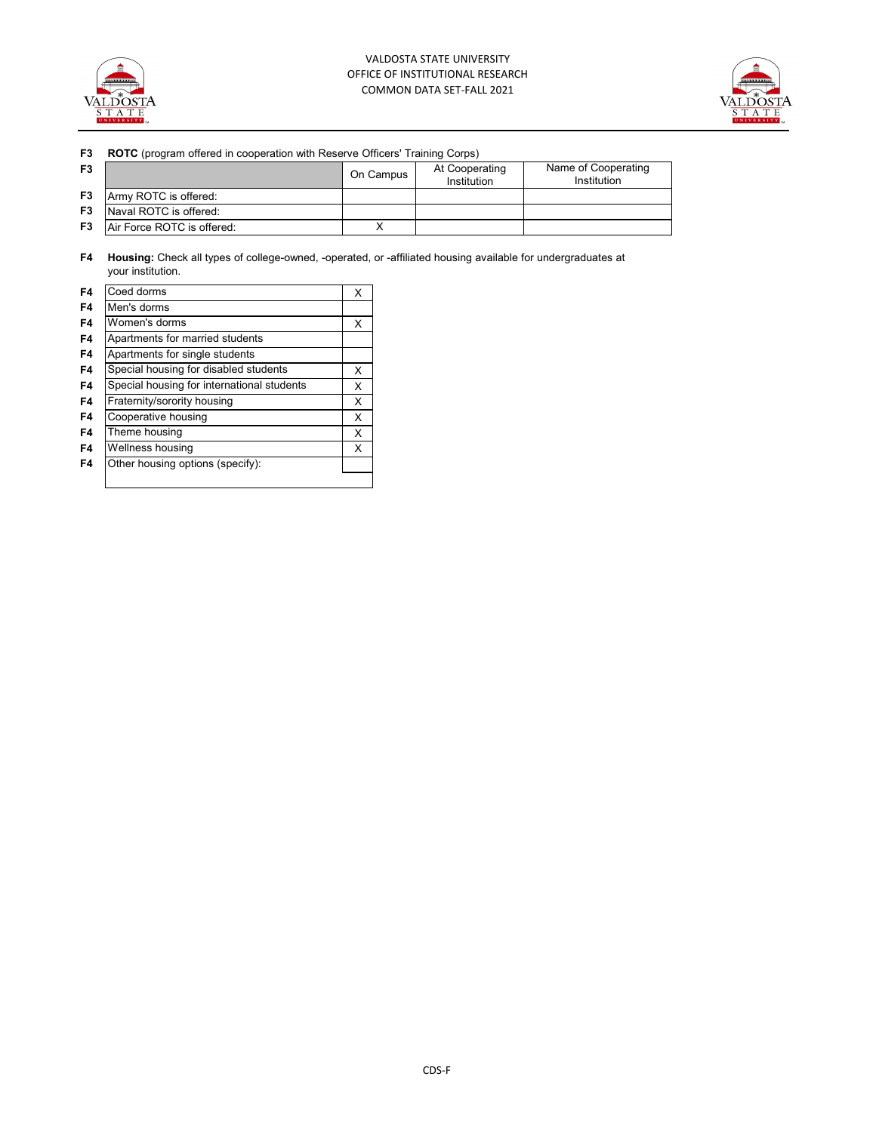



## **F3 ROTC** (program offered in cooperation with Reserve Officers' Training Corps)

| F <sub>3</sub> |                            | On Campus | At Cooperating<br>Institution | Name of Cooperating<br>Institution |
|----------------|----------------------------|-----------|-------------------------------|------------------------------------|
| F <sub>3</sub> | Army ROTC is offered:      |           |                               |                                    |
| F <sub>3</sub> | Naval ROTC is offered:     |           |                               |                                    |
| F <sub>3</sub> | Air Force ROTC is offered: |           |                               |                                    |

**F4 Housing:** Check all types of college-owned, -operated, or -affiliated housing available for undergraduates at your institution.

| F4 | Coed dorms                                 | х |
|----|--------------------------------------------|---|
| F4 | Men's dorms                                |   |
| F4 | Women's dorms                              | х |
| F4 | Apartments for married students            |   |
| F4 | Apartments for single students             |   |
| F4 | Special housing for disabled students      | X |
| F4 | Special housing for international students | X |
| F4 | Fraternity/sorority housing                | х |
| F4 | Cooperative housing                        | X |
| F4 | Theme housing                              | x |
| F4 | Wellness housing                           | х |
| F4 | Other housing options (specify):           |   |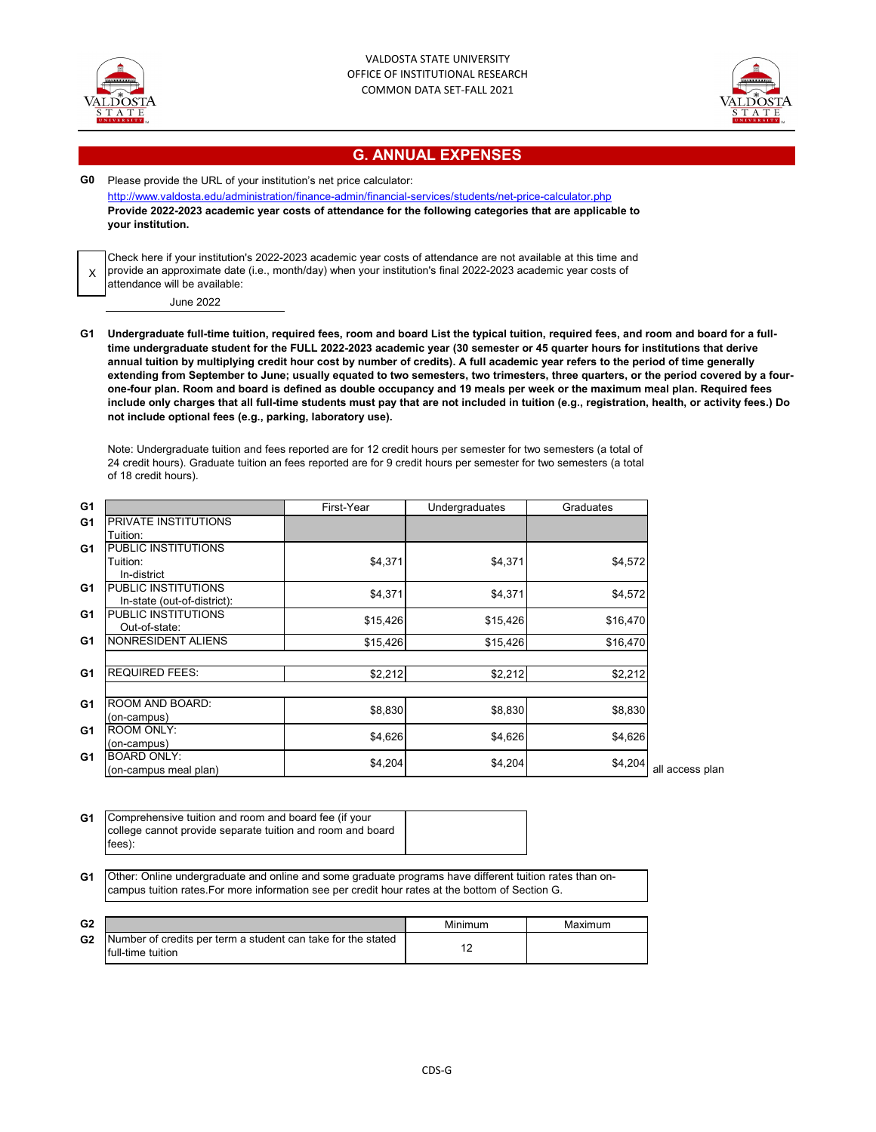



## **G. ANNUAL EXPENSES**

**G0** Please provide the URL of your institution's net price calculator: <http://www.valdosta.edu/administration/finance-admin/financial-services/students/net-price-calculator.php> **Provide 2022-2023 academic year costs of attendance for the following categories that are applicable to your institution.**

X Check here if your institution's 2022-2023 academic year costs of attendance are not available at this time and provide an approximate date (i.e., month/day) when your institution's final 2022-2023 academic year costs of attendance will be available:

June 2022

**G1 Undergraduate full-time tuition, required fees, room and board List the typical tuition, required fees, and room and board for a fulltime undergraduate student for the FULL 2022-2023 academic year (30 semester or 45 quarter hours for institutions that derive annual tuition by multiplying credit hour cost by number of credits). A full academic year refers to the period of time generally extending from September to June; usually equated to two semesters, two trimesters, three quarters, or the period covered by a fourone-four plan. Room and board is defined as double occupancy and 19 meals per week or the maximum meal plan. Required fees include only charges that all full-time students must pay that are not included in tuition (e.g., registration, health, or activity fees.) Do not include optional fees (e.g., parking, laboratory use).**

Note: Undergraduate tuition and fees reported are for 12 credit hours per semester for two semesters (a total of 24 credit hours). Graduate tuition an fees reported are for 9 credit hours per semester for two semesters (a total of 18 credit hours).

| G1             |                             | First-Year | Undergraduates | Graduates |
|----------------|-----------------------------|------------|----------------|-----------|
| G1             | <b>PRIVATE INSTITUTIONS</b> |            |                |           |
|                | Tuition:                    |            |                |           |
| G <sub>1</sub> | PUBLIC INSTITUTIONS         |            |                |           |
|                | Tuition:                    | \$4,371    | \$4,371        | \$4,572   |
|                | In-district                 |            |                |           |
| G <sub>1</sub> | <b>PUBLIC INSTITUTIONS</b>  | \$4,371    | \$4,371        | \$4,572   |
|                | In-state (out-of-district): |            |                |           |
| G <sub>1</sub> | PUBLIC INSTITUTIONS         | \$15,426   | \$15,426       | \$16,470  |
|                | Out-of-state:               |            |                |           |
| G <sub>1</sub> | NONRESIDENT ALIENS          | \$15,426   | \$15,426       | \$16,470  |
|                |                             |            |                |           |
| G <sub>1</sub> | <b>REQUIRED FEES:</b>       | \$2,212    | \$2,212        | \$2,212   |
|                |                             |            |                |           |
| G <sub>1</sub> | ROOM AND BOARD:             |            |                |           |
|                | (on-campus)                 | \$8,830    | \$8,830        | \$8,830   |
| G <sub>1</sub> | <b>ROOM ONLY:</b>           |            |                |           |
|                | (on-campus)                 | \$4,626    | \$4,626        | \$4,626   |
| G1             | <b>BOARD ONLY:</b>          | \$4,204    |                | \$4,204   |
|                | (on-campus meal plan)       |            | \$4,204        |           |
|                |                             |            |                |           |

| G1 | Comprehensive tuition and room and board fee (if your      |  |
|----|------------------------------------------------------------|--|
|    | college cannot provide separate tuition and room and board |  |
|    | fees):                                                     |  |

**G1** Other: Online undergraduate and online and some graduate programs have different tuition rates than oncampus tuition rates.For more information see per credit hour rates at the bottom of Section G.

| G <sub>2</sub> |                                                                                   | Minimum | Maximum |
|----------------|-----------------------------------------------------------------------------------|---------|---------|
| G <sub>2</sub> | Number of credits per term a student can take for the stated<br>full-time tuition |         |         |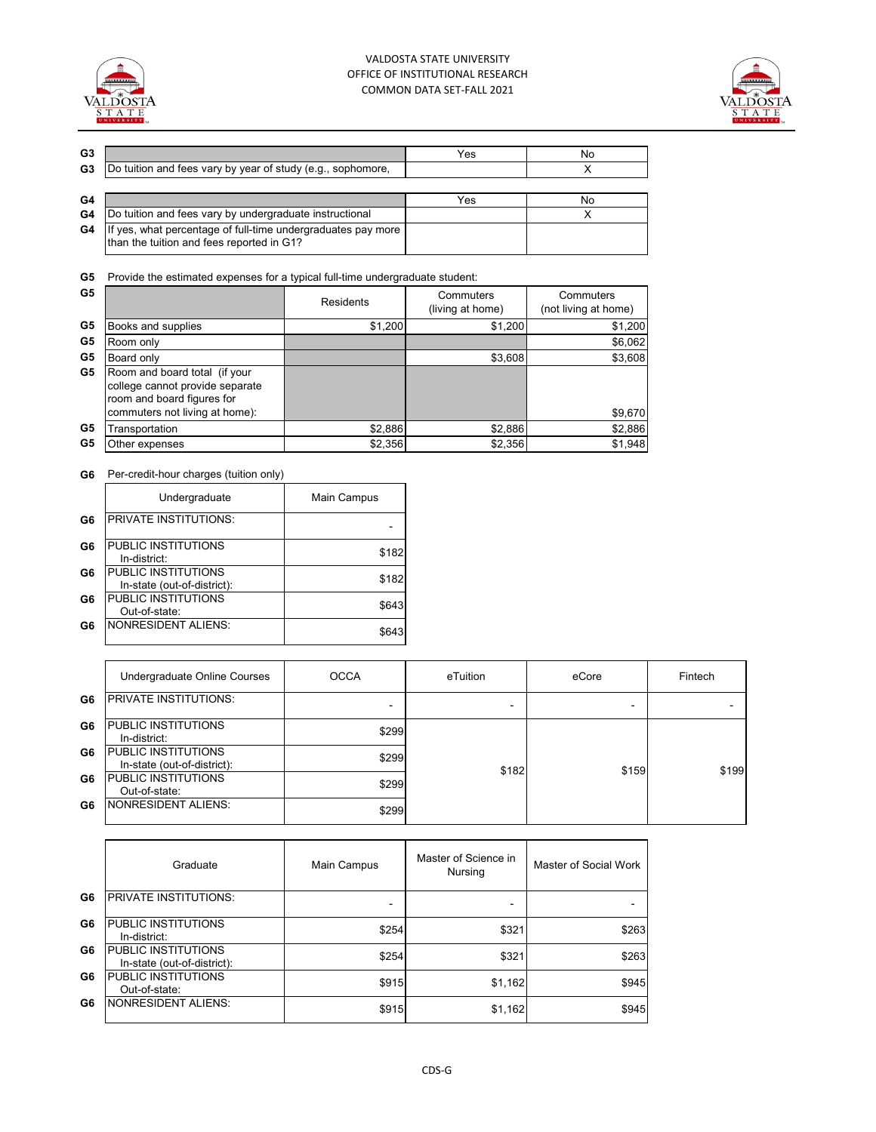



| G3 |                                                                                                           | Yes | No |
|----|-----------------------------------------------------------------------------------------------------------|-----|----|
| G3 | Do tuition and fees vary by year of study (e.g., sophomore,                                               |     |    |
|    |                                                                                                           |     |    |
| G4 |                                                                                                           | Yes | No |
| G4 | Do tuition and fees vary by undergraduate instructional                                                   |     |    |
| G4 | If yes, what percentage of full-time undergraduates pay more<br>than the tuition and fees reported in G1? |     |    |

**G5** Provide the estimated expenses for a typical full-time undergraduate student:

| G5 |                                                                                                                                  | Residents | Commuters<br>(living at home) | Commuters<br>(not living at home) |
|----|----------------------------------------------------------------------------------------------------------------------------------|-----------|-------------------------------|-----------------------------------|
| G5 | Books and supplies                                                                                                               | \$1,200   | \$1,200                       | \$1,200                           |
| G5 | Room only                                                                                                                        |           |                               | \$6,062                           |
| G5 | Board only                                                                                                                       |           | \$3,608                       | \$3,608                           |
| G5 | Room and board total (if your<br>college cannot provide separate<br>room and board figures for<br>commuters not living at home): |           |                               | \$9,670                           |
| G5 | Transportation                                                                                                                   | \$2,886   | \$2,886                       | \$2,886                           |
| G5 | Other expenses                                                                                                                   | \$2,356   | \$2,356                       | \$1,948                           |

### **G6** Per-credit-hour charges (tuition only)

|    | Undergraduate                                      | Main Campus |  |
|----|----------------------------------------------------|-------------|--|
| G6 | <b>PRIVATE INSTITUTIONS:</b>                       |             |  |
| G6 | PUBLIC INSTITUTIONS<br>In-district:                | \$182       |  |
| G6 | PUBLIC INSTITUTIONS<br>In-state (out-of-district): | \$182       |  |
| G6 | PUBLIC INSTITUTIONS<br>Out-of-state:               | \$643       |  |
| G6 | <b>NONRESIDENT ALIENS:</b>                         | \$643       |  |

|    | Undergraduate Online Courses                              | <b>OCCA</b> | eTuition | eCore | Fintech |
|----|-----------------------------------------------------------|-------------|----------|-------|---------|
| G6 | <b>PRIVATE INSTITUTIONS:</b>                              |             | -        |       |         |
| G6 | PUBLIC INSTITUTIONS<br>In-district:                       | \$299       |          |       | \$199   |
| G6 | <b>PUBLIC INSTITUTIONS</b><br>In-state (out-of-district): | \$299       | \$182    | \$159 |         |
| G6 | <b>PUBLIC INSTITUTIONS</b><br>Out-of-state:               | \$299       |          |       |         |
| G6 | <b>NONRESIDENT ALIENS:</b>                                | \$299       |          |       |         |

|    | Graduate                                                  | Main Campus | Master of Science in<br>Nursing | Master of Social Work |
|----|-----------------------------------------------------------|-------------|---------------------------------|-----------------------|
| G6 | PRIVATE INSTITUTIONS:                                     |             |                                 |                       |
| G6 | <b>PUBLIC INSTITUTIONS</b><br>In-district:                | \$254       | \$321                           | \$263                 |
| G6 | <b>PUBLIC INSTITUTIONS</b><br>In-state (out-of-district): | \$254       | \$321                           | \$263                 |
| G6 | <b>PUBLIC INSTITUTIONS</b><br>Out-of-state:               | \$915       | \$1,162                         | \$945                 |
| G6 | <b>NONRESIDENT ALIENS:</b>                                | \$915       | \$1,162                         | \$945                 |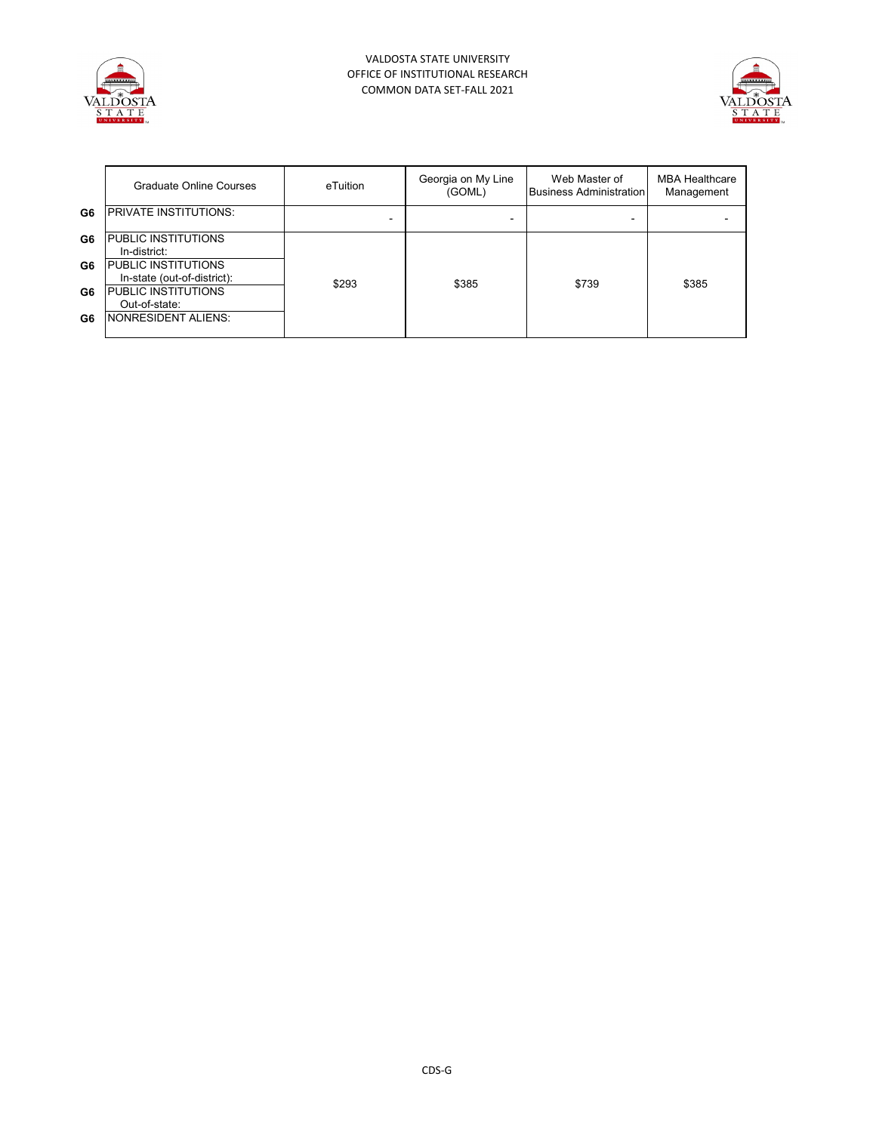



|    | Graduate Online Courses                            | eTuition | Georgia on My Line<br>(GOML) | Web Master of<br><b>Business Administration</b> | <b>MBA Healthcare</b><br>Management |
|----|----------------------------------------------------|----------|------------------------------|-------------------------------------------------|-------------------------------------|
| G6 | <b>PRIVATE INSTITUTIONS:</b>                       |          |                              |                                                 |                                     |
| G6 | PUBLIC INSTITUTIONS<br>In-district:                |          |                              |                                                 |                                     |
| G6 | PUBLIC INSTITUTIONS<br>In-state (out-of-district): | \$293    | \$385                        | \$739                                           | \$385                               |
| G6 | PUBLIC INSTITUTIONS<br>Out-of-state:               |          |                              |                                                 |                                     |
| G6 | <b>NONRESIDENT ALIENS:</b>                         |          |                              |                                                 |                                     |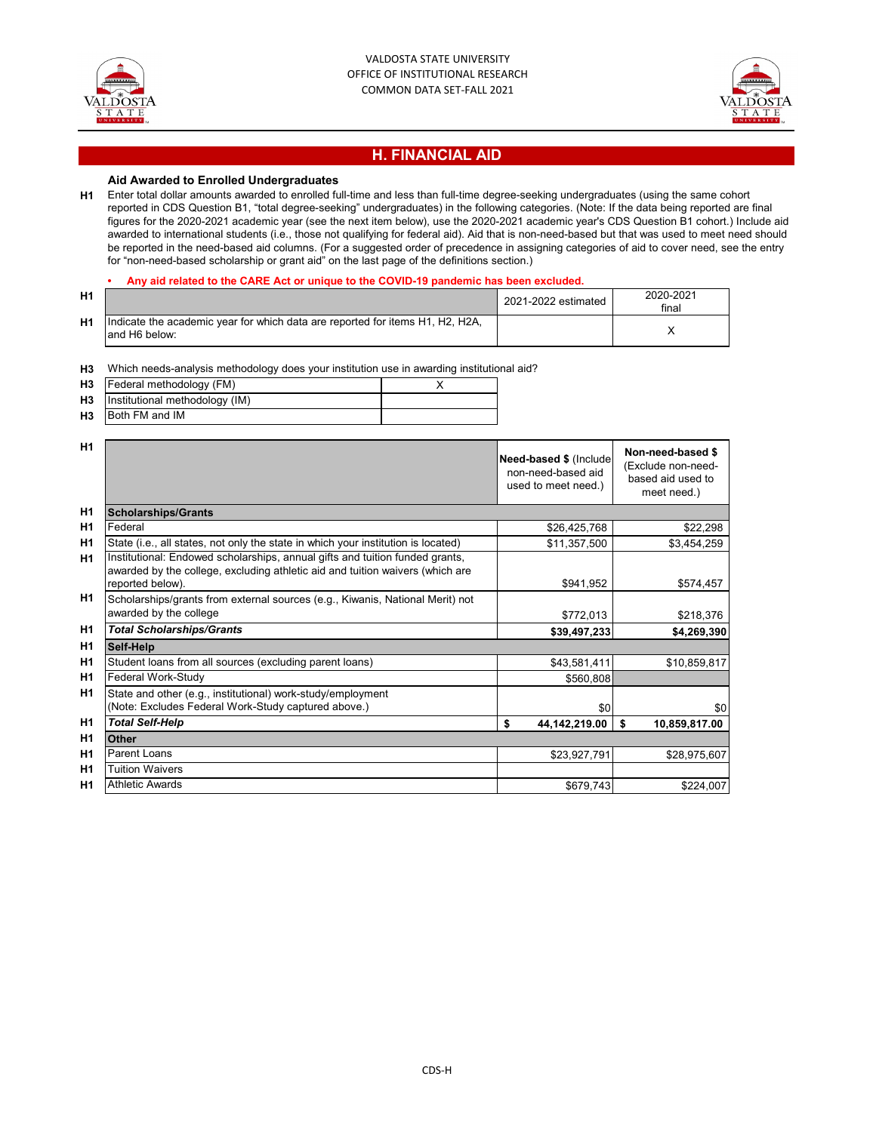



## **H. FINANCIAL AID**

### **Aid Awarded to Enrolled Undergraduates**

**H1** Enter total dollar amounts awarded to enrolled full-time and less than full-time degree-seeking undergraduates (using the same cohort reported in CDS Question B1, "total degree-seeking" undergraduates) in the following categories. (Note: If the data being reported are final figures for the 2020-2021 academic year (see the next item below), use the 2020-2021 academic year's CDS Question B1 cohort.) Include aid awarded to international students (i.e., those not qualifying for federal aid). Aid that is non-need-based but that was used to meet need should be reported in the need-based aid columns. (For a suggested order of precedence in assigning categories of aid to cover need, see the entry for "non-need-based scholarship or grant aid" on the last page of the definitions section.)

#### **• Any aid related to the CARE Act or unique to the COVID-19 pandemic has been excluded.**

| H1             |                                                                                                 | 2021-2022 estimated | 2020-2021<br>final |
|----------------|-------------------------------------------------------------------------------------------------|---------------------|--------------------|
| H <sub>1</sub> | Indicate the academic year for which data are reported for items H1, H2, H2A,<br>land H6 below: |                     |                    |

### **H3** Which needs-analysis methodology does your institution use in awarding institutional aid?

| H3             | Federal methodology (FM)       |  |
|----------------|--------------------------------|--|
| H3             | Institutional methodology (IM) |  |
| H <sub>3</sub> | Both FM and IM                 |  |

| <b>H1</b>      |                                                                                                                                                                                   | Need-based \$ (Include<br>non-need-based aid<br>used to meet need.) | Non-need-based \$<br>(Exclude non-need-<br>based aid used to<br>meet need.) |
|----------------|-----------------------------------------------------------------------------------------------------------------------------------------------------------------------------------|---------------------------------------------------------------------|-----------------------------------------------------------------------------|
| H <sub>1</sub> | <b>Scholarships/Grants</b>                                                                                                                                                        |                                                                     |                                                                             |
| H <sub>1</sub> | Federal                                                                                                                                                                           | \$26,425,768                                                        | \$22,298                                                                    |
| H <sub>1</sub> | State (i.e., all states, not only the state in which your institution is located)                                                                                                 | \$11,357,500                                                        | \$3,454,259                                                                 |
| H1             | Institutional: Endowed scholarships, annual gifts and tuition funded grants,<br>awarded by the college, excluding athletic aid and tuition waivers (which are<br>reported below). | \$941,952                                                           | \$574,457                                                                   |
| H1             | Scholarships/grants from external sources (e.g., Kiwanis, National Merit) not                                                                                                     |                                                                     |                                                                             |
|                | awarded by the college                                                                                                                                                            | \$772,013                                                           | \$218,376                                                                   |
| H <sub>1</sub> | <b>Total Scholarships/Grants</b>                                                                                                                                                  | \$39,497,233                                                        | \$4,269,390                                                                 |
| H <sub>1</sub> | Self-Help                                                                                                                                                                         |                                                                     |                                                                             |
| H <sub>1</sub> | Student loans from all sources (excluding parent loans)                                                                                                                           | \$43,581,411                                                        | \$10,859,817                                                                |
| H <sub>1</sub> | Federal Work-Study                                                                                                                                                                | \$560,808                                                           |                                                                             |
| H <sub>1</sub> | State and other (e.g., institutional) work-study/employment<br>(Note: Excludes Federal Work-Study captured above.)                                                                | \$0                                                                 | \$0                                                                         |
| H1             | <b>Total Self-Help</b>                                                                                                                                                            | \$<br>44,142,219.00                                                 | \$<br>10,859,817.00                                                         |
| H <sub>1</sub> | Other                                                                                                                                                                             |                                                                     |                                                                             |
| H <sub>1</sub> | Parent Loans                                                                                                                                                                      | \$23,927,791                                                        | \$28,975,607                                                                |
| H <sub>1</sub> | <b>Tuition Waivers</b>                                                                                                                                                            |                                                                     |                                                                             |
| H <sub>1</sub> | <b>Athletic Awards</b>                                                                                                                                                            | \$679,743                                                           | \$224,007                                                                   |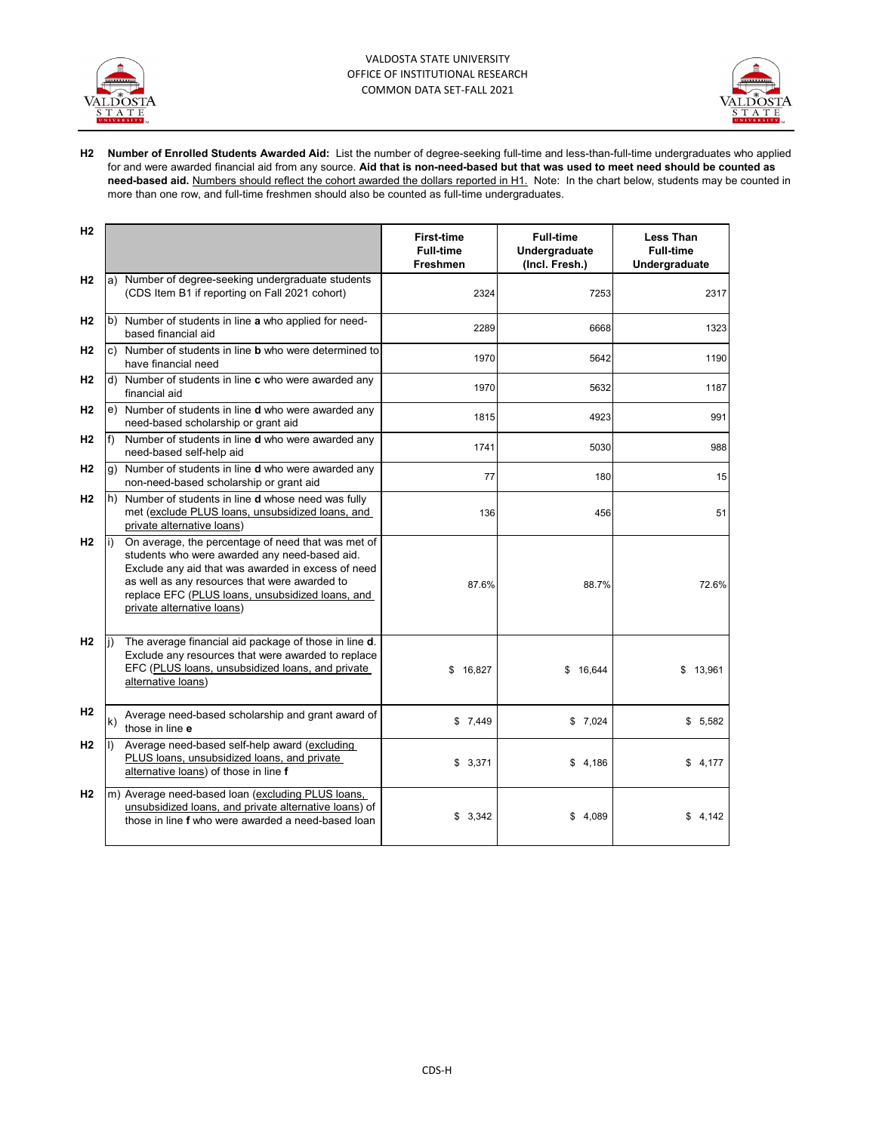



**H2 Number of Enrolled Students Awarded Aid:** List the number of degree-seeking full-time and less-than-full-time undergraduates who applied for and were awarded financial aid from any source. **Aid that is non-need-based but that was used to meet need should be counted as need-based aid.** Numbers should reflect the cohort awarded the dollars reported in H1. Note: In the chart below, students may be counted in more than one row, and full-time freshmen should also be counted as full-time undergraduates.

| H2             |                           |                                                                                                                                                                                                                                                                                              | <b>First-time</b><br><b>Full-time</b><br>Freshmen | <b>Full-time</b><br>Undergraduate<br>(Incl. Fresh.) | <b>Less Than</b><br><b>Full-time</b><br>Undergraduate |
|----------------|---------------------------|----------------------------------------------------------------------------------------------------------------------------------------------------------------------------------------------------------------------------------------------------------------------------------------------|---------------------------------------------------|-----------------------------------------------------|-------------------------------------------------------|
| H <sub>2</sub> |                           | a) Number of degree-seeking undergraduate students<br>(CDS Item B1 if reporting on Fall 2021 cohort)                                                                                                                                                                                         | 2324                                              | 7253                                                | 2317                                                  |
| H <sub>2</sub> | based financial aid       | b) Number of students in line a who applied for need-                                                                                                                                                                                                                                        | 2289                                              | 6668                                                | 1323                                                  |
| H <sub>2</sub> | c)                        | Number of students in line <b>b</b> who were determined to<br>have financial need                                                                                                                                                                                                            | 1970                                              | 5642                                                | 1190                                                  |
| H <sub>2</sub> | financial aid             | d) Number of students in line c who were awarded any                                                                                                                                                                                                                                         | 1970                                              | 5632                                                | 1187                                                  |
| H <sub>2</sub> |                           | e) Number of students in line <b>d</b> who were awarded any<br>need-based scholarship or grant aid                                                                                                                                                                                           | 1815                                              | 4923                                                | 991                                                   |
| H2             | f                         | Number of students in line <b>d</b> who were awarded any<br>need-based self-help aid                                                                                                                                                                                                         | 1741                                              | 5030                                                | 988                                                   |
| H <sub>2</sub> | g)                        | Number of students in line d who were awarded any<br>non-need-based scholarship or grant aid                                                                                                                                                                                                 | 77                                                | 180                                                 | 15                                                    |
| H <sub>2</sub> | h)                        | Number of students in line <b>d</b> whose need was fully<br>met (exclude PLUS loans, unsubsidized loans, and<br>private alternative loans)                                                                                                                                                   | 136                                               | 456                                                 | 51                                                    |
| H2             | i)                        | On average, the percentage of need that was met of<br>students who were awarded any need-based aid.<br>Exclude any aid that was awarded in excess of need<br>as well as any resources that were awarded to<br>replace EFC (PLUS loans, unsubsidized loans, and<br>private alternative loans) | 87.6%                                             | 88.7%                                               | 72.6%                                                 |
| H2             | li)<br>alternative loans) | The average financial aid package of those in line d.<br>Exclude any resources that were awarded to replace<br>EFC (PLUS loans, unsubsidized loans, and private                                                                                                                              | \$16,827                                          | \$16,644                                            | \$13,961                                              |
| H <sub>2</sub> | k)<br>those in line e     | Average need-based scholarship and grant award of                                                                                                                                                                                                                                            | \$7,449                                           | \$7,024                                             | \$5,582                                               |
| H <sub>2</sub> | Ð                         | Average need-based self-help award (excluding<br>PLUS loans, unsubsidized loans, and private<br>alternative loans) of those in line f                                                                                                                                                        | \$3,371                                           | \$4,186                                             | \$4.177                                               |
| H <sub>2</sub> |                           | m) Average need-based loan (excluding PLUS loans,<br>unsubsidized loans, and private alternative loans) of<br>those in line f who were awarded a need-based loan                                                                                                                             | \$3,342                                           | \$4,089                                             | \$4,142                                               |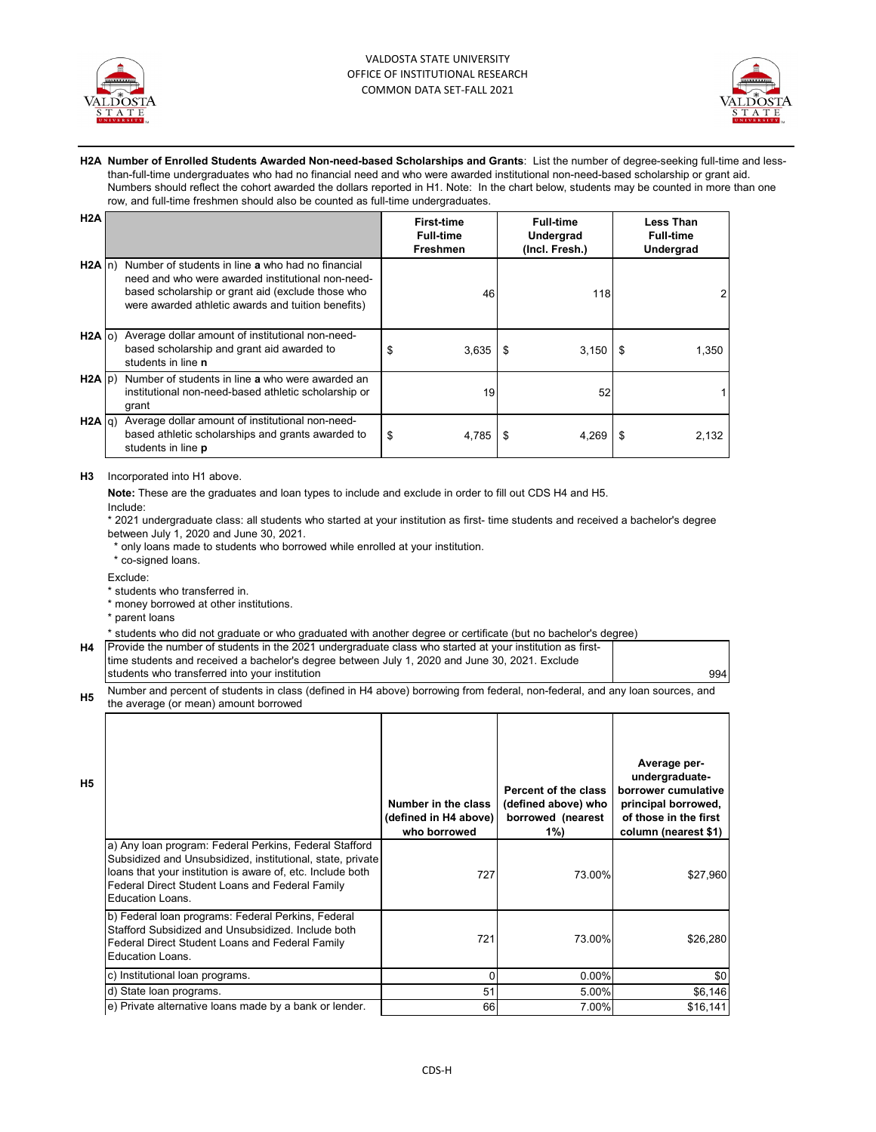



**H2A Number of Enrolled Students Awarded Non-need-based Scholarships and Grants**: List the number of degree-seeking full-time and lessthan-full-time undergraduates who had no financial need and who were awarded institutional non-need-based scholarship or grant aid. Numbers should reflect the cohort awarded the dollars reported in H1. Note: In the chart below, students may be counted in more than one row, and full-time freshmen should also be counted as full-time undergraduates.

| H2A   |                                                                                                                                                                                                                                  |    | <b>First-time</b><br><b>Full-time</b><br><b>Freshmen</b> | <b>Full-time</b><br>Undergrad<br>(Incl. Fresh.) | <b>Less Than</b><br><b>Full-time</b><br>Undergrad |
|-------|----------------------------------------------------------------------------------------------------------------------------------------------------------------------------------------------------------------------------------|----|----------------------------------------------------------|-------------------------------------------------|---------------------------------------------------|
|       | $H2A \mid n$ ) Number of students in line a who had no financial<br>need and who were awarded institutional non-need-<br>based scholarship or grant aid (exclude those who<br>were awarded athletic awards and tuition benefits) |    | 46                                                       | 118                                             |                                                   |
|       | H <sub>2</sub> A (o) Average dollar amount of institutional non-need-<br>based scholarship and grant aid awarded to<br>students in line n                                                                                        | S  | 3,635                                                    | 3,150<br>- \$                                   | 1,350                                             |
|       | $H2A$ (p) Number of students in line a who were awarded an<br>institutional non-need-based athletic scholarship or<br>grant                                                                                                      |    | 19                                                       | 52                                              |                                                   |
| H2A q | Average dollar amount of institutional non-need-<br>based athletic scholarships and grants awarded to<br>students in line <b>p</b>                                                                                               | \$ | 4,785                                                    | 4,269<br>\$                                     | 2,132                                             |

#### **H3** Incorporated into H1 above.

**Note:** These are the graduates and loan types to include and exclude in order to fill out CDS H4 and H5.

Include:

\* 2021 undergraduate class: all students who started at your institution as first- time students and received a bachelor's degree between July 1, 2020 and June 30, 2021.

\* only loans made to students who borrowed while enrolled at your institution.

\* co-signed loans.

Exclude:

- \* students who transferred in.
- \* money borrowed at other institutions.
- \* parent loans

\* students who did not graduate or who graduated with another degree or certificate (but no bachelor's degree)

| H4   Provide the number of students in the 2021 undergraduate class who started at your institution as first- |     |
|---------------------------------------------------------------------------------------------------------------|-----|
| time students and received a bachelor's degree between July 1, 2020 and June 30, 2021. Exclude                |     |
| students who transferred into your institution                                                                | 994 |

**H5** Number and percent of students in class (defined in H4 above) borrowing from federal, non-federal, and any loan sources, and the average (or mean) amount borrowed

| H <sub>5</sub> |                                                                                                                                                                                                                                                                  | Number in the class<br>(defined in H4 above)<br>who borrowed | Percent of the class<br>(defined above) who<br>borrowed (nearest<br>$1\%$ | Average per-<br>undergraduate-<br>borrower cumulative<br>principal borrowed,<br>of those in the first<br>column (nearest \$1) |
|----------------|------------------------------------------------------------------------------------------------------------------------------------------------------------------------------------------------------------------------------------------------------------------|--------------------------------------------------------------|---------------------------------------------------------------------------|-------------------------------------------------------------------------------------------------------------------------------|
|                | a) Any loan program: Federal Perkins, Federal Stafford<br>Subsidized and Unsubsidized, institutional, state, private<br>loans that your institution is aware of, etc. Include both<br>Federal Direct Student Loans and Federal Family<br><b>Education Loans.</b> | 727                                                          | 73.00%                                                                    | \$27,960                                                                                                                      |
|                | b) Federal loan programs: Federal Perkins, Federal<br>Stafford Subsidized and Unsubsidized. Include both<br>Federal Direct Student Loans and Federal Family<br>Education Loans.                                                                                  | 721                                                          | 73.00%                                                                    | \$26,280                                                                                                                      |
|                | c) Institutional loan programs.                                                                                                                                                                                                                                  | $\Omega$                                                     | 0.00%                                                                     | \$0                                                                                                                           |
|                | d) State loan programs.                                                                                                                                                                                                                                          | 51                                                           | 5.00%                                                                     | \$6,146                                                                                                                       |
|                | e) Private alternative loans made by a bank or lender.                                                                                                                                                                                                           | 66                                                           | 7.00%                                                                     | \$16,141                                                                                                                      |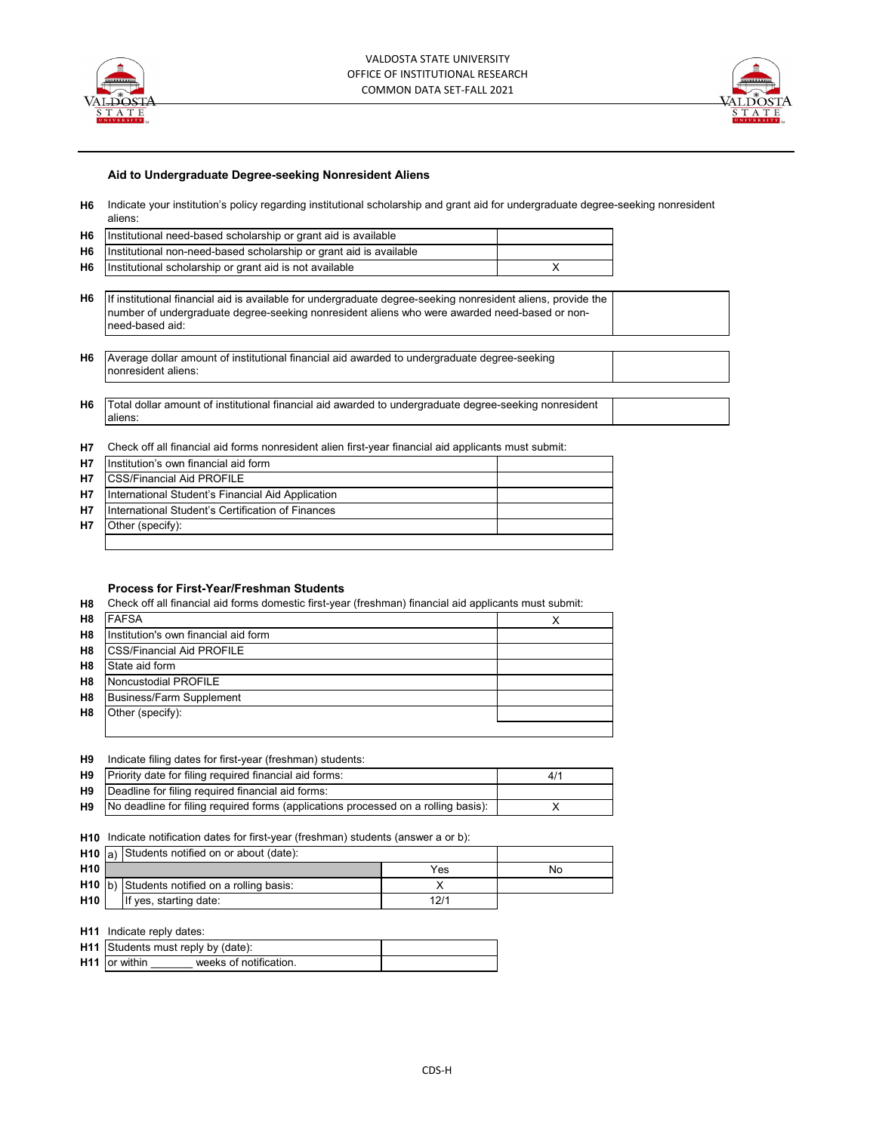



#### **Aid to Undergraduate Degree-seeking Nonresident Aliens**

**H6** Indicate your institution's policy regarding institutional scholarship and grant aid for undergraduate degree-seeking nonresident aliens:

| Institutional need-based scholarship or grant aid is available                                                                                                                                                                         |   |                                                                                                                                                                                                        |  |  |
|----------------------------------------------------------------------------------------------------------------------------------------------------------------------------------------------------------------------------------------|---|--------------------------------------------------------------------------------------------------------------------------------------------------------------------------------------------------------|--|--|
| Institutional non-need-based scholarship or grant aid is available                                                                                                                                                                     |   |                                                                                                                                                                                                        |  |  |
| Institutional scholarship or grant aid is not available                                                                                                                                                                                | x |                                                                                                                                                                                                        |  |  |
|                                                                                                                                                                                                                                        |   |                                                                                                                                                                                                        |  |  |
| Η6<br>If institutional financial aid is available for undergraduate degree-seeking nonresident aliens, provide the<br>number of undergraduate degree-seeking nonresident aliens who were awarded need-based or non-<br>need-based aid: |   |                                                                                                                                                                                                        |  |  |
|                                                                                                                                                                                                                                        |   |                                                                                                                                                                                                        |  |  |
| nonresident aliens:                                                                                                                                                                                                                    |   |                                                                                                                                                                                                        |  |  |
|                                                                                                                                                                                                                                        |   |                                                                                                                                                                                                        |  |  |
| aliens:                                                                                                                                                                                                                                |   |                                                                                                                                                                                                        |  |  |
|                                                                                                                                                                                                                                        |   | Average dollar amount of institutional financial aid awarded to undergraduate degree-seeking<br>Total dollar amount of institutional financial aid awarded to undergraduate degree-seeking nonresident |  |  |

#### **H7** Check off all financial aid forms nonresident alien first-year financial aid applicants must submit:

| <b>H7</b> | Institution's own financial aid form              |  |
|-----------|---------------------------------------------------|--|
| <b>H7</b> | <b>ICSS/Financial Aid PROFILE</b>                 |  |
| <b>H7</b> | International Student's Financial Aid Application |  |
| <b>H7</b> | International Student's Certification of Finances |  |
| <b>H7</b> | Other (specify):                                  |  |
|           |                                                   |  |

#### **Process for First-Year/Freshman Students**

**H8** Check off all financial aid forms domestic first-year (freshman) financial aid applicants must submit:

| H <sub>8</sub> | <b>FAFSA</b>                         | ↗ |
|----------------|--------------------------------------|---|
| H <sub>8</sub> | Institution's own financial aid form |   |
| H <sub>8</sub> | <b>ICSS/Financial Aid PROFILE</b>    |   |
| H <sub>8</sub> | State aid form                       |   |
| H <sub>8</sub> | Noncustodial PROFILE                 |   |
| H <sub>8</sub> | Business/Farm Supplement             |   |
| H8             | Other (specify):                     |   |
|                |                                      |   |

| H <sub>9</sub> |  |  |  |  |  | Indicate filing dates for first-year (freshman) students: |  |
|----------------|--|--|--|--|--|-----------------------------------------------------------|--|
|----------------|--|--|--|--|--|-----------------------------------------------------------|--|

| H9 Priority date for filing required financial aid forms:                                    | 41 |
|----------------------------------------------------------------------------------------------|----|
| <b>H9</b> Deadline for filing required financial aid forms:                                  |    |
| <b>H9</b> No deadline for filing required forms (applications processed on a rolling basis): |    |

#### **H10** Indicate notification dates for first-year (freshman) students (answer a or b):

|                 | <b>H10</b> a) Students notified on or about (date): |                                               |      |    |
|-----------------|-----------------------------------------------------|-----------------------------------------------|------|----|
| H <sub>10</sub> |                                                     |                                               | Yes  | No |
|                 |                                                     | H10 (b) Students notified on a rolling basis: |      |    |
| H <sub>10</sub> |                                                     | If yes, starting date:                        | 12/1 |    |

#### **H11** Indicate reply dates:

|                      | H11 Students must reply by (date): |  |
|----------------------|------------------------------------|--|
| <b>H11</b> or within | weeks of notification              |  |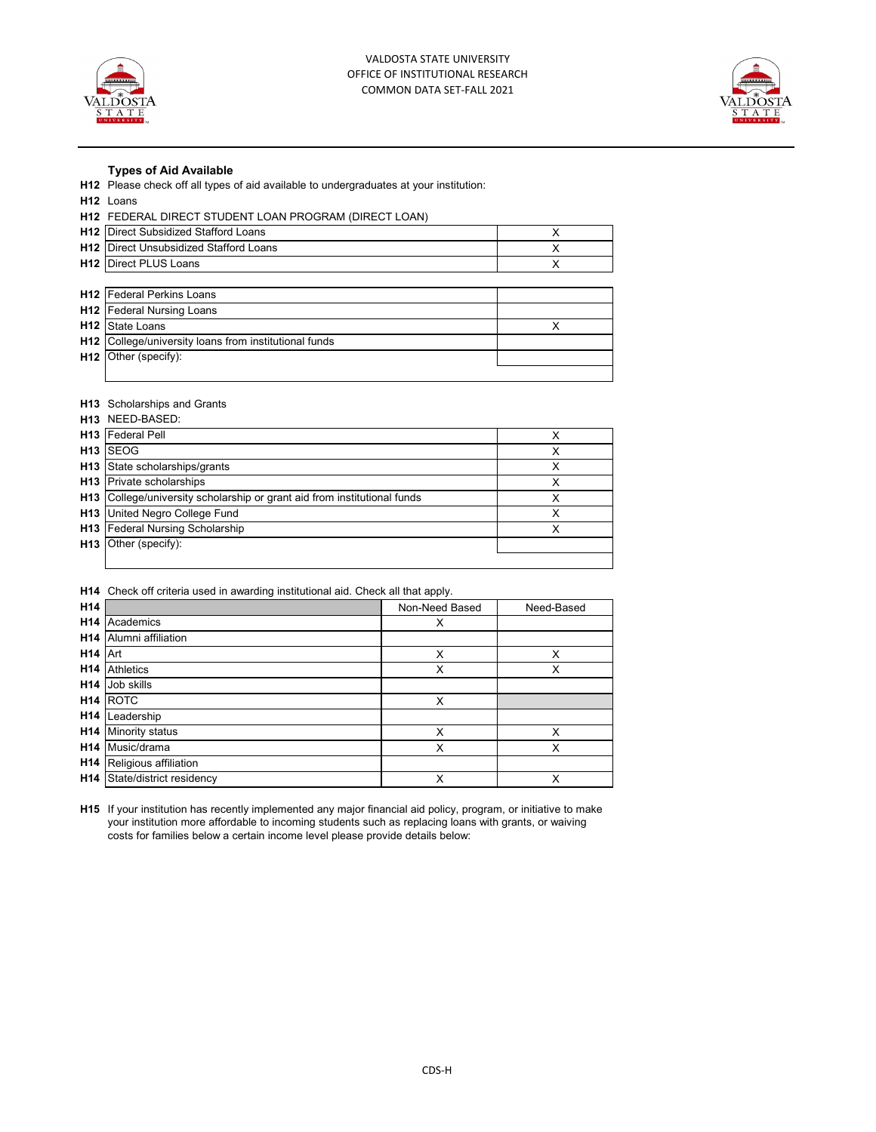



#### **Types of Aid Available**

**H12** Please check off all types of aid available to undergraduates at your institution:

**H12** Loans

### **H12** FEDERAL DIRECT STUDENT LOAN PROGRAM (DIRECT LOAN)

| <b>H12</b> Direct Subsidized Stafford Loans           | X |
|-------------------------------------------------------|---|
| <b>H12</b> Direct Unsubsidized Stafford Loans         | х |
| <b>H12</b> Direct PLUS Loans                          |   |
|                                                       |   |
| H12 Federal Perkins Loans                             |   |
| <b>H12</b> Federal Nursing Loans                      |   |
| H12 State Loans                                       |   |
| H12 College/university loans from institutional funds |   |
| H <sub>12</sub> Other (specify):                      |   |
|                                                       |   |

#### **H13** Scholarships and Grants

| <b>H13</b> NEED-BASED:                                                   |  |
|--------------------------------------------------------------------------|--|
| <b>H13</b> Federal Pell                                                  |  |
| H <sub>13</sub> SEOG                                                     |  |
| H13 State scholarships/grants                                            |  |
| <b>H13</b> Private scholarships                                          |  |
| H13 College/university scholarship or grant aid from institutional funds |  |
| <b>H13</b> United Negro College Fund                                     |  |
| <b>H13</b> Federal Nursing Scholarship                                   |  |
| H <sub>13</sub> Other (specify):                                         |  |
|                                                                          |  |

#### **H14** Check off criteria used in awarding institutional aid. Check all that apply.

| H14                 |                                  | Non-Need Based | Need-Based |
|---------------------|----------------------------------|----------------|------------|
|                     | <b>H14</b> Academics             | X              |            |
|                     | <b>H14</b> Alumni affiliation    |                |            |
| H <sub>14</sub> Art |                                  | X              | X          |
|                     | <b>H14</b> Athletics             | X              | X          |
|                     | H <sub>14</sub> Job skills       |                |            |
|                     | <b>H14 ROTC</b>                  | X              |            |
|                     | H <sub>14</sub> Leadership       |                |            |
|                     | <b>H14</b> Minority status       | X              | X          |
|                     | H14 Music/drama                  | X              | Χ          |
|                     | <b>H14</b> Religious affiliation |                |            |
|                     | H14 State/district residency     | Χ              | X          |

**H15** If your institution has recently implemented any major financial aid policy, program, or initiative to make your institution more affordable to incoming students such as replacing loans with grants, or waiving costs for families below a certain income level please provide details below: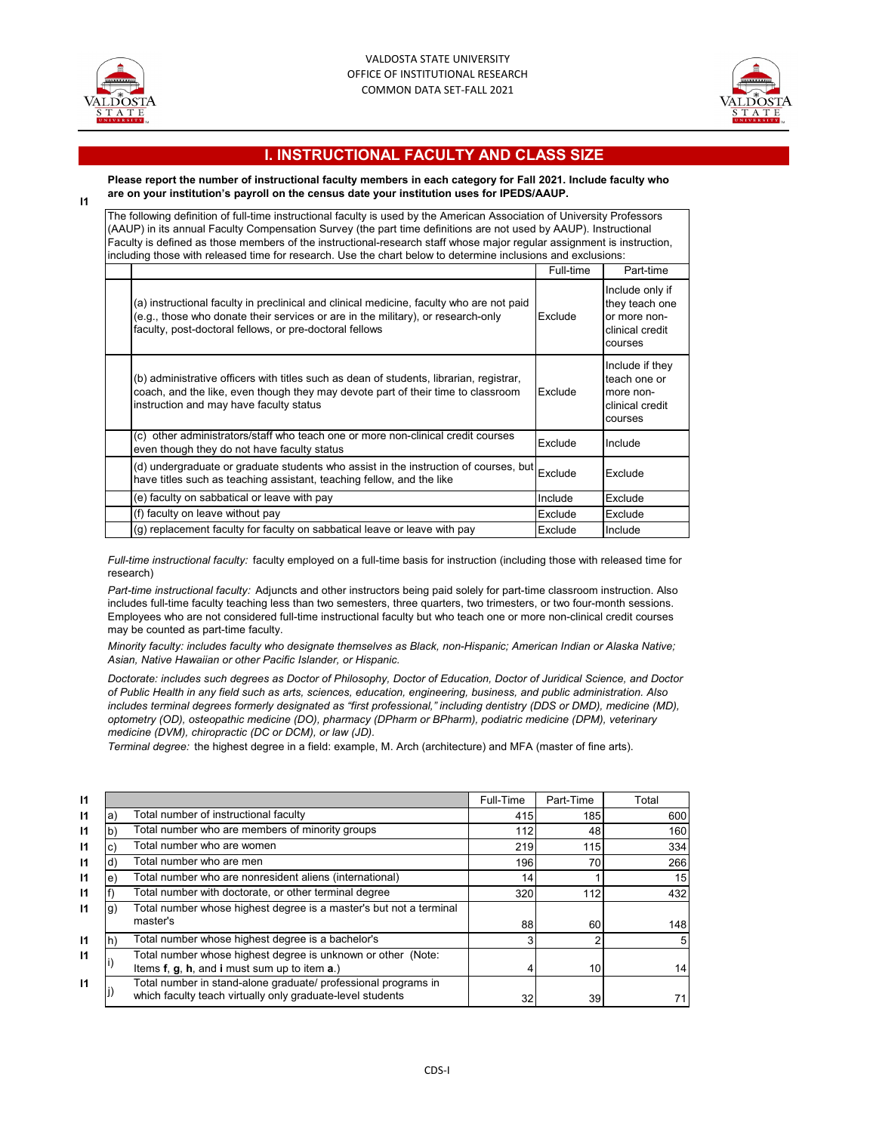

**I1**



## **I. INSTRUCTIONAL FACULTY AND CLASS SIZE**

**Please report the number of instructional faculty members in each category for Fall 2021. Include faculty who are on your institution's payroll on the census date your institution uses for IPEDS/AAUP.**

The following definition of full-time instructional faculty is used by the American Association of University Professors (AAUP) in its annual Faculty Compensation Survey (the part time definitions are not used by AAUP). Instructional Faculty is defined as those members of the instructional-research staff whose major regular assignment is instruction,

| including those with released time for research. Use the chart below to determine inclusions and exclusions:                                                                                                                            |           |                                                                                 |  |  |  |
|-----------------------------------------------------------------------------------------------------------------------------------------------------------------------------------------------------------------------------------------|-----------|---------------------------------------------------------------------------------|--|--|--|
|                                                                                                                                                                                                                                         | Full-time | Part-time                                                                       |  |  |  |
| (a) instructional faculty in preclinical and clinical medicine, faculty who are not paid<br>(e.g., those who donate their services or are in the military), or research-only<br>faculty, post-doctoral fellows, or pre-doctoral fellows | Exclude   | Include only if<br>they teach one<br>or more non-<br>clinical credit<br>courses |  |  |  |
| (b) administrative officers with titles such as dean of students, librarian, registrar,<br>coach, and the like, even though they may devote part of their time to classroom<br>instruction and may have faculty status                  | Exclude   | Include if they<br>teach one or<br>more non-<br>clinical credit<br>courses      |  |  |  |
| (c) other administrators/staff who teach one or more non-clinical credit courses<br>even though they do not have faculty status                                                                                                         | Exclude   | Include                                                                         |  |  |  |
| (d) undergraduate or graduate students who assist in the instruction of courses, but<br>have titles such as teaching assistant, teaching fellow, and the like                                                                           | Exclude   | Exclude                                                                         |  |  |  |
| (e) faculty on sabbatical or leave with pay                                                                                                                                                                                             | Include   | Exclude                                                                         |  |  |  |
| (f) faculty on leave without pay                                                                                                                                                                                                        | Exclude   | Exclude                                                                         |  |  |  |
| (g) replacement faculty for faculty on sabbatical leave or leave with pay                                                                                                                                                               | Exclude   | Include                                                                         |  |  |  |

*Full-time instructional faculty:* faculty employed on a full-time basis for instruction (including those with released time for research)

*Part-time instructional faculty:* Adjuncts and other instructors being paid solely for part-time classroom instruction. Also includes full-time faculty teaching less than two semesters, three quarters, two trimesters, or two four-month sessions. Employees who are not considered full-time instructional faculty but who teach one or more non-clinical credit courses may be counted as part-time faculty.

*Minority faculty: includes faculty who designate themselves as Black, non-Hispanic; American Indian or Alaska Native; Asian, Native Hawaiian or other Pacific Islander, or Hispanic.* 

*Doctorate: includes such degrees as Doctor of Philosophy, Doctor of Education, Doctor of Juridical Science, and Doctor of Public Health in any field such as arts, sciences, education, engineering, business, and public administration. Also includes terminal degrees formerly designated as "first professional," including dentistry (DDS or DMD), medicine (MD), optometry (OD), osteopathic medicine (DO), pharmacy (DPharm or BPharm), podiatric medicine (DPM), veterinary medicine (DVM), chiropractic (DC or DCM), or law (JD).*

*Terminal degree:* the highest degree in a field: example, M. Arch (architecture) and MFA (master of fine arts).

| -11          |    |                                                                                                                              | Full-Time | Part-Time | Total |
|--------------|----|------------------------------------------------------------------------------------------------------------------------------|-----------|-----------|-------|
| $\mathsf{I}$ | a) | Total number of instructional faculty                                                                                        | 415       | 185       | 600   |
| $\mathbf{I}$ | b  | Total number who are members of minority groups                                                                              | 112       | 48        | 160   |
| $\mathbf{I}$ | c) | Total number who are women                                                                                                   | 219       | 115       | 334   |
| $\mathbf{I}$ |    | Total number who are men                                                                                                     | 196       | 70        | 266   |
| $\mathbf{I}$ | e) | Total number who are nonresident aliens (international)                                                                      | 14        |           | 15    |
| $\mathsf{I}$ |    | Total number with doctorate, or other terminal degree                                                                        | 320       | 112       | 432   |
| $\mathbf{I}$ | g) | Total number whose highest degree is a master's but not a terminal<br>master's                                               | 88        | 60        | 148   |
| $\mathbf{I}$ | h! | Total number whose highest degree is a bachelor's                                                                            | 3         | 2         | 5     |
| $\mathbf{I}$ |    | Total number whose highest degree is unknown or other (Note:<br>Items f, g, h, and i must sum up to item a.)                 |           | 10        | 14    |
| $\mathbf{I}$ |    | Total number in stand-alone graduate/ professional programs in<br>which faculty teach virtually only graduate-level students | 32        | 39        | 71    |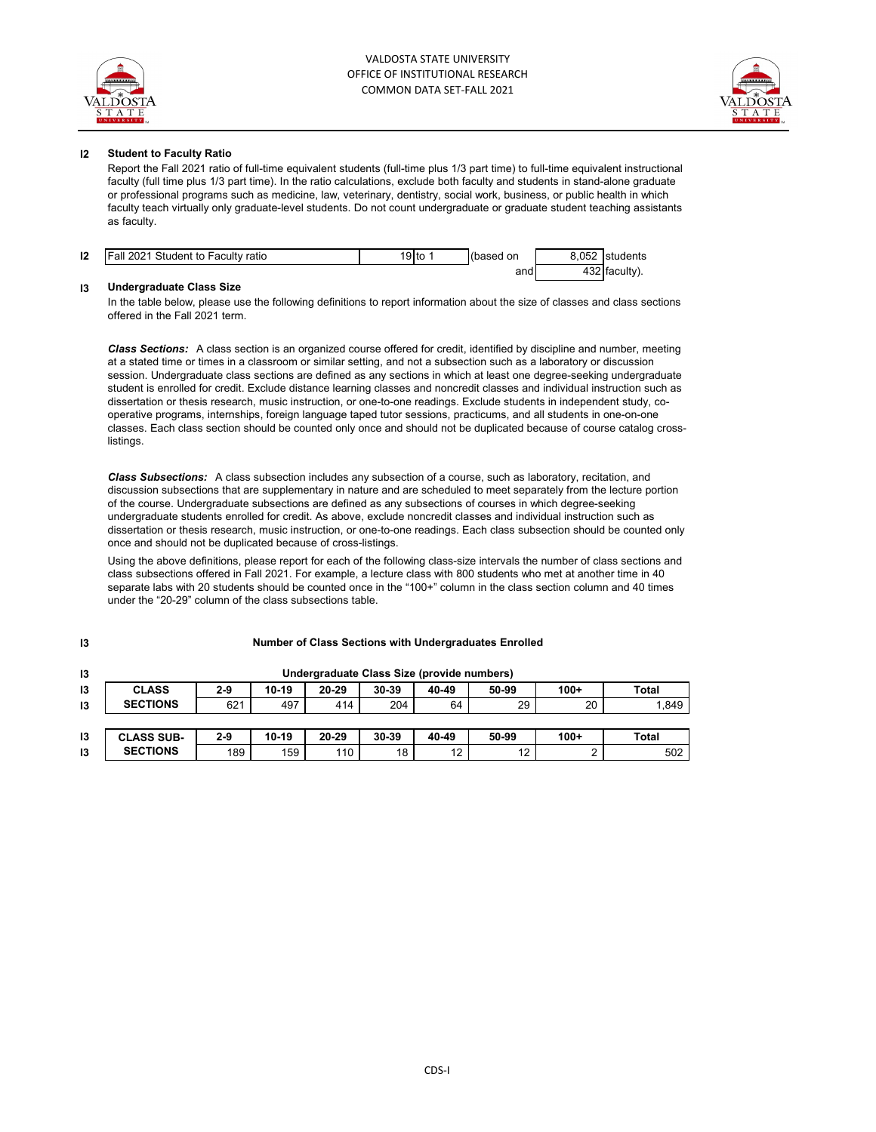

**I3**



#### **I2 Student to Faculty Ratio**

Report the Fall 2021 ratio of full-time equivalent students (full-time plus 1/3 part time) to full-time equivalent instructional faculty (full time plus 1/3 part time). In the ratio calculations, exclude both faculty and students in stand-alone graduate or professional programs such as medicine, law, veterinary, dentistry, social work, business, or public health in which faculty teach virtually only graduate-level students. Do not count undergraduate or graduate student teaching assistants as faculty.

| 12 | <b>Fall 2021 Student to Faculty ratio</b> | $9$ to | (based on | 8.052 | students      |
|----|-------------------------------------------|--------|-----------|-------|---------------|
|    |                                           |        | and       |       | 432 faculty). |

#### **I3 Undergraduate Class Size**

In the table below, please use the following definitions to report information about the size of classes and class sections offered in the Fall 2021 term.

*Class Sections:* A class section is an organized course offered for credit, identified by discipline and number, meeting at a stated time or times in a classroom or similar setting, and not a subsection such as a laboratory or discussion session. Undergraduate class sections are defined as any sections in which at least one degree-seeking undergraduate student is enrolled for credit. Exclude distance learning classes and noncredit classes and individual instruction such as dissertation or thesis research, music instruction, or one-to-one readings. Exclude students in independent study, cooperative programs, internships, foreign language taped tutor sessions, practicums, and all students in one-on-one classes. Each class section should be counted only once and should not be duplicated because of course catalog cross**listings** 

*Class Subsections:* A class subsection includes any subsection of a course, such as laboratory, recitation, and discussion subsections that are supplementary in nature and are scheduled to meet separately from the lecture portion of the course. Undergraduate subsections are defined as any subsections of courses in which degree-seeking undergraduate students enrolled for credit. As above, exclude noncredit classes and individual instruction such as dissertation or thesis research, music instruction, or one-to-one readings. Each class subsection should be counted only once and should not be duplicated because of cross-listings.

Using the above definitions, please report for each of the following class-size intervals the number of class sections and class subsections offered in Fall 2021. For example, a lecture class with 800 students who met at another time in 40 separate labs with 20 students should be counted once in the "100+" column in the class section column and 40 times under the "20-29" column of the class subsections table.

| 13            | Undergraduate Class Size (provide numbers) |       |         |       |           |       |       |        |       |  |
|---------------|--------------------------------------------|-------|---------|-------|-----------|-------|-------|--------|-------|--|
| $\mathsf{I}3$ | <b>CLASS</b>                               | $2-9$ | $10-19$ | 20-29 | $30 - 39$ | 40-49 | 50-99 | $100+$ | Total |  |
| 13            | <b>SECTIONS</b>                            | 621   | 497     | 414   | 204       | 64    | 29    | 20     | 1,849 |  |
|               |                                            |       |         |       |           |       |       |        |       |  |
| 13            | <b>CLASS SUB-</b>                          | $2-9$ | $10-19$ | 20-29 | $30 - 39$ | 40-49 | 50-99 | $100+$ | Total |  |
| 13            | <b>SECTIONS</b>                            | 189   | 159     | 110   | 18        | 12    | 12    |        | 502   |  |

#### **Number of Class Sections with Undergraduates Enrolled**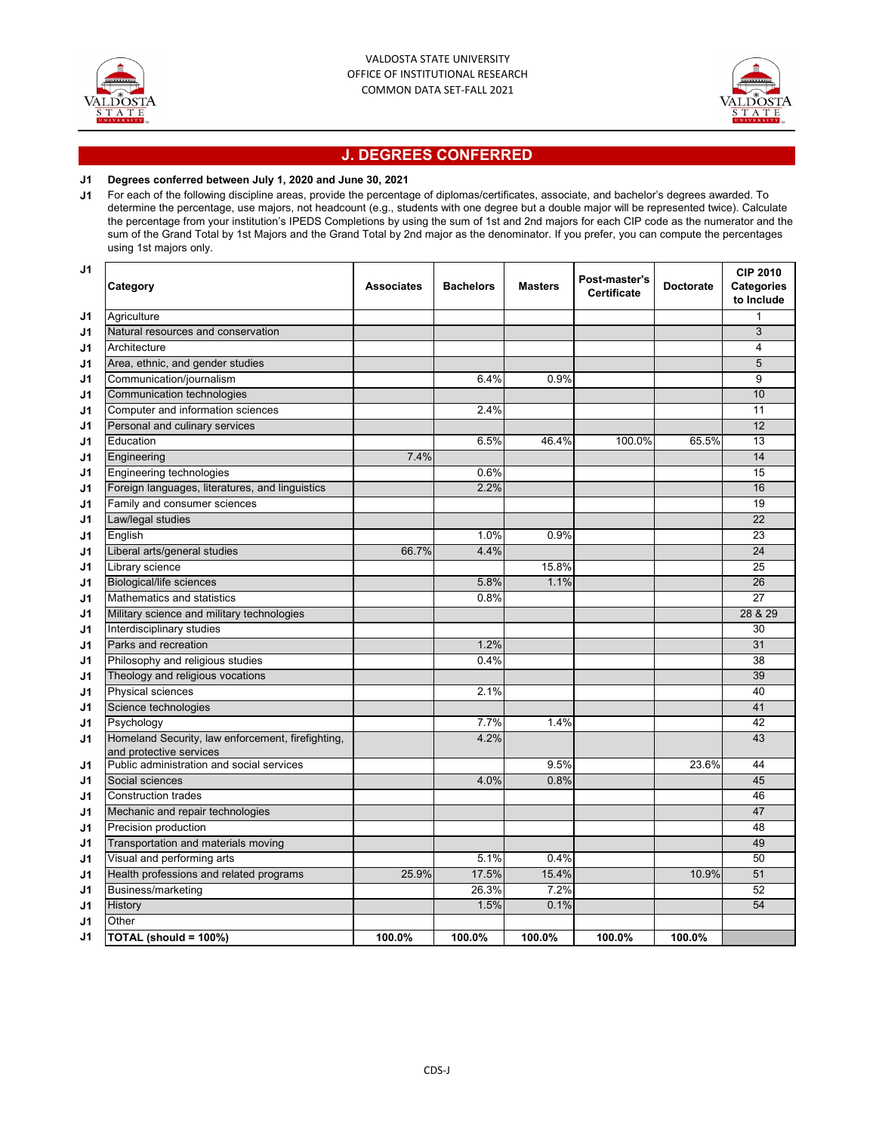



## **J. DEGREES CONFERRED**

### **J1 Degrees conferred between July 1, 2020 and June 30, 2021**

**J1** For each of the following discipline areas, provide the percentage of diplomas/certificates, associate, and bachelor's degrees awarded. To determine the percentage, use majors, not headcount (e.g., students with one degree but a double major will be represented twice). Calculate the percentage from your institution's IPEDS Completions by using the sum of 1st and 2nd majors for each CIP code as the numerator and the sum of the Grand Total by 1st Majors and the Grand Total by 2nd major as the denominator. If you prefer, you can compute the percentages using 1st majors only.

| J1 | Category                                                                     | <b>Associates</b> | <b>Bachelors</b> | <b>Masters</b> | Post-master's<br><b>Certificate</b> | <b>Doctorate</b> | <b>CIP 2010</b><br>Categories<br>to Include |
|----|------------------------------------------------------------------------------|-------------------|------------------|----------------|-------------------------------------|------------------|---------------------------------------------|
| J1 | Agriculture                                                                  |                   |                  |                |                                     |                  | 1                                           |
| J1 | Natural resources and conservation                                           |                   |                  |                |                                     |                  | 3                                           |
| J1 | Architecture                                                                 |                   |                  |                |                                     |                  | 4                                           |
| J1 | Area, ethnic, and gender studies                                             |                   |                  |                |                                     |                  | $\overline{5}$                              |
| J1 | Communication/journalism                                                     |                   | 6.4%             | 0.9%           |                                     |                  | 9                                           |
| J1 | Communication technologies                                                   |                   |                  |                |                                     |                  | 10                                          |
| J1 | Computer and information sciences                                            |                   | 2.4%             |                |                                     |                  | 11                                          |
| J1 | Personal and culinary services                                               |                   |                  |                |                                     |                  | 12                                          |
| J1 | Education                                                                    |                   | 6.5%             | 46.4%          | 100.0%                              | 65.5%            | 13                                          |
| J1 | Engineering                                                                  | 7.4%              |                  |                |                                     |                  | 14                                          |
| J1 | Engineering technologies                                                     |                   | 0.6%             |                |                                     |                  | 15                                          |
| J1 | Foreign languages, literatures, and linguistics                              |                   | 2.2%             |                |                                     |                  | 16                                          |
| J1 | Family and consumer sciences                                                 |                   |                  |                |                                     |                  | 19                                          |
| J1 | Law/legal studies                                                            |                   |                  |                |                                     |                  | 22                                          |
| J1 | English                                                                      |                   | 1.0%             | 0.9%           |                                     |                  | 23                                          |
| J1 | Liberal arts/general studies                                                 | 66.7%             | 4.4%             |                |                                     |                  | 24                                          |
| J1 | Library science                                                              |                   |                  | 15.8%          |                                     |                  | 25                                          |
| J1 | Biological/life sciences                                                     |                   | 5.8%             | 1.1%           |                                     |                  | 26                                          |
| J1 | Mathematics and statistics                                                   |                   | 0.8%             |                |                                     |                  | $\overline{27}$                             |
| J1 | Military science and military technologies                                   |                   |                  |                |                                     |                  | 28 & 29                                     |
| J1 | Interdisciplinary studies                                                    |                   |                  |                |                                     |                  | 30                                          |
| J1 | Parks and recreation                                                         |                   | 1.2%             |                |                                     |                  | 31                                          |
| J1 | Philosophy and religious studies                                             |                   | 0.4%             |                |                                     |                  | 38                                          |
| J1 | Theology and religious vocations                                             |                   |                  |                |                                     |                  | 39                                          |
| J1 | Physical sciences                                                            |                   | 2.1%             |                |                                     |                  | 40                                          |
| J1 | Science technologies                                                         |                   |                  |                |                                     |                  | 41                                          |
| J1 | Psychology                                                                   |                   | 7.7%             | 1.4%           |                                     |                  | 42                                          |
| J1 | Homeland Security, law enforcement, firefighting,<br>and protective services |                   | 4.2%             |                |                                     |                  | 43                                          |
| J1 | Public administration and social services                                    |                   |                  | 9.5%           |                                     | 23.6%            | 44                                          |
| J1 | Social sciences                                                              |                   | 4.0%             | 0.8%           |                                     |                  | 45                                          |
| J1 | <b>Construction trades</b>                                                   |                   |                  |                |                                     |                  | 46                                          |
| J1 | Mechanic and repair technologies                                             |                   |                  |                |                                     |                  | 47                                          |
| J1 | Precision production                                                         |                   |                  |                |                                     |                  | 48                                          |
| J1 | Transportation and materials moving                                          |                   |                  |                |                                     |                  | 49                                          |
| J1 | Visual and performing arts                                                   |                   | 5.1%             | 0.4%           |                                     |                  | 50                                          |
| J1 | Health professions and related programs                                      | 25.9%             | 17.5%            | 15.4%          |                                     | 10.9%            | 51                                          |
| J1 | Business/marketing                                                           |                   | 26.3%            | 7.2%           |                                     |                  | 52                                          |
| J1 | History                                                                      |                   | 1.5%             | 0.1%           |                                     |                  | $\overline{54}$                             |
| J1 | Other                                                                        |                   |                  |                |                                     |                  |                                             |
| J1 | TOTAL (should = 100%)                                                        | 100.0%            | 100.0%           | 100.0%         | 100.0%                              | 100.0%           |                                             |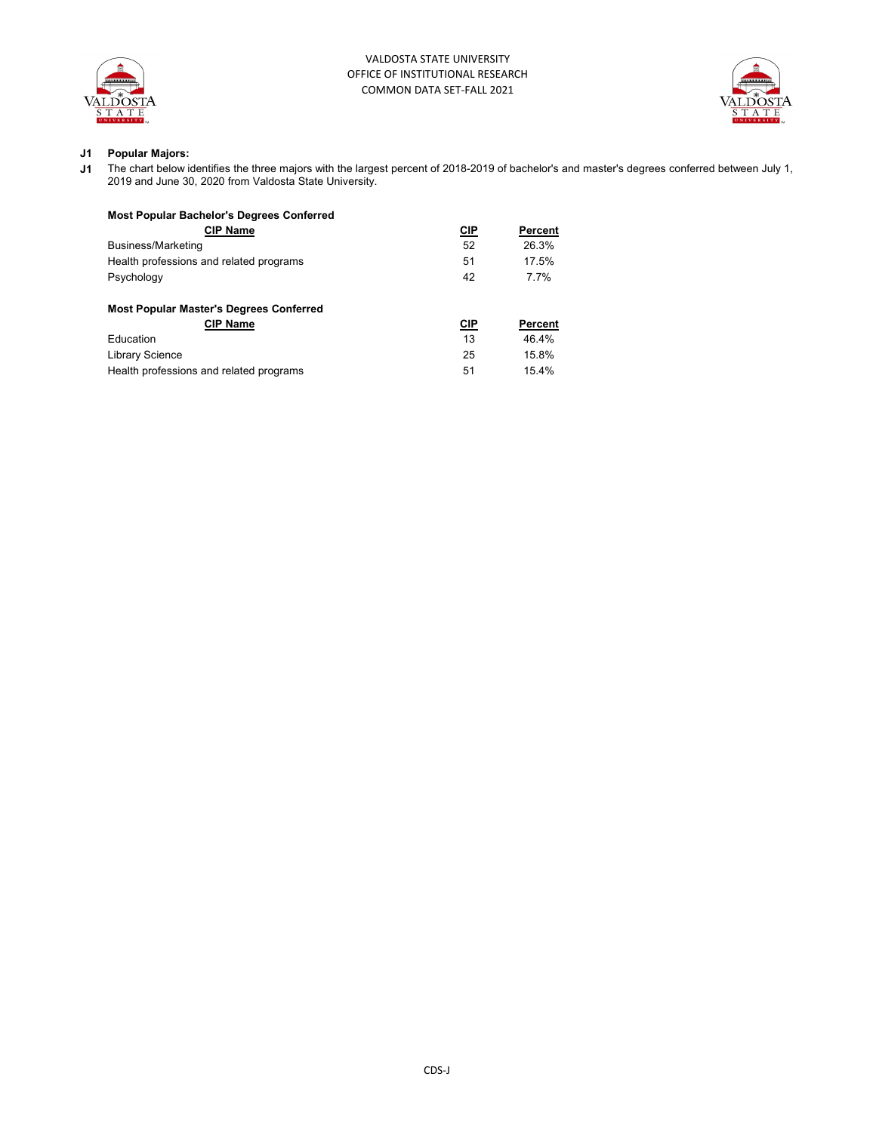



## **J1 Popular Majors:**

**J1** The chart below identifies the three majors with the largest percent of 2018-2019 of bachelor's and master's degrees conferred between July 1, 2019 and June 30, 2020 from Valdosta State University.

| <b>Most Popular Bachelor's Degrees Conferred</b> |            |         |
|--------------------------------------------------|------------|---------|
| <b>CIP Name</b>                                  | <b>CIP</b> | Percent |
| Business/Marketing                               | 52         | 26.3%   |
| Health professions and related programs          | 51         | 17.5%   |
| Psychology                                       | 42         | 7 7%    |
| <b>Most Popular Master's Degrees Conferred</b>   |            |         |
| <b>CIP Name</b>                                  | CIP        | Percent |
| <b>Education</b>                                 | 13         | 46.4%   |
| <b>Library Science</b>                           | 25         | 15.8%   |
| Health professions and related programs          | 51         | 15.4%   |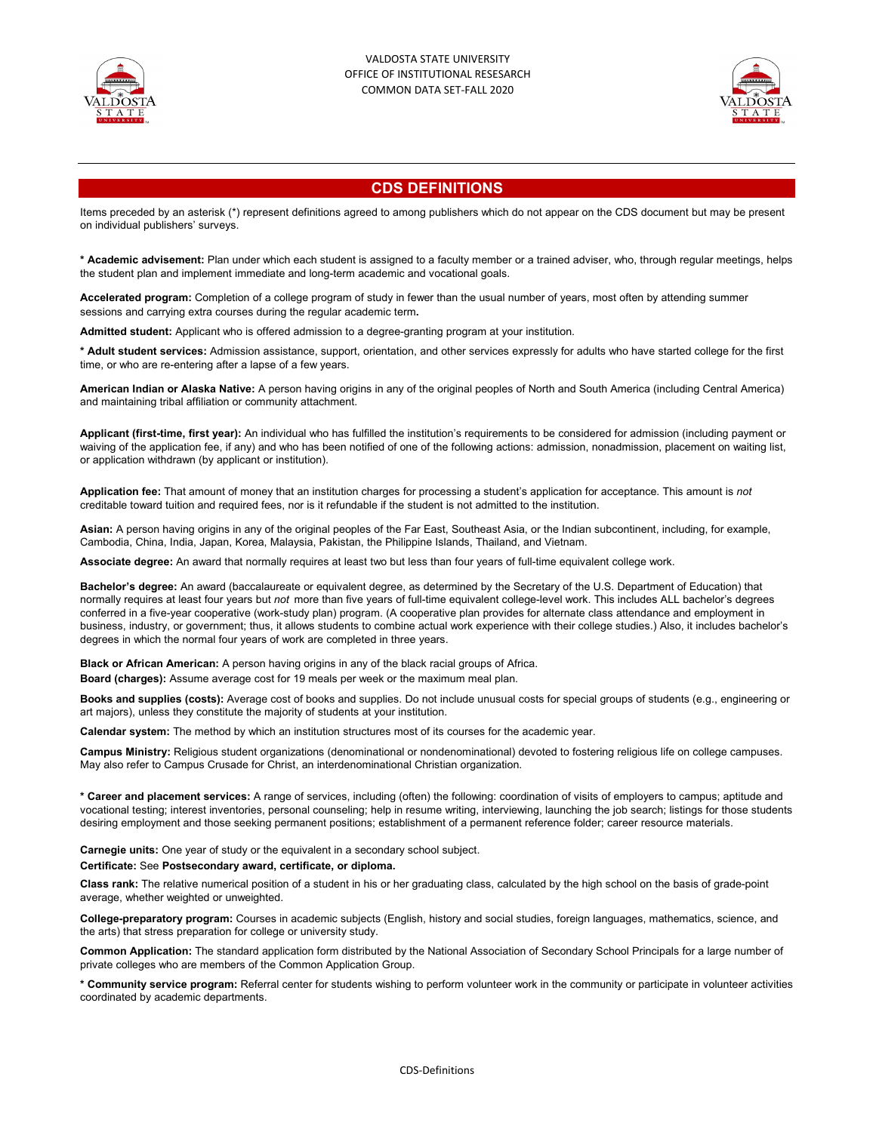



# **CDS DEFINITIONS**

Items preceded by an asterisk (\*) represent definitions agreed to among publishers which do not appear on the CDS document but may be present on individual publishers' surveys.

**\* Academic advisement:** Plan under which each student is assigned to a faculty member or a trained adviser, who, through regular meetings, helps the student plan and implement immediate and long-term academic and vocational goals.

**Accelerated program:** Completion of a college program of study in fewer than the usual number of years, most often by attending summer sessions and carrying extra courses during the regular academic term**.**

**Admitted student:** Applicant who is offered admission to a degree-granting program at your institution.

**\* Adult student services:** Admission assistance, support, orientation, and other services expressly for adults who have started college for the first time, or who are re-entering after a lapse of a few years.

**American Indian or Alaska Native:** A person having origins in any of the original peoples of North and South America (including Central America) and maintaining tribal affiliation or community attachment.

**Applicant (first-time, first year):** An individual who has fulfilled the institution's requirements to be considered for admission (including payment or waiving of the application fee, if any) and who has been notified of one of the following actions: admission, nonadmission, placement on waiting list, or application withdrawn (by applicant or institution).

**Application fee:** That amount of money that an institution charges for processing a student's application for acceptance. This amount is *not*  creditable toward tuition and required fees, nor is it refundable if the student is not admitted to the institution.

**Asian:** A person having origins in any of the original peoples of the Far East, Southeast Asia, or the Indian subcontinent, including, for example, Cambodia, China, India, Japan, Korea, Malaysia, Pakistan, the Philippine Islands, Thailand, and Vietnam.

**Associate degree:** An award that normally requires at least two but less than four years of full-time equivalent college work.

**Bachelor's degree:** An award (baccalaureate or equivalent degree, as determined by the Secretary of the U.S. Department of Education) that normally requires at least four years but *not* more than five years of full-time equivalent college-level work. This includes ALL bachelor's degrees conferred in a five-year cooperative (work-study plan) program. (A cooperative plan provides for alternate class attendance and employment in business, industry, or government; thus, it allows students to combine actual work experience with their college studies.) Also, it includes bachelor's degrees in which the normal four years of work are completed in three years.

**Black or African American:** A person having origins in any of the black racial groups of Africa. **Board (charges):** Assume average cost for 19 meals per week or the maximum meal plan.

**Books and supplies (costs):** Average cost of books and supplies. Do not include unusual costs for special groups of students (e.g., engineering or art majors), unless they constitute the majority of students at your institution.

**Calendar system:** The method by which an institution structures most of its courses for the academic year.

**Campus Ministry:** Religious student organizations (denominational or nondenominational) devoted to fostering religious life on college campuses. May also refer to Campus Crusade for Christ, an interdenominational Christian organization.

**\* Career and placement services:** A range of services, including (often) the following: coordination of visits of employers to campus; aptitude and vocational testing; interest inventories, personal counseling; help in resume writing, interviewing, launching the job search; listings for those students desiring employment and those seeking permanent positions; establishment of a permanent reference folder; career resource materials.

**Carnegie units:** One year of study or the equivalent in a secondary school subject.

**Certificate:** See **Postsecondary award, certificate, or diploma.**

**Class rank:** The relative numerical position of a student in his or her graduating class, calculated by the high school on the basis of grade-point average, whether weighted or unweighted.

**College-preparatory program:** Courses in academic subjects (English, history and social studies, foreign languages, mathematics, science, and the arts) that stress preparation for college or university study.

**Common Application:** The standard application form distributed by the National Association of Secondary School Principals for a large number of private colleges who are members of the Common Application Group.

**\* Community service program:** Referral center for students wishing to perform volunteer work in the community or participate in volunteer activities coordinated by academic departments.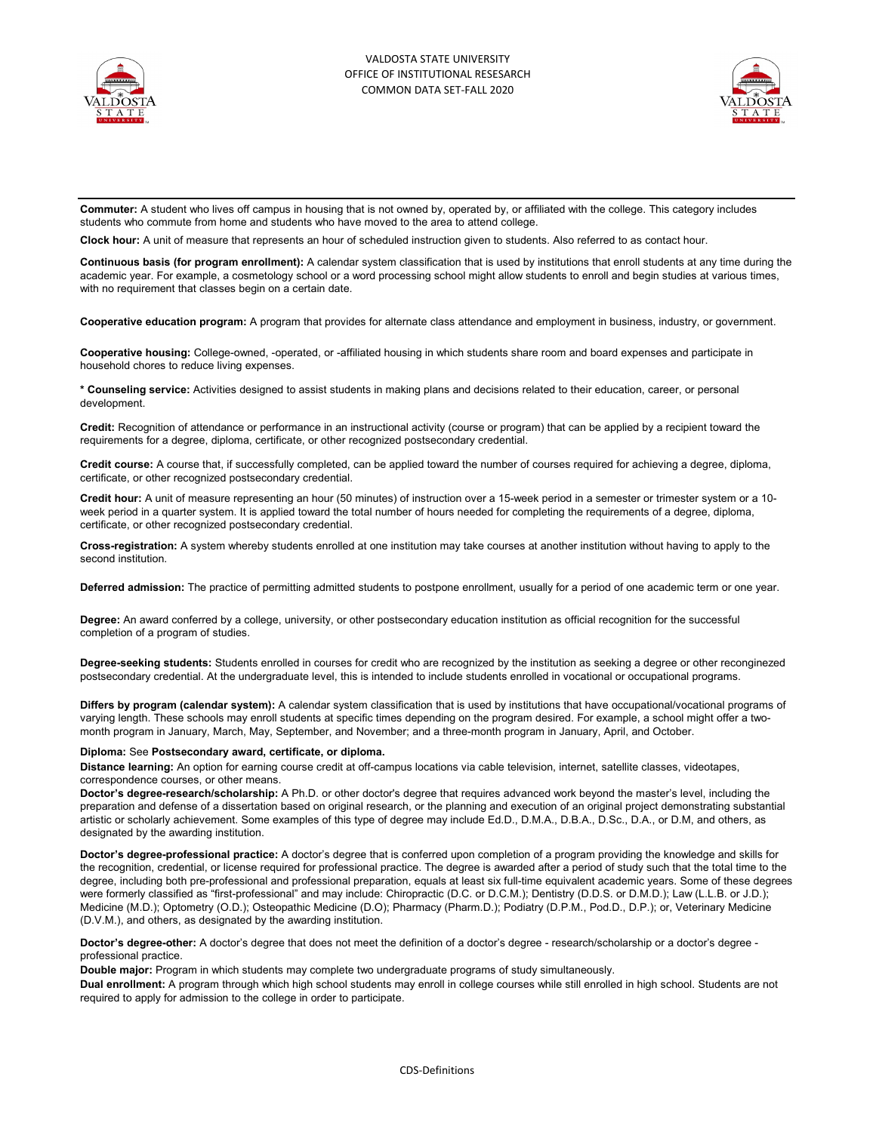



**Commuter:** A student who lives off campus in housing that is not owned by, operated by, or affiliated with the college. This category includes students who commute from home and students who have moved to the area to attend college.

**Clock hour:** A unit of measure that represents an hour of scheduled instruction given to students. Also referred to as contact hour.

**Continuous basis (for program enrollment):** A calendar system classification that is used by institutions that enroll students at any time during the academic year. For example, a cosmetology school or a word processing school might allow students to enroll and begin studies at various times, with no requirement that classes begin on a certain date.

**Cooperative education program:** A program that provides for alternate class attendance and employment in business, industry, or government.

**Cooperative housing:** College-owned, -operated, or -affiliated housing in which students share room and board expenses and participate in household chores to reduce living expenses.

**\* Counseling service:** Activities designed to assist students in making plans and decisions related to their education, career, or personal development.

**Credit:** Recognition of attendance or performance in an instructional activity (course or program) that can be applied by a recipient toward the requirements for a degree, diploma, certificate, or other recognized postsecondary credential.

**Credit course:** A course that, if successfully completed, can be applied toward the number of courses required for achieving a degree, diploma, certificate, or other recognized postsecondary credential.

**Credit hour:** A unit of measure representing an hour (50 minutes) of instruction over a 15-week period in a semester or trimester system or a 10 week period in a quarter system. It is applied toward the total number of hours needed for completing the requirements of a degree, diploma, certificate, or other recognized postsecondary credential.

**Cross-registration:** A system whereby students enrolled at one institution may take courses at another institution without having to apply to the second institution.

**Deferred admission:** The practice of permitting admitted students to postpone enrollment, usually for a period of one academic term or one year.

**Degree:** An award conferred by a college, university, or other postsecondary education institution as official recognition for the successful completion of a program of studies.

**Degree-seeking students:** Students enrolled in courses for credit who are recognized by the institution as seeking a degree or other reconginezed postsecondary credential. At the undergraduate level, this is intended to include students enrolled in vocational or occupational programs.

**Differs by program (calendar system):** A calendar system classification that is used by institutions that have occupational/vocational programs of varying length. These schools may enroll students at specific times depending on the program desired. For example, a school might offer a twomonth program in January, March, May, September, and November; and a three-month program in January, April, and October.

#### **Diploma:** See **Postsecondary award, certificate, or diploma.**

**Distance learning:** An option for earning course credit at off-campus locations via cable television, internet, satellite classes, videotapes, correspondence courses, or other means.

**Doctor's degree-research/scholarship:** A Ph.D. or other doctor's degree that requires advanced work beyond the master's level, including the preparation and defense of a dissertation based on original research, or the planning and execution of an original project demonstrating substantial artistic or scholarly achievement. Some examples of this type of degree may include Ed.D., D.M.A., D.B.A., D.Sc., D.A., or D.M, and others, as designated by the awarding institution.

**Doctor's degree-professional practice:** A doctor's degree that is conferred upon completion of a program providing the knowledge and skills for the recognition, credential, or license required for professional practice. The degree is awarded after a period of study such that the total time to the degree, including both pre-professional and professional preparation, equals at least six full-time equivalent academic years. Some of these degrees were formerly classified as "first-professional" and may include: Chiropractic (D.C. or D.C.M.); Dentistry (D.D.S. or D.M.D.); Law (L.L.B. or J.D.); Medicine (M.D.); Optometry (O.D.); Osteopathic Medicine (D.O); Pharmacy (Pharm.D.); Podiatry (D.P.M., Pod.D., D.P.); or, Veterinary Medicine (D.V.M.), and others, as designated by the awarding institution.

**Doctor's degree-other:** A doctor's degree that does not meet the definition of a doctor's degree - research/scholarship or a doctor's degree professional practice.

**Double major:** Program in which students may complete two undergraduate programs of study simultaneously.

**Dual enrollment:** A program through which high school students may enroll in college courses while still enrolled in high school. Students are not required to apply for admission to the college in order to participate.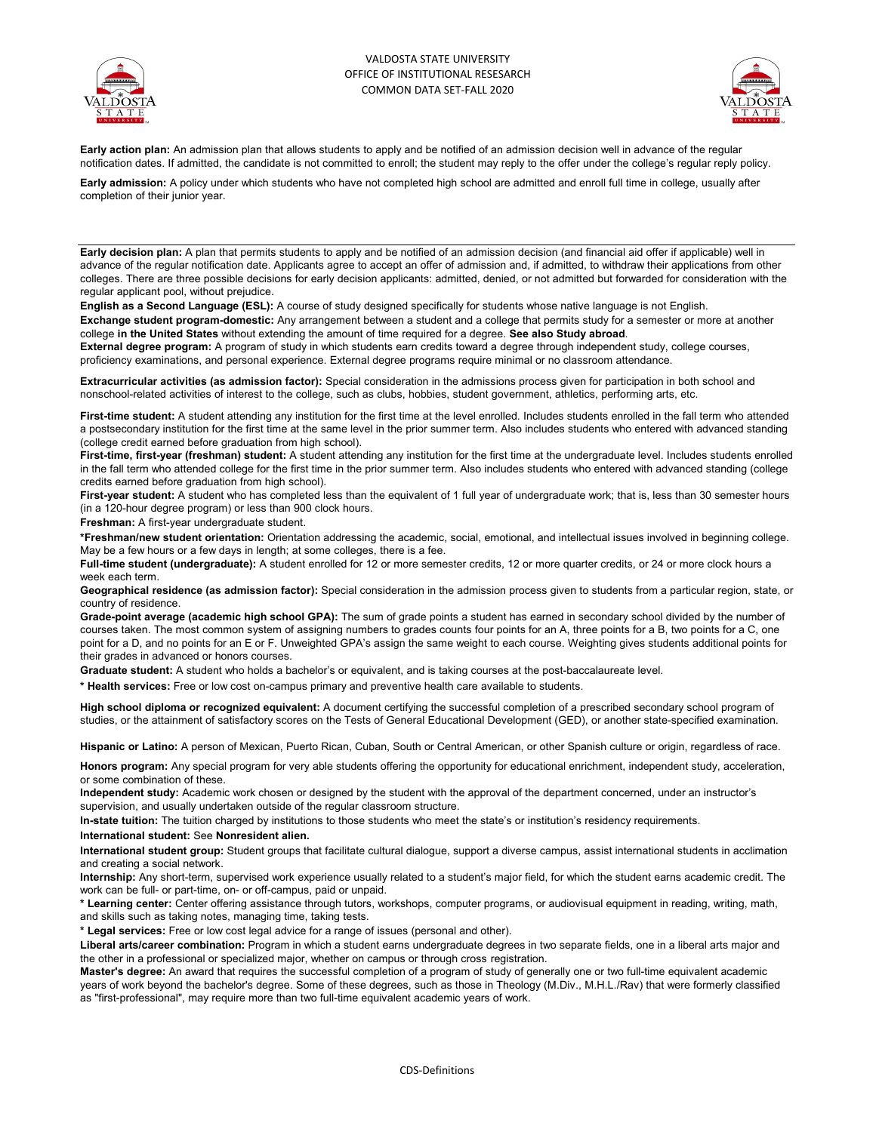



**Early action plan:** An admission plan that allows students to apply and be notified of an admission decision well in advance of the regular notification dates. If admitted, the candidate is not committed to enroll; the student may reply to the offer under the college's regular reply policy.

**Early admission:** A policy under which students who have not completed high school are admitted and enroll full time in college, usually after completion of their junior year.

**Early decision plan:** A plan that permits students to apply and be notified of an admission decision (and financial aid offer if applicable) well in advance of the regular notification date. Applicants agree to accept an offer of admission and, if admitted, to withdraw their applications from other colleges. There are three possible decisions for early decision applicants: admitted, denied, or not admitted but forwarded for consideration with the regular applicant pool, without prejudice.

**English as a Second Language (ESL):** A course of study designed specifically for students whose native language is not English.

**Exchange student program-domestic:** Any arrangement between a student and a college that permits study for a semester or more at another college **in the United States** without extending the amount of time required for a degree. **See also Study abroad**.

**External degree program:** A program of study in which students earn credits toward a degree through independent study, college courses, proficiency examinations, and personal experience. External degree programs require minimal or no classroom attendance.

**Extracurricular activities (as admission factor):** Special consideration in the admissions process given for participation in both school and nonschool-related activities of interest to the college, such as clubs, hobbies, student government, athletics, performing arts, etc.

First-time student: A student attending any institution for the first time at the level enrolled. Includes students enrolled in the fall term who attended a postsecondary institution for the first time at the same level in the prior summer term. Also includes students who entered with advanced standing (college credit earned before graduation from high school).

**First-time, first-year (freshman) student:** A student attending any institution for the first time at the undergraduate level. Includes students enrolled in the fall term who attended college for the first time in the prior summer term. Also includes students who entered with advanced standing (college credits earned before graduation from high school).

First-year student: A student who has completed less than the equivalent of 1 full year of undergraduate work; that is, less than 30 semester hours (in a 120-hour degree program) or less than 900 clock hours.

**Freshman:** A first-year undergraduate student.

**\*Freshman/new student orientation:** Orientation addressing the academic, social, emotional, and intellectual issues involved in beginning college. May be a few hours or a few days in length; at some colleges, there is a fee.

**Full-time student (undergraduate):** A student enrolled for 12 or more semester credits, 12 or more quarter credits, or 24 or more clock hours a week each term.

**Geographical residence (as admission factor):** Special consideration in the admission process given to students from a particular region, state, or country of residence.

**Grade-point average (academic high school GPA):** The sum of grade points a student has earned in secondary school divided by the number of courses taken. The most common system of assigning numbers to grades counts four points for an A, three points for a B, two points for a C, one point for a D, and no points for an E or F. Unweighted GPA's assign the same weight to each course. Weighting gives students additional points for their grades in advanced or honors courses.

**Graduate student:** A student who holds a bachelor's or equivalent, and is taking courses at the post-baccalaureate level.

**\* Health services:** Free or low cost on-campus primary and preventive health care available to students.

**High school diploma or recognized equivalent:** A document certifying the successful completion of a prescribed secondary school program of studies, or the attainment of satisfactory scores on the Tests of General Educational Development (GED), or another state-specified examination.

**Hispanic or Latino:** A person of Mexican, Puerto Rican, Cuban, South or Central American, or other Spanish culture or origin, regardless of race.

**Honors program:** Any special program for very able students offering the opportunity for educational enrichment, independent study, acceleration, or some combination of these.

**Independent study:** Academic work chosen or designed by the student with the approval of the department concerned, under an instructor's supervision, and usually undertaken outside of the regular classroom structure.

**In-state tuition:** The tuition charged by institutions to those students who meet the state's or institution's residency requirements.

#### **International student:** See **Nonresident alien.**

**International student group:** Student groups that facilitate cultural dialogue, support a diverse campus, assist international students in acclimation and creating a social network.

**Internship:** Any short-term, supervised work experience usually related to a student's major field, for which the student earns academic credit. The work can be full- or part-time, on- or off-campus, paid or unpaid.

**\* Learning center:** Center offering assistance through tutors, workshops, computer programs, or audiovisual equipment in reading, writing, math, and skills such as taking notes, managing time, taking tests.

**\* Legal services:** Free or low cost legal advice for a range of issues (personal and other).

**Liberal arts/career combination:** Program in which a student earns undergraduate degrees in two separate fields, one in a liberal arts major and the other in a professional or specialized major, whether on campus or through cross registration.

**Master's degree:** An award that requires the successful completion of a program of study of generally one or two full-time equivalent academic years of work beyond the bachelor's degree. Some of these degrees, such as those in Theology (M.Div., M.H.L./Rav) that were formerly classified as "first-professional", may require more than two full-time equivalent academic years of work.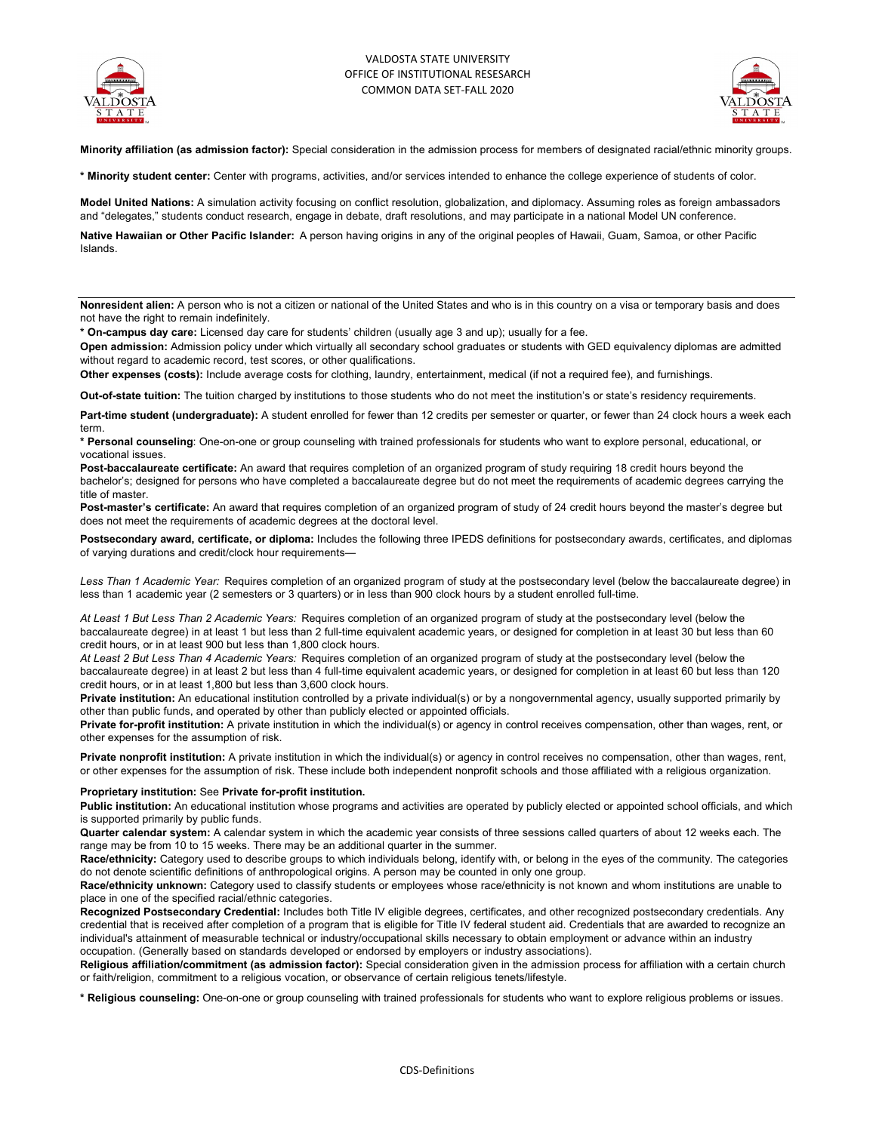



**Minority affiliation (as admission factor):** Special consideration in the admission process for members of designated racial/ethnic minority groups.

**\* Minority student center:** Center with programs, activities, and/or services intended to enhance the college experience of students of color.

**Model United Nations:** A simulation activity focusing on conflict resolution, globalization, and diplomacy. Assuming roles as foreign ambassadors and "delegates," students conduct research, engage in debate, draft resolutions, and may participate in a national Model UN conference.

**Native Hawaiian or Other Pacific Islander:** A person having origins in any of the original peoples of Hawaii, Guam, Samoa, or other Pacific Islands.

**Nonresident alien:** A person who is not a citizen or national of the United States and who is in this country on a visa or temporary basis and does not have the right to remain indefinitely.

**\* On-campus day care:** Licensed day care for students' children (usually age 3 and up); usually for a fee.

**Open admission:** Admission policy under which virtually all secondary school graduates or students with GED equivalency diplomas are admitted without regard to academic record, test scores, or other qualifications.

**Other expenses (costs):** Include average costs for clothing, laundry, entertainment, medical (if not a required fee), and furnishings.

**Out-of-state tuition:** The tuition charged by institutions to those students who do not meet the institution's or state's residency requirements.

Part-time student (undergraduate): A student enrolled for fewer than 12 credits per semester or quarter, or fewer than 24 clock hours a week each term.

**\* Personal counseling**: One-on-one or group counseling with trained professionals for students who want to explore personal, educational, or vocational issues.

**Post-baccalaureate certificate:** An award that requires completion of an organized program of study requiring 18 credit hours beyond the bachelor's; designed for persons who have completed a baccalaureate degree but do not meet the requirements of academic degrees carrying the title of master.

**Post-master's certificate:** An award that requires completion of an organized program of study of 24 credit hours beyond the master's degree but does not meet the requirements of academic degrees at the doctoral level.

**Postsecondary award, certificate, or diploma:** Includes the following three IPEDS definitions for postsecondary awards, certificates, and diplomas of varying durations and credit/clock hour requirements—

*Less Than 1 Academic Year:* Requires completion of an organized program of study at the postsecondary level (below the baccalaureate degree) in less than 1 academic year (2 semesters or 3 quarters) or in less than 900 clock hours by a student enrolled full-time.

*At Least 1 But Less Than 2 Academic Years:* Requires completion of an organized program of study at the postsecondary level (below the baccalaureate degree) in at least 1 but less than 2 full-time equivalent academic years, or designed for completion in at least 30 but less than 60 credit hours, or in at least 900 but less than 1,800 clock hours.

*At Least 2 But Less Than 4 Academic Years:* Requires completion of an organized program of study at the postsecondary level (below the baccalaureate degree) in at least 2 but less than 4 full-time equivalent academic years, or designed for completion in at least 60 but less than 120 credit hours, or in at least 1,800 but less than 3,600 clock hours.

**Private institution:** An educational institution controlled by a private individual(s) or by a nongovernmental agency, usually supported primarily by other than public funds, and operated by other than publicly elected or appointed officials.

**Private for-profit institution:** A private institution in which the individual(s) or agency in control receives compensation, other than wages, rent, or other expenses for the assumption of risk.

**Private nonprofit institution:** A private institution in which the individual(s) or agency in control receives no compensation, other than wages, rent, or other expenses for the assumption of risk. These include both independent nonprofit schools and those affiliated with a religious organization.

#### **Proprietary institution:** See **Private for-profit institution.**

Public institution: An educational institution whose programs and activities are operated by publicly elected or appointed school officials, and which is supported primarily by public funds.

**Quarter calendar system:** A calendar system in which the academic year consists of three sessions called quarters of about 12 weeks each. The range may be from 10 to 15 weeks. There may be an additional quarter in the summer.

**Race/ethnicity:** Category used to describe groups to which individuals belong, identify with, or belong in the eyes of the community. The categories do not denote scientific definitions of anthropological origins. A person may be counted in only one group.

**Race/ethnicity unknown:** Category used to classify students or employees whose race/ethnicity is not known and whom institutions are unable to place in one of the specified racial/ethnic categories.

**Recognized Postsecondary Credential:** Includes both Title IV eligible degrees, certificates, and other recognized postsecondary credentials. Any credential that is received after completion of a program that is eligible for Title IV federal student aid. Credentials that are awarded to recognize an individual's attainment of measurable technical or industry/occupational skills necessary to obtain employment or advance within an industry occupation. (Generally based on standards developed or endorsed by employers or industry associations).

**Religious affiliation/commitment (as admission factor):** Special consideration given in the admission process for affiliation with a certain church or faith/religion, commitment to a religious vocation, or observance of certain religious tenets/lifestyle.

**\* Religious counseling:** One-on-one or group counseling with trained professionals for students who want to explore religious problems or issues.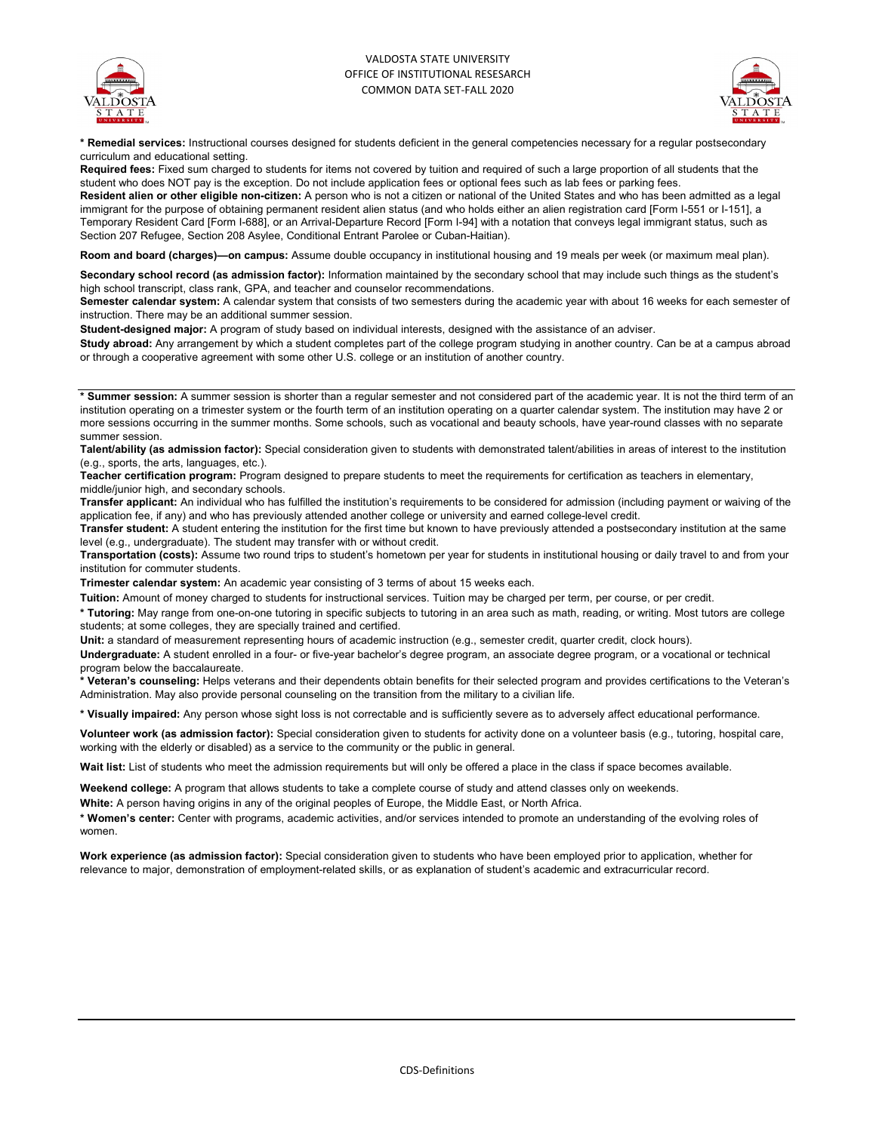



**\* Remedial services:** Instructional courses designed for students deficient in the general competencies necessary for a regular postsecondary curriculum and educational setting.

**Required fees:** Fixed sum charged to students for items not covered by tuition and required of such a large proportion of all students that the student who does NOT pay is the exception. Do not include application fees or optional fees such as lab fees or parking fees.

**Resident alien or other eligible non-citizen:** A person who is not a citizen or national of the United States and who has been admitted as a legal immigrant for the purpose of obtaining permanent resident alien status (and who holds either an alien registration card [Form I-551 or I-151], a Temporary Resident Card [Form I-688], or an Arrival-Departure Record [Form I-94] with a notation that conveys legal immigrant status, such as Section 207 Refugee, Section 208 Asylee, Conditional Entrant Parolee or Cuban-Haitian).

**Room and board (charges)—on campus:** Assume double occupancy in institutional housing and 19 meals per week (or maximum meal plan).

**Secondary school record (as admission factor):** Information maintained by the secondary school that may include such things as the student's high school transcript, class rank, GPA, and teacher and counselor recommendations.

**Semester calendar system:** A calendar system that consists of two semesters during the academic year with about 16 weeks for each semester of instruction. There may be an additional summer session.

**Student-designed major:** A program of study based on individual interests, designed with the assistance of an adviser.

**Study abroad:** Any arrangement by which a student completes part of the college program studying in another country. Can be at a campus abroad or through a cooperative agreement with some other U.S. college or an institution of another country.

**\* Summer session:** A summer session is shorter than a regular semester and not considered part of the academic year. It is not the third term of an institution operating on a trimester system or the fourth term of an institution operating on a quarter calendar system. The institution may have 2 or more sessions occurring in the summer months. Some schools, such as vocational and beauty schools, have year-round classes with no separate summer session.

**Talent/ability (as admission factor):** Special consideration given to students with demonstrated talent/abilities in areas of interest to the institution (e.g., sports, the arts, languages, etc.).

**Teacher certification program:** Program designed to prepare students to meet the requirements for certification as teachers in elementary, middle/junior high, and secondary schools.

**Transfer applicant:** An individual who has fulfilled the institution's requirements to be considered for admission (including payment or waiving of the application fee, if any) and who has previously attended another college or university and earned college-level credit.

**Transfer student:** A student entering the institution for the first time but known to have previously attended a postsecondary institution at the same level (e.g., undergraduate). The student may transfer with or without credit.

**Transportation (costs):** Assume two round trips to student's hometown per year for students in institutional housing or daily travel to and from your institution for commuter students.

**Trimester calendar system:** An academic year consisting of 3 terms of about 15 weeks each.

**Tuition:** Amount of money charged to students for instructional services. Tuition may be charged per term, per course, or per credit.

**\* Tutoring:** May range from one-on-one tutoring in specific subjects to tutoring in an area such as math, reading, or writing. Most tutors are college students; at some colleges, they are specially trained and certified.

**Unit:** a standard of measurement representing hours of academic instruction (e.g., semester credit, quarter credit, clock hours).

**Undergraduate:** A student enrolled in a four- or five-year bachelor's degree program, an associate degree program, or a vocational or technical program below the baccalaureate.

**\* Veteran's counseling:** Helps veterans and their dependents obtain benefits for their selected program and provides certifications to the Veteran's Administration. May also provide personal counseling on the transition from the military to a civilian life.

**\* Visually impaired:** Any person whose sight loss is not correctable and is sufficiently severe as to adversely affect educational performance.

**Volunteer work (as admission factor):** Special consideration given to students for activity done on a volunteer basis (e.g., tutoring, hospital care, working with the elderly or disabled) as a service to the community or the public in general.

Wait list: List of students who meet the admission requirements but will only be offered a place in the class if space becomes available.

**Weekend college:** A program that allows students to take a complete course of study and attend classes only on weekends.

**White:** A person having origins in any of the original peoples of Europe, the Middle East, or North Africa.

**\* Women's center:** Center with programs, academic activities, and/or services intended to promote an understanding of the evolving roles of women.

**Work experience (as admission factor):** Special consideration given to students who have been employed prior to application, whether for relevance to major, demonstration of employment-related skills, or as explanation of student's academic and extracurricular record.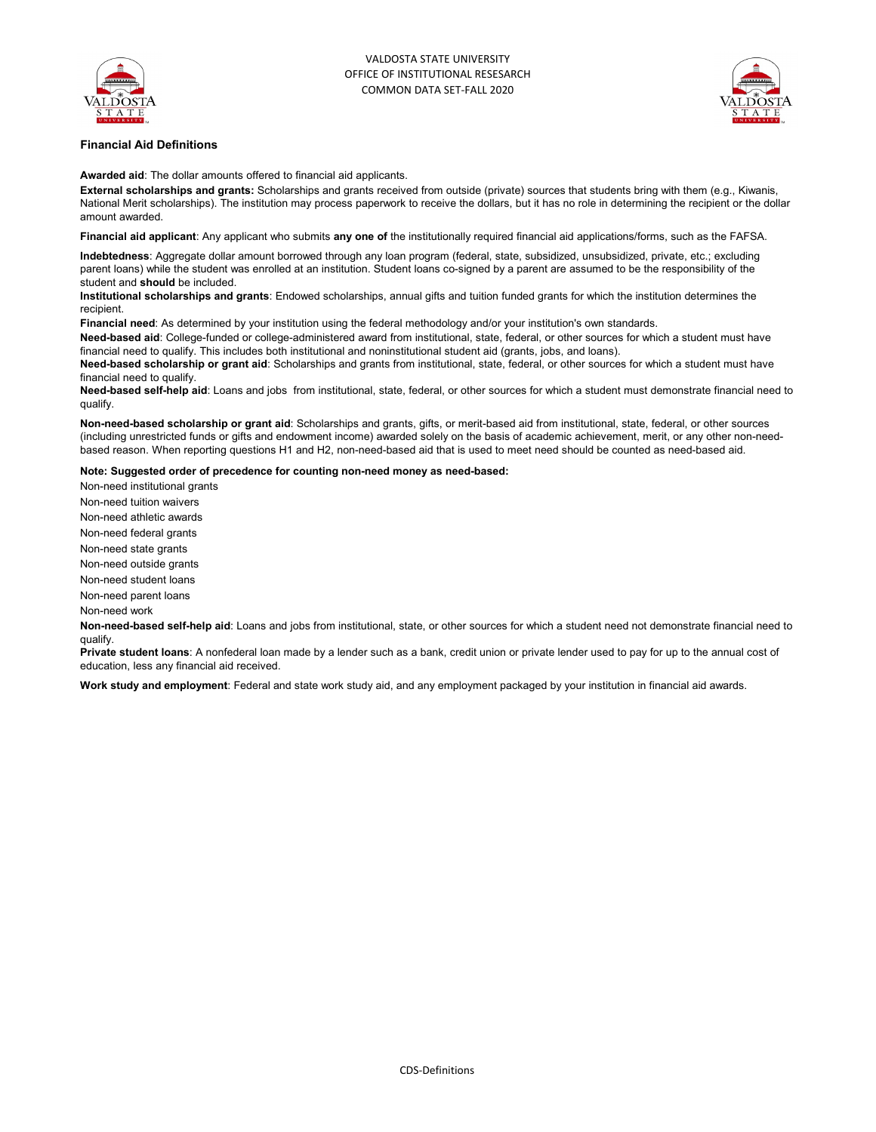



### **Financial Aid Definitions**

**Awarded aid**: The dollar amounts offered to financial aid applicants.

**External scholarships and grants:** Scholarships and grants received from outside (private) sources that students bring with them (e.g., Kiwanis, National Merit scholarships). The institution may process paperwork to receive the dollars, but it has no role in determining the recipient or the dollar amount awarded.

**Financial aid applicant**: Any applicant who submits **any one of** the institutionally required financial aid applications/forms, such as the FAFSA.

**Indebtedness**: Aggregate dollar amount borrowed through any loan program (federal, state, subsidized, unsubsidized, private, etc.; excluding parent loans) while the student was enrolled at an institution. Student loans co-signed by a parent are assumed to be the responsibility of the student and **should** be included.

**Institutional scholarships and grants**: Endowed scholarships, annual gifts and tuition funded grants for which the institution determines the recipient.

**Financial need**: As determined by your institution using the federal methodology and/or your institution's own standards.

**Need-based aid**: College-funded or college-administered award from institutional, state, federal, or other sources for which a student must have financial need to qualify. This includes both institutional and noninstitutional student aid (grants, jobs, and loans).

**Need-based scholarship or grant aid**: Scholarships and grants from institutional, state, federal, or other sources for which a student must have financial need to qualify.

**Need-based self-help aid**: Loans and jobs from institutional, state, federal, or other sources for which a student must demonstrate financial need to qualify.

**Non-need-based scholarship or grant aid**: Scholarships and grants, gifts, or merit-based aid from institutional, state, federal, or other sources (including unrestricted funds or gifts and endowment income) awarded solely on the basis of academic achievement, merit, or any other non-needbased reason. When reporting questions H1 and H2, non-need-based aid that is used to meet need should be counted as need-based aid.

#### **Note: Suggested order of precedence for counting non-need money as need-based:**

Non-need institutional grants Non-need tuition waivers

Non-need athletic awards

Non-need federal grants

Non-need state grants

Non-need outside grants

Non-need student loans

Non-need parent loans

Non-need work

**Non-need-based self-help aid**: Loans and jobs from institutional, state, or other sources for which a student need not demonstrate financial need to qualify.

**Private student loans**: A nonfederal loan made by a lender such as a bank, credit union or private lender used to pay for up to the annual cost of education, less any financial aid received.

**Work study and employment**: Federal and state work study aid, and any employment packaged by your institution in financial aid awards.